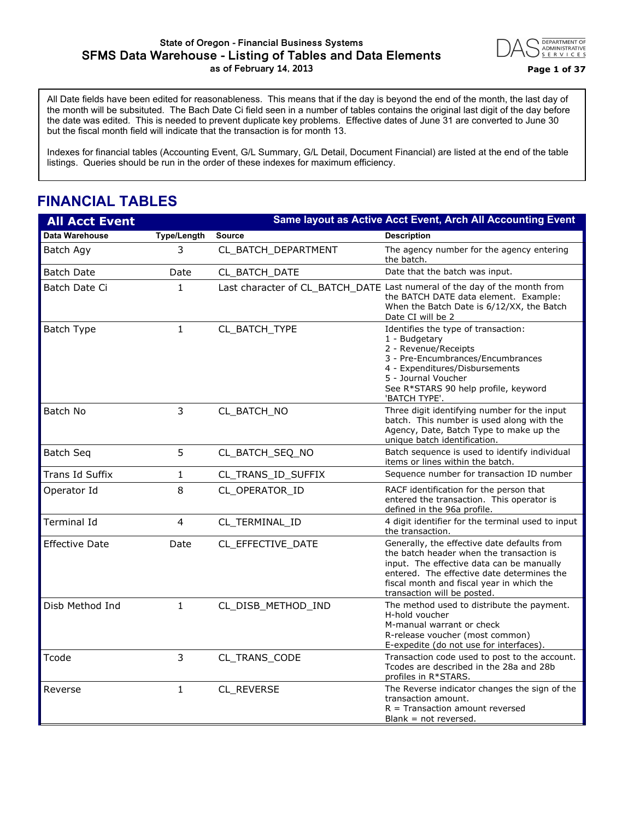#### **State of Oregon - Financial Business Systems SFMS Data Warehouse - Listing of Tables and Data Elements as of February 14, 2013 Page 1 of 37**



All Date fields have been edited for reasonableness. This means that if the day is beyond the end of the month, the last day of the month will be subsituted. The Bach Date Ci field seen in a number of tables contains the original last digit of the day before the date was edited. This is needed to prevent duplicate key problems. Effective dates of June 31 are converted to June 30 but the fiscal month field will indicate that the transaction is for month 13.

Indexes for financial tables (Accounting Event, G/L Summary, G/L Detail, Document Financial) are listed at the end of the table listings. Queries should be run in the order of these indexes for maximum efficiency.

## **FINANCIAL TABLES**

| <b>All Acct Event</b> |                    |                     | Same layout as Active Acct Event, Arch All Accounting Event                                                                                                                                                                                                    |
|-----------------------|--------------------|---------------------|----------------------------------------------------------------------------------------------------------------------------------------------------------------------------------------------------------------------------------------------------------------|
| <b>Data Warehouse</b> | <b>Type/Length</b> | <b>Source</b>       | <b>Description</b>                                                                                                                                                                                                                                             |
| Batch Agy             | 3                  | CL_BATCH_DEPARTMENT | The agency number for the agency entering<br>the batch.                                                                                                                                                                                                        |
| <b>Batch Date</b>     | Date               | CL BATCH DATE       | Date that the batch was input.                                                                                                                                                                                                                                 |
| Batch Date Ci         | 1                  |                     | Last character of CL_BATCH_DATE Last numeral of the day of the month from<br>the BATCH DATE data element. Example:<br>When the Batch Date is 6/12/XX, the Batch<br>Date CI will be 2                                                                           |
| Batch Type            | $\mathbf{1}$       | CL_BATCH_TYPE       | Identifies the type of transaction:<br>1 - Budgetary<br>2 - Revenue/Receipts<br>3 - Pre-Encumbrances/Encumbrances<br>4 - Expenditures/Disbursements<br>5 - Journal Voucher<br>See R*STARS 90 help profile, keyword<br>'BATCH TYPE'.                            |
| Batch No              | 3                  | CL BATCH NO         | Three digit identifying number for the input<br>batch. This number is used along with the<br>Agency, Date, Batch Type to make up the<br>unique batch identification.                                                                                           |
| <b>Batch Seq</b>      | 5                  | CL_BATCH_SEQ_NO     | Batch sequence is used to identify individual<br>items or lines within the batch.                                                                                                                                                                              |
| Trans Id Suffix       | 1                  | CL_TRANS_ID_SUFFIX  | Sequence number for transaction ID number                                                                                                                                                                                                                      |
| Operator Id           | 8                  | CL_OPERATOR_ID      | RACF identification for the person that<br>entered the transaction. This operator is<br>defined in the 96a profile.                                                                                                                                            |
| Terminal Id           | $\overline{4}$     | CL TERMINAL ID      | 4 digit identifier for the terminal used to input<br>the transaction.                                                                                                                                                                                          |
| <b>Effective Date</b> | Date               | CL_EFFECTIVE_DATE   | Generally, the effective date defaults from<br>the batch header when the transaction is<br>input. The effective data can be manually<br>entered. The effective date determines the<br>fiscal month and fiscal year in which the<br>transaction will be posted. |
| Disb Method Ind       | $\mathbf{1}$       | CL DISB METHOD IND  | The method used to distribute the payment.<br>H-hold voucher<br>M-manual warrant or check<br>R-release voucher (most common)<br>E-expedite (do not use for interfaces).                                                                                        |
| Tcode                 | 3                  | CL_TRANS_CODE       | Transaction code used to post to the account.<br>Tcodes are described in the 28a and 28b<br>profiles in R*STARS.                                                                                                                                               |
| Reverse               | 1                  | CL_REVERSE          | The Reverse indicator changes the sign of the<br>transaction amount.<br>$R =$ Transaction amount reversed<br>$Blank = not reversed$ .                                                                                                                          |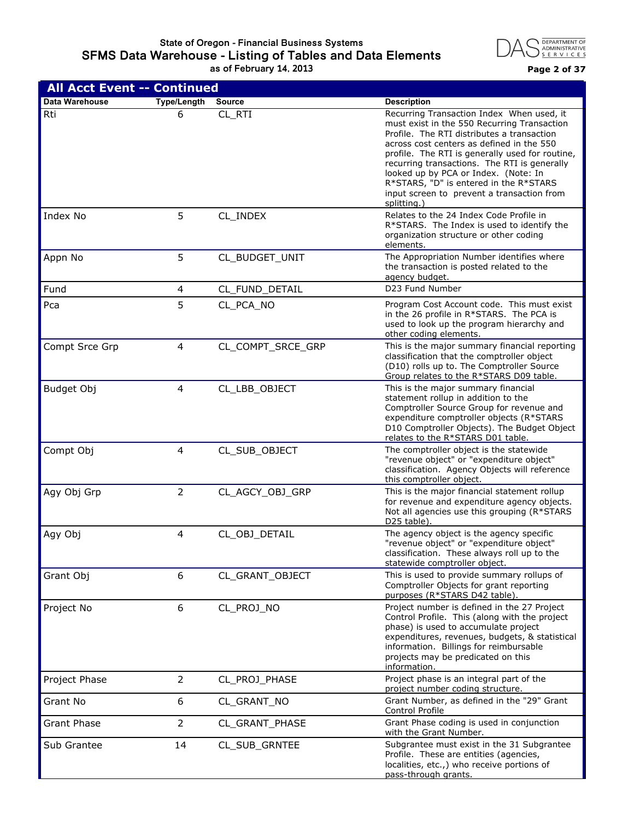#### **State of Oregon - Financial Business Systems SFMS Data Warehouse - Listing of Tables and Data Elements as of February 14, 2013 Page 2 of 37**



| <b>All Acct Event -- Continued</b> |                    |                   |                                                                                                                                                                                                                                                                                                                                                                                                                                       |
|------------------------------------|--------------------|-------------------|---------------------------------------------------------------------------------------------------------------------------------------------------------------------------------------------------------------------------------------------------------------------------------------------------------------------------------------------------------------------------------------------------------------------------------------|
| <b>Data Warehouse</b>              | <b>Type/Length</b> | Source            | <b>Description</b>                                                                                                                                                                                                                                                                                                                                                                                                                    |
| Rti                                | 6                  | CL_RTI            | Recurring Transaction Index When used, it<br>must exist in the 550 Recurring Transaction<br>Profile. The RTI distributes a transaction<br>across cost centers as defined in the 550<br>profile. The RTI is generally used for routine,<br>recurring transactions. The RTI is generally<br>looked up by PCA or Index. (Note: In<br>R*STARS, "D" is entered in the R*STARS<br>input screen to prevent a transaction from<br>splitting.) |
| Index No                           | 5                  | CL_INDEX          | Relates to the 24 Index Code Profile in<br>R*STARS. The Index is used to identify the<br>organization structure or other coding<br>elements.                                                                                                                                                                                                                                                                                          |
| Appn No                            | 5                  | CL_BUDGET_UNIT    | The Appropriation Number identifies where<br>the transaction is posted related to the<br>agency budget.                                                                                                                                                                                                                                                                                                                               |
| Fund                               | 4                  | CL_FUND_DETAIL    | D23 Fund Number                                                                                                                                                                                                                                                                                                                                                                                                                       |
| Pca                                | 5                  | CL_PCA_NO         | Program Cost Account code. This must exist<br>in the 26 profile in R*STARS. The PCA is<br>used to look up the program hierarchy and<br>other coding elements.                                                                                                                                                                                                                                                                         |
| Compt Srce Grp                     | 4                  | CL_COMPT_SRCE_GRP | This is the major summary financial reporting<br>classification that the comptroller object<br>(D10) rolls up to. The Comptroller Source<br>Group relates to the R*STARS D09 table.                                                                                                                                                                                                                                                   |
| Budget Obj                         | 4                  | CL_LBB_OBJECT     | This is the major summary financial<br>statement rollup in addition to the<br>Comptroller Source Group for revenue and<br>expenditure comptroller objects (R*STARS<br>D10 Comptroller Objects). The Budget Object<br>relates to the R*STARS D01 table.                                                                                                                                                                                |
| Compt Obj                          | 4                  | CL_SUB_OBJECT     | The comptroller object is the statewide<br>"revenue object" or "expenditure object"<br>classification. Agency Objects will reference<br>this comptroller object.                                                                                                                                                                                                                                                                      |
| Agy Obj Grp                        | $\overline{2}$     | CL_AGCY_OBJ_GRP   | This is the major financial statement rollup<br>for revenue and expenditure agency objects.<br>Not all agencies use this grouping (R*STARS<br>D25 table).                                                                                                                                                                                                                                                                             |
| Agy Obj                            | 4                  | CL_OBJ_DETAIL     | The agency object is the agency specific<br>"revenue object" or "expenditure object"<br>classification. These always roll up to the<br>statewide comptroller object.                                                                                                                                                                                                                                                                  |
| Grant Obj                          | 6                  | CL_GRANT_OBJECT   | This is used to provide summary rollups of<br>Comptroller Objects for grant reporting<br>purposes (R*STARS D42 table).                                                                                                                                                                                                                                                                                                                |
| Project No                         | 6                  | CL_PROJ_NO        | Project number is defined in the 27 Project<br>Control Profile. This (along with the project<br>phase) is used to accumulate project<br>expenditures, revenues, budgets, & statistical<br>information. Billings for reimbursable<br>projects may be predicated on this<br>information.                                                                                                                                                |
| Project Phase                      | $\overline{2}$     | CL_PROJ_PHASE     | Project phase is an integral part of the<br>project number coding structure.                                                                                                                                                                                                                                                                                                                                                          |
| Grant No                           | 6                  | CL_GRANT_NO       | Grant Number, as defined in the "29" Grant<br>Control Profile                                                                                                                                                                                                                                                                                                                                                                         |
| Grant Phase                        | $\overline{2}$     | CL_GRANT_PHASE    | Grant Phase coding is used in conjunction<br>with the Grant Number.                                                                                                                                                                                                                                                                                                                                                                   |
| Sub Grantee                        | 14                 | CL_SUB_GRNTEE     | Subgrantee must exist in the 31 Subgrantee<br>Profile. These are entities (agencies,<br>localities, etc.,) who receive portions of<br>pass-through grants.                                                                                                                                                                                                                                                                            |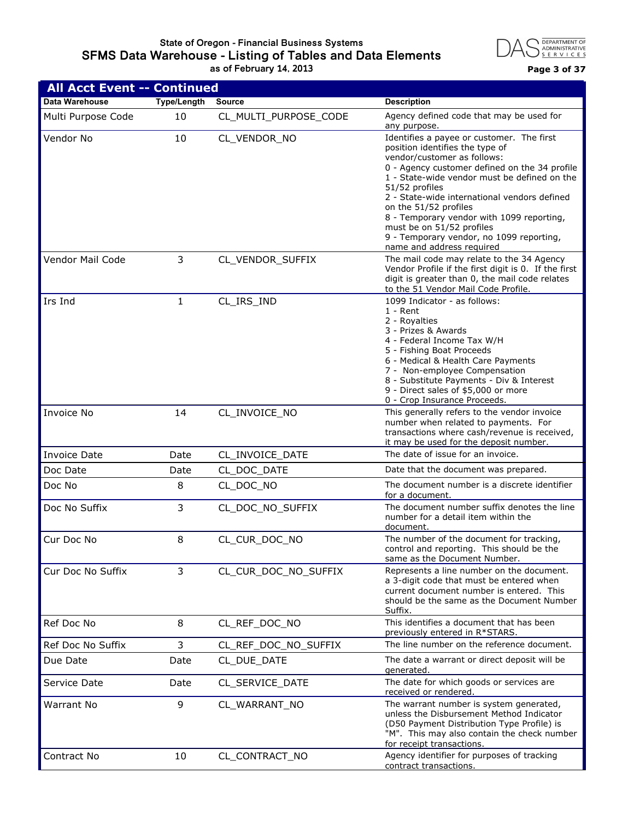## **State of Oregon - Financial Business Systems SFMS Data Warehouse - Listing of Tables and Data Elements as of February 14, 2013 Page 3 of 37**



| <b>All Acct Event -- Continued</b> |                    |                       |                                                                                                                                                                                                                                                                                                                                                                                                                                                            |
|------------------------------------|--------------------|-----------------------|------------------------------------------------------------------------------------------------------------------------------------------------------------------------------------------------------------------------------------------------------------------------------------------------------------------------------------------------------------------------------------------------------------------------------------------------------------|
| Data Warehouse                     | <b>Type/Length</b> | <b>Source</b>         | <b>Description</b>                                                                                                                                                                                                                                                                                                                                                                                                                                         |
| Multi Purpose Code                 | 10                 | CL MULTI PURPOSE CODE | Agency defined code that may be used for<br>any purpose.                                                                                                                                                                                                                                                                                                                                                                                                   |
| Vendor No                          | 10                 | CL_VENDOR_NO          | Identifies a payee or customer. The first<br>position identifies the type of<br>vendor/customer as follows:<br>0 - Agency customer defined on the 34 profile<br>1 - State-wide vendor must be defined on the<br>51/52 profiles<br>2 - State-wide international vendors defined<br>on the 51/52 profiles<br>8 - Temporary vendor with 1099 reporting,<br>must be on 51/52 profiles<br>9 - Temporary vendor, no 1099 reporting,<br>name and address required |
| Vendor Mail Code                   | 3                  | CL_VENDOR_SUFFIX      | The mail code may relate to the 34 Agency<br>Vendor Profile if the first digit is 0. If the first<br>digit is greater than 0, the mail code relates<br>to the 51 Vendor Mail Code Profile.                                                                                                                                                                                                                                                                 |
| Irs Ind                            | $\mathbf{1}$       | CL_IRS_IND            | 1099 Indicator - as follows:<br>$1 -$ Rent<br>2 - Royalties<br>3 - Prizes & Awards<br>4 - Federal Income Tax W/H<br>5 - Fishing Boat Proceeds<br>6 - Medical & Health Care Payments<br>7 - Non-employee Compensation<br>8 - Substitute Payments - Div & Interest<br>9 - Direct sales of \$5,000 or more<br>0 - Crop Insurance Proceeds.                                                                                                                    |
| Invoice No                         | 14                 | CL_INVOICE_NO         | This generally refers to the vendor invoice<br>number when related to payments. For<br>transactions where cash/revenue is received,<br>it may be used for the deposit number.                                                                                                                                                                                                                                                                              |
| <b>Invoice Date</b>                | Date               | CL_INVOICE_DATE       | The date of issue for an invoice.                                                                                                                                                                                                                                                                                                                                                                                                                          |
| Doc Date                           | Date               | CL_DOC_DATE           | Date that the document was prepared.                                                                                                                                                                                                                                                                                                                                                                                                                       |
| Doc No                             | 8                  | CL DOC NO             | The document number is a discrete identifier<br>for a document.                                                                                                                                                                                                                                                                                                                                                                                            |
| Doc No Suffix                      | 3                  | CL_DOC_NO_SUFFIX      | The document number suffix denotes the line<br>number for a detail item within the<br>document.                                                                                                                                                                                                                                                                                                                                                            |
| Cur Doc No                         | 8                  | CL_CUR_DOC_NO         | The number of the document for tracking,<br>control and reporting. This should be the<br>same as the Document Number.                                                                                                                                                                                                                                                                                                                                      |
| Cur Doc No Suffix                  | 3                  | CL_CUR_DOC_NO_SUFFIX  | Represents a line number on the document.<br>a 3-digit code that must be entered when<br>current document number is entered. This<br>should be the same as the Document Number<br>Suffix.                                                                                                                                                                                                                                                                  |
| Ref Doc No                         | 8                  | CL REF DOC NO         | This identifies a document that has been<br>previously entered in R*STARS.                                                                                                                                                                                                                                                                                                                                                                                 |
| Ref Doc No Suffix                  | 3                  | CL_REF_DOC_NO_SUFFIX  | The line number on the reference document.                                                                                                                                                                                                                                                                                                                                                                                                                 |
| Due Date                           | Date               | CL_DUE_DATE           | The date a warrant or direct deposit will be<br>generated.                                                                                                                                                                                                                                                                                                                                                                                                 |
| Service Date                       | Date               | CL_SERVICE_DATE       | The date for which goods or services are<br>received or rendered.                                                                                                                                                                                                                                                                                                                                                                                          |
| <b>Warrant No</b>                  | 9                  | CL_WARRANT_NO         | The warrant number is system generated,<br>unless the Disbursement Method Indicator<br>(D50 Payment Distribution Type Profile) is<br>"M". This may also contain the check number<br>for receipt transactions.                                                                                                                                                                                                                                              |
| Contract No                        | 10                 | CL_CONTRACT_NO        | Agency identifier for purposes of tracking<br>contract transactions.                                                                                                                                                                                                                                                                                                                                                                                       |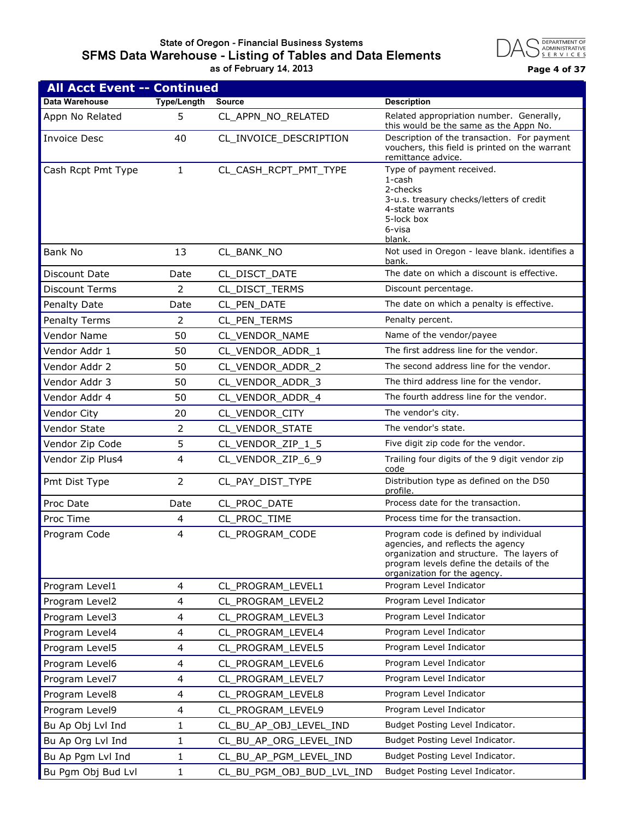#### **State of Oregon - Financial Business Systems SFMS Data Warehouse - Listing of Tables and Data Elements as of February 14, 2013 Page 4 of 37**



| <b>All Acct Event -- Continued</b> |                    |                           |                                                                                                                                                                                                     |
|------------------------------------|--------------------|---------------------------|-----------------------------------------------------------------------------------------------------------------------------------------------------------------------------------------------------|
| Data Warehouse                     | <b>Type/Length</b> | <b>Source</b>             | <b>Description</b>                                                                                                                                                                                  |
| Appn No Related                    | 5                  | CL_APPN_NO_RELATED        | Related appropriation number. Generally,<br>this would be the same as the Appn No.                                                                                                                  |
| <b>Invoice Desc</b>                | 40                 | CL_INVOICE_DESCRIPTION    | Description of the transaction. For payment<br>vouchers, this field is printed on the warrant<br>remittance advice.                                                                                 |
| Cash Rcpt Pmt Type                 | $\mathbf{1}$       | CL_CASH_RCPT_PMT_TYPE     | Type of payment received.<br>1-cash<br>2-checks<br>3-u.s. treasury checks/letters of credit<br>4-state warrants<br>5-lock box<br>6-visa<br>blank.                                                   |
| Bank No                            | 13                 | CL_BANK_NO                | Not used in Oregon - leave blank. identifies a<br>bank.                                                                                                                                             |
| Discount Date                      | Date               | CL_DISCT_DATE             | The date on which a discount is effective.                                                                                                                                                          |
| <b>Discount Terms</b>              | 2                  | CL_DISCT_TERMS            | Discount percentage.                                                                                                                                                                                |
| Penalty Date                       | Date               | CL_PEN_DATE               | The date on which a penalty is effective.                                                                                                                                                           |
| <b>Penalty Terms</b>               | 2                  | CL_PEN_TERMS              | Penalty percent.                                                                                                                                                                                    |
| Vendor Name                        | 50                 | CL VENDOR NAME            | Name of the vendor/payee                                                                                                                                                                            |
| Vendor Addr 1                      | 50                 | CL_VENDOR_ADDR_1          | The first address line for the vendor.                                                                                                                                                              |
| Vendor Addr 2                      | 50                 | CL_VENDOR_ADDR_2          | The second address line for the vendor.                                                                                                                                                             |
| Vendor Addr 3                      | 50                 | CL_VENDOR_ADDR_3          | The third address line for the vendor.                                                                                                                                                              |
| Vendor Addr 4                      | 50                 | CL_VENDOR_ADDR_4          | The fourth address line for the vendor.                                                                                                                                                             |
| Vendor City                        | 20                 | CL_VENDOR_CITY            | The vendor's city.                                                                                                                                                                                  |
| Vendor State                       | 2                  | CL_VENDOR_STATE           | The vendor's state.                                                                                                                                                                                 |
| Vendor Zip Code                    | 5                  | CL_VENDOR_ZIP_1_5         | Five digit zip code for the vendor.                                                                                                                                                                 |
| Vendor Zip Plus4                   | 4                  | CL_VENDOR_ZIP_6_9         | Trailing four digits of the 9 digit vendor zip<br>code                                                                                                                                              |
| Pmt Dist Type                      | 2                  | CL_PAY_DIST_TYPE          | Distribution type as defined on the D50<br>profile.                                                                                                                                                 |
| Proc Date                          | Date               | CL_PROC_DATE              | Process date for the transaction.                                                                                                                                                                   |
| Proc Time                          | 4                  | CL_PROC_TIME              | Process time for the transaction.                                                                                                                                                                   |
| Program Code                       | 4                  | CL PROGRAM CODE           | Program code is defined by individual<br>agencies, and reflects the agency<br>organization and structure. The layers of<br>program levels define the details of the<br>organization for the agency. |
| Program Level1                     | 4                  | CL_PROGRAM_LEVEL1         | Program Level Indicator                                                                                                                                                                             |
| Program Level2                     | 4                  | CL_PROGRAM_LEVEL2         | Program Level Indicator                                                                                                                                                                             |
| Program Level3                     | 4                  | CL_PROGRAM_LEVEL3         | Program Level Indicator                                                                                                                                                                             |
| Program Level4                     | 4                  | CL_PROGRAM_LEVEL4         | Program Level Indicator                                                                                                                                                                             |
| Program Level5                     | 4                  | CL PROGRAM LEVEL5         | Program Level Indicator                                                                                                                                                                             |
| Program Level6                     | 4                  | CL_PROGRAM_LEVEL6         | Program Level Indicator                                                                                                                                                                             |
| Program Level7                     | 4                  | CL PROGRAM LEVEL7         | Program Level Indicator                                                                                                                                                                             |
| Program Level8                     | 4                  | CL_PROGRAM_LEVEL8         | Program Level Indicator                                                                                                                                                                             |
| Program Level9                     | 4                  | CL_PROGRAM_LEVEL9         | Program Level Indicator                                                                                                                                                                             |
| Bu Ap Obj Lvl Ind                  | 1                  | CL_BU_AP_OBJ_LEVEL_IND    | Budget Posting Level Indicator.                                                                                                                                                                     |
| Bu Ap Org Lvl Ind                  | 1                  | CL_BU_AP_ORG_LEVEL_IND    | Budget Posting Level Indicator.                                                                                                                                                                     |
| Bu Ap Pgm Lvl Ind                  | 1                  | CL_BU_AP_PGM_LEVEL_IND    | Budget Posting Level Indicator.                                                                                                                                                                     |
| Bu Pgm Obj Bud Lvl                 | 1                  | CL_BU_PGM_OBJ_BUD_LVL_IND | Budget Posting Level Indicator.                                                                                                                                                                     |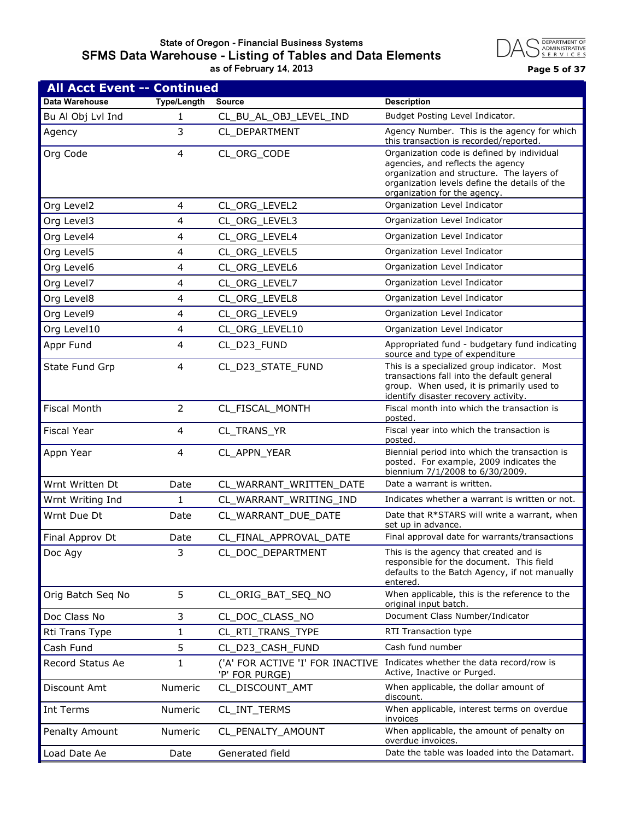#### **State of Oregon - Financial Business Systems SFMS Data Warehouse - Listing of Tables and Data Elements as of February 14, 2013 Page 5 of 37**



| <b>All Acct Event -- Continued</b> |                    |                                                    |                                                                                                                                                                                                               |  |
|------------------------------------|--------------------|----------------------------------------------------|---------------------------------------------------------------------------------------------------------------------------------------------------------------------------------------------------------------|--|
| Data Warehouse                     | <b>Type/Length</b> | <b>Source</b>                                      | <b>Description</b>                                                                                                                                                                                            |  |
| Bu Al Obj Lvl Ind                  | 1                  | CL_BU_AL_OBJ_LEVEL_IND                             | Budget Posting Level Indicator.                                                                                                                                                                               |  |
| Agency                             | 3                  | CL_DEPARTMENT                                      | Agency Number. This is the agency for which<br>this transaction is recorded/reported.                                                                                                                         |  |
| Org Code                           | 4                  | CL_ORG_CODE                                        | Organization code is defined by individual<br>agencies, and reflects the agency<br>organization and structure. The layers of<br>organization levels define the details of the<br>organization for the agency. |  |
| Org Level2                         | 4                  | CL_ORG_LEVEL2                                      | Organization Level Indicator                                                                                                                                                                                  |  |
| Org Level3                         | 4                  | CL_ORG_LEVEL3                                      | Organization Level Indicator                                                                                                                                                                                  |  |
| Org Level4                         | 4                  | CL_ORG_LEVEL4                                      | Organization Level Indicator                                                                                                                                                                                  |  |
| Org Level5                         | 4                  | CL_ORG_LEVEL5                                      | Organization Level Indicator                                                                                                                                                                                  |  |
| Org Level6                         | 4                  | CL_ORG_LEVEL6                                      | Organization Level Indicator                                                                                                                                                                                  |  |
| Org Level7                         | 4                  | CL_ORG_LEVEL7                                      | Organization Level Indicator                                                                                                                                                                                  |  |
| Org Level8                         | 4                  | CL_ORG_LEVEL8                                      | Organization Level Indicator                                                                                                                                                                                  |  |
| Org Level9                         | 4                  | CL ORG LEVEL9                                      | Organization Level Indicator                                                                                                                                                                                  |  |
| Org Level10                        | 4                  | CL ORG LEVEL10                                     | Organization Level Indicator                                                                                                                                                                                  |  |
| Appr Fund                          | 4                  | CL D23 FUND                                        | Appropriated fund - budgetary fund indicating<br>source and type of expenditure                                                                                                                               |  |
| State Fund Grp                     | 4                  | CL_D23_STATE_FUND                                  | This is a specialized group indicator. Most<br>transactions fall into the default general<br>group. When used, it is primarily used to<br>identify disaster recovery activity.                                |  |
| <b>Fiscal Month</b>                | $\overline{2}$     | CL_FISCAL_MONTH                                    | Fiscal month into which the transaction is<br>posted.                                                                                                                                                         |  |
| <b>Fiscal Year</b>                 | 4                  | CL_TRANS_YR                                        | Fiscal year into which the transaction is<br>posted.                                                                                                                                                          |  |
| Appn Year                          | 4                  | CL_APPN_YEAR                                       | Biennial period into which the transaction is<br>posted. For example, 2009 indicates the<br>biennium 7/1/2008 to 6/30/2009.                                                                                   |  |
| Wrnt Written Dt                    | Date               | CL_WARRANT_WRITTEN_DATE                            | Date a warrant is written.                                                                                                                                                                                    |  |
| Wrnt Writing Ind                   | 1                  | CL_WARRANT_WRITING_IND                             | Indicates whether a warrant is written or not.                                                                                                                                                                |  |
| Wrnt Due Dt                        | Date               | CL_WARRANT_DUE_DATE                                | Date that R*STARS will write a warrant, when<br>set up in advance.                                                                                                                                            |  |
| Final Approv Dt                    | Date               | CL FINAL APPROVAL DATE                             | Final approval date for warrants/transactions                                                                                                                                                                 |  |
| Doc Agy                            | 3                  | CL_DOC_DEPARTMENT                                  | This is the agency that created and is<br>responsible for the document. This field<br>defaults to the Batch Agency, if not manually<br>entered.                                                               |  |
| Orig Batch Seq No                  | 5                  | CL_ORIG_BAT_SEQ_NO                                 | When applicable, this is the reference to the<br>original input batch.                                                                                                                                        |  |
| Doc Class No                       | 3                  | CL DOC CLASS NO                                    | Document Class Number/Indicator                                                                                                                                                                               |  |
| Rti Trans Type                     | 1                  | CL_RTI_TRANS_TYPE                                  | RTI Transaction type                                                                                                                                                                                          |  |
| Cash Fund                          | 5                  | CL_D23_CASH_FUND                                   | Cash fund number                                                                                                                                                                                              |  |
| Record Status Ae                   | 1                  | ('A' FOR ACTIVE 'I' FOR INACTIVE<br>'P' FOR PURGE) | Indicates whether the data record/row is<br>Active, Inactive or Purged.                                                                                                                                       |  |
| Discount Amt                       | <b>Numeric</b>     | CL_DISCOUNT_AMT                                    | When applicable, the dollar amount of<br>discount.                                                                                                                                                            |  |
| Int Terms                          | Numeric            | CL_INT_TERMS                                       | When applicable, interest terms on overdue<br>invoices                                                                                                                                                        |  |
| Penalty Amount                     | Numeric            | CL_PENALTY_AMOUNT                                  | When applicable, the amount of penalty on<br>overdue invoices.                                                                                                                                                |  |
| Load Date Ae                       | Date               | Generated field                                    | Date the table was loaded into the Datamart.                                                                                                                                                                  |  |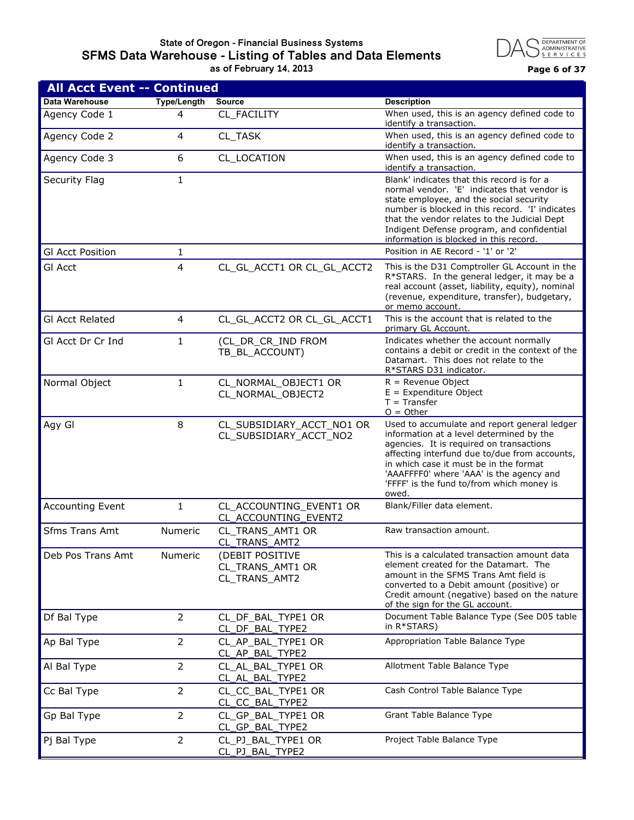#### **State of Oregon - Financial Business Systems SFMS Data Warehouse - Listing of Tables and Data Elements as of February 14, 2013 Page 6 of 37**



| <b>All Acct Event -- Continued</b> |                    |                                                      |                                                                                                                                                                                                                                                                                                                                   |
|------------------------------------|--------------------|------------------------------------------------------|-----------------------------------------------------------------------------------------------------------------------------------------------------------------------------------------------------------------------------------------------------------------------------------------------------------------------------------|
| Data Warehouse                     | <b>Type/Length</b> | <b>Source</b>                                        | <b>Description</b>                                                                                                                                                                                                                                                                                                                |
| Agency Code 1                      | 4                  | CL_FACILITY                                          | When used, this is an agency defined code to<br>identify a transaction.                                                                                                                                                                                                                                                           |
| Agency Code 2                      | $\overline{4}$     | CL TASK                                              | When used, this is an agency defined code to<br>identify a transaction.                                                                                                                                                                                                                                                           |
| Agency Code 3                      | 6                  | CL_LOCATION                                          | When used, this is an agency defined code to<br>identify a transaction.                                                                                                                                                                                                                                                           |
| Security Flag                      | 1                  |                                                      | Blank' indicates that this record is for a<br>normal vendor. 'E' indicates that vendor is<br>state employee, and the social security<br>number is blocked in this record. 'I' indicates<br>that the vendor relates to the Judicial Dept<br>Indigent Defense program, and confidential<br>information is blocked in this record.   |
| <b>GI Acct Position</b>            | 1                  |                                                      | Position in AE Record - '1' or '2'                                                                                                                                                                                                                                                                                                |
| <b>GI Acct</b>                     | $\overline{4}$     | CL_GL_ACCT1 OR CL_GL_ACCT2                           | This is the D31 Comptroller GL Account in the<br>R*STARS. In the general ledger, it may be a<br>real account (asset, liability, equity), nominal<br>(revenue, expenditure, transfer), budgetary,<br>or memo account.                                                                                                              |
| <b>GI Acct Related</b>             | 4                  | CL_GL_ACCT2 OR CL_GL_ACCT1                           | This is the account that is related to the<br>primary GL Account.                                                                                                                                                                                                                                                                 |
| GI Acct Dr Cr Ind                  | 1                  | (CL_DR_CR_IND FROM<br>TB_BL_ACCOUNT)                 | Indicates whether the account normally<br>contains a debit or credit in the context of the<br>Datamart. This does not relate to the<br>R*STARS D31 indicator.                                                                                                                                                                     |
| Normal Object                      | $\mathbf{1}$       | CL_NORMAL_OBJECT1 OR<br>CL NORMAL_OBJECT2            | $R =$ Revenue Object<br>$E =$ Expenditure Object<br>$T = Transfer$<br>$O = Other$                                                                                                                                                                                                                                                 |
| Agy Gl                             | 8                  | CL_SUBSIDIARY_ACCT_NO1 OR<br>CL_SUBSIDIARY_ACCT_NO2  | Used to accumulate and report general ledger<br>information at a level determined by the<br>agencies. It is required on transactions<br>affecting interfund due to/due from accounts,<br>in which case it must be in the format<br>'AAAFFFF0' where 'AAA' is the agency and<br>'FFFF' is the fund to/from which money is<br>owed. |
| <b>Accounting Event</b>            | $\mathbf{1}$       | CL_ACCOUNTING_EVENT1 OR<br>CL_ACCOUNTING_EVENT2      | Blank/Filler data element.                                                                                                                                                                                                                                                                                                        |
| <b>Sfms Trans Amt</b>              | <b>Numeric</b>     | CL_TRANS_AMT1 OR<br>CL_TRANS_AMT2                    | Raw transaction amount.                                                                                                                                                                                                                                                                                                           |
| Deb Pos Trans Amt                  | Numeric            | (DEBIT POSITIVE<br>CL_TRANS_AMT1 OR<br>CL_TRANS_AMT2 | This is a calculated transaction amount data<br>element created for the Datamart. The<br>amount in the SFMS Trans Amt field is<br>converted to a Debit amount (positive) or<br>Credit amount (negative) based on the nature<br>of the sign for the GL account.                                                                    |
| Df Bal Type                        | $\overline{2}$     | CL_DF_BAL_TYPE1 OR<br>CL_DF_BAL_TYPE2                | Document Table Balance Type (See D05 table<br>in R*STARS)                                                                                                                                                                                                                                                                         |
| Ap Bal Type                        | $\overline{2}$     | CL_AP_BAL_TYPE1 OR<br>CL_AP_BAL_TYPE2                | Appropriation Table Balance Type                                                                                                                                                                                                                                                                                                  |
| Al Bal Type                        | $\overline{2}$     | CL_AL_BAL_TYPE1 OR<br>CL_AL_BAL_TYPE2                | Allotment Table Balance Type                                                                                                                                                                                                                                                                                                      |
| Cc Bal Type                        | $\overline{2}$     | CL_CC_BAL_TYPE1 OR<br>CL_CC_BAL_TYPE2                | Cash Control Table Balance Type                                                                                                                                                                                                                                                                                                   |
| Gp Bal Type                        | $\overline{2}$     | CL_GP_BAL_TYPE1 OR<br>CL_GP_BAL_TYPE2                | Grant Table Balance Type                                                                                                                                                                                                                                                                                                          |
| Pj Bal Type                        | $\overline{2}$     | CL_PJ_BAL_TYPE1 OR<br>CL_PJ_BAL_TYPE2                | Project Table Balance Type                                                                                                                                                                                                                                                                                                        |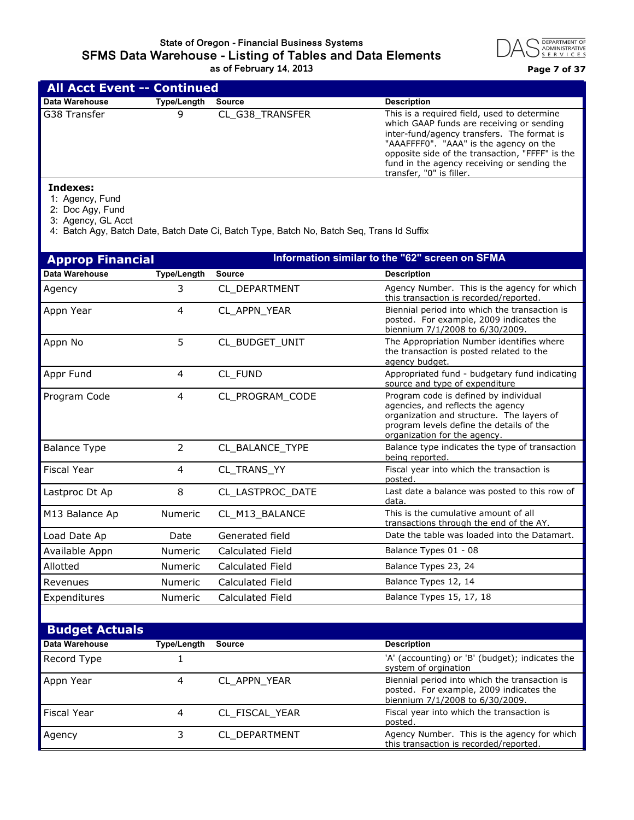

|                | <b>All Acct Event -- Continued</b> |                 |                                                                                                                                                                                                                                                                                                                |  |  |
|----------------|------------------------------------|-----------------|----------------------------------------------------------------------------------------------------------------------------------------------------------------------------------------------------------------------------------------------------------------------------------------------------------------|--|--|
| Data Warehouse | Type/Length                        | <b>Source</b>   | <b>Description</b>                                                                                                                                                                                                                                                                                             |  |  |
| G38 Transfer   | 9                                  | CL G38 TRANSFER | This is a required field, used to determine<br>which GAAP funds are receiving or sending<br>inter-fund/agency transfers. The format is<br>"AAAFFFF0". "AAA" is the agency on the<br>opposite side of the transaction, "FFFF" is the<br>fund in the agency receiving or sending the<br>transfer, "0" is filler. |  |  |
| Indexes:       |                                    |                 |                                                                                                                                                                                                                                                                                                                |  |  |

1: Agency, Fund

2: Doc Agy, Fund

3: Agency, GL Acct

4: Batch Agy, Batch Date, Batch Date Ci, Batch Type, Batch No, Batch Seq, Trans Id Suffix

| <b>Approp Financial</b> |                    |                  | Information similar to the "62" screen on SFMA                                                                                                                                                      |
|-------------------------|--------------------|------------------|-----------------------------------------------------------------------------------------------------------------------------------------------------------------------------------------------------|
| Data Warehouse          | <b>Type/Length</b> | <b>Source</b>    | <b>Description</b>                                                                                                                                                                                  |
| Agency                  | 3                  | CL DEPARTMENT    | Agency Number. This is the agency for which<br>this transaction is recorded/reported.                                                                                                               |
| Appn Year               | $\overline{4}$     | CL APPN YEAR     | Biennial period into which the transaction is<br>posted. For example, 2009 indicates the<br>biennium 7/1/2008 to 6/30/2009.                                                                         |
| Appn No                 | 5                  | CL_BUDGET_UNIT   | The Appropriation Number identifies where<br>the transaction is posted related to the<br>agency budget.                                                                                             |
| Appr Fund               | 4                  | CL FUND          | Appropriated fund - budgetary fund indicating<br>source and type of expenditure                                                                                                                     |
| Program Code            | $\overline{4}$     | CL_PROGRAM_CODE  | Program code is defined by individual<br>agencies, and reflects the agency<br>organization and structure. The layers of<br>program levels define the details of the<br>organization for the agency. |
| <b>Balance Type</b>     | 2                  | CL BALANCE TYPE  | Balance type indicates the type of transaction<br>being reported.                                                                                                                                   |
| <b>Fiscal Year</b>      | $\overline{4}$     | CL TRANS YY      | Fiscal year into which the transaction is<br>posted.                                                                                                                                                |
| Lastproc Dt Ap          | 8                  | CL LASTPROC DATE | Last date a balance was posted to this row of<br>data.                                                                                                                                              |
| M13 Balance Ap          | <b>Numeric</b>     | CL M13 BALANCE   | This is the cumulative amount of all<br>transactions through the end of the AY.                                                                                                                     |
| Load Date Ap            | Date               | Generated field  | Date the table was loaded into the Datamart.                                                                                                                                                        |
| Available Appn          | <b>Numeric</b>     | Calculated Field | Balance Types 01 - 08                                                                                                                                                                               |
| Allotted                | <b>Numeric</b>     | Calculated Field | Balance Types 23, 24                                                                                                                                                                                |
| Revenues                | <b>Numeric</b>     | Calculated Field | Balance Types 12, 14                                                                                                                                                                                |
| Expenditures            | Numeric            | Calculated Field | Balance Types 15, 17, 18                                                                                                                                                                            |
|                         |                    |                  |                                                                                                                                                                                                     |

| <b>Budget Actuals</b> |             |                |                                                                                                                             |
|-----------------------|-------------|----------------|-----------------------------------------------------------------------------------------------------------------------------|
| <b>Data Warehouse</b> | Type/Length | <b>Source</b>  | <b>Description</b>                                                                                                          |
| Record Type           |             |                | 'A' (accounting) or 'B' (budget); indicates the<br>system of orgination                                                     |
| Appn Year             | 4           | CL APPN YEAR   | Biennial period into which the transaction is<br>posted. For example, 2009 indicates the<br>biennium 7/1/2008 to 6/30/2009. |
| Fiscal Year           | 4           | CL FISCAL YEAR | Fiscal year into which the transaction is<br>posted.                                                                        |
| Agency                |             | CL DEPARTMENT  | Agency Number. This is the agency for which<br>this transaction is recorded/reported.                                       |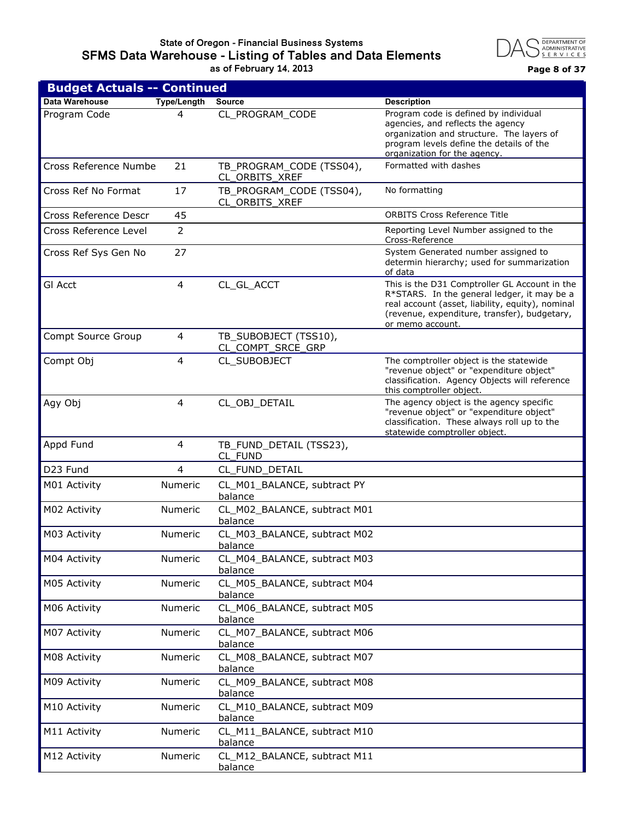

| <b>Budget Actuals -- Continued</b> |                    |                                            |                                                                                                                                                                                                                      |  |
|------------------------------------|--------------------|--------------------------------------------|----------------------------------------------------------------------------------------------------------------------------------------------------------------------------------------------------------------------|--|
| Data Warehouse                     | <b>Type/Length</b> | <b>Source</b>                              | <b>Description</b>                                                                                                                                                                                                   |  |
| Program Code                       | 4                  | CL_PROGRAM_CODE                            | Program code is defined by individual<br>agencies, and reflects the agency<br>organization and structure. The layers of<br>program levels define the details of the<br>organization for the agency.                  |  |
| Cross Reference Numbe              | 21                 | TB_PROGRAM_CODE (TSS04),<br>CL_ORBITS_XREF | Formatted with dashes                                                                                                                                                                                                |  |
| Cross Ref No Format                | 17                 | TB PROGRAM CODE (TSS04),<br>CL_ORBITS_XREF | No formatting                                                                                                                                                                                                        |  |
| Cross Reference Descr              | 45                 |                                            | <b>ORBITS Cross Reference Title</b>                                                                                                                                                                                  |  |
| Cross Reference Level              | 2                  |                                            | Reporting Level Number assigned to the<br>Cross-Reference                                                                                                                                                            |  |
| Cross Ref Sys Gen No               | 27                 |                                            | System Generated number assigned to<br>determin hierarchy; used for summarization<br>of data                                                                                                                         |  |
| <b>GI Acct</b>                     | 4                  | CL GL ACCT                                 | This is the D31 Comptroller GL Account in the<br>R*STARS. In the general ledger, it may be a<br>real account (asset, liability, equity), nominal<br>(revenue, expenditure, transfer), budgetary,<br>or memo account. |  |
| Compt Source Group                 | $\overline{4}$     | TB_SUBOBJECT (TSS10),<br>CL COMPT SRCE GRP |                                                                                                                                                                                                                      |  |
| Compt Obj                          | 4                  | CL_SUBOBJECT                               | The comptroller object is the statewide<br>"revenue object" or "expenditure object"<br>classification. Agency Objects will reference<br>this comptroller object.                                                     |  |
| Agy Obj                            | 4                  | CL_OBJ_DETAIL                              | The agency object is the agency specific<br>"revenue object" or "expenditure object"<br>classification. These always roll up to the<br>statewide comptroller object.                                                 |  |
| Appd Fund                          | 4                  | TB_FUND_DETAIL (TSS23),<br>CL FUND         |                                                                                                                                                                                                                      |  |
| D23 Fund                           | 4                  | CL_FUND_DETAIL                             |                                                                                                                                                                                                                      |  |
| M01 Activity                       | Numeric            | CL_M01_BALANCE, subtract PY<br>balance     |                                                                                                                                                                                                                      |  |
| M02 Activity                       | Numeric            | CL_M02_BALANCE, subtract M01<br>balance    |                                                                                                                                                                                                                      |  |
| M03 Activity                       | Numeric            | CL_M03_BALANCE, subtract M02<br>balance    |                                                                                                                                                                                                                      |  |
| M04 Activity                       | Numeric            | CL_M04_BALANCE, subtract M03<br>balance    |                                                                                                                                                                                                                      |  |
| M05 Activity                       | Numeric            | CL_M05_BALANCE, subtract M04<br>balance    |                                                                                                                                                                                                                      |  |
| M06 Activity                       | Numeric            | CL_M06_BALANCE, subtract M05<br>balance    |                                                                                                                                                                                                                      |  |
| M07 Activity                       | Numeric            | CL_M07_BALANCE, subtract M06<br>balance    |                                                                                                                                                                                                                      |  |
| M08 Activity                       | Numeric            | CL_M08_BALANCE, subtract M07<br>balance    |                                                                                                                                                                                                                      |  |
| M09 Activity                       | Numeric            | CL_M09_BALANCE, subtract M08<br>balance    |                                                                                                                                                                                                                      |  |
| M10 Activity                       | Numeric            | CL_M10_BALANCE, subtract M09<br>balance    |                                                                                                                                                                                                                      |  |
| M11 Activity                       | Numeric            | CL_M11_BALANCE, subtract M10<br>balance    |                                                                                                                                                                                                                      |  |
| M12 Activity                       | Numeric            | CL_M12_BALANCE, subtract M11<br>balance    |                                                                                                                                                                                                                      |  |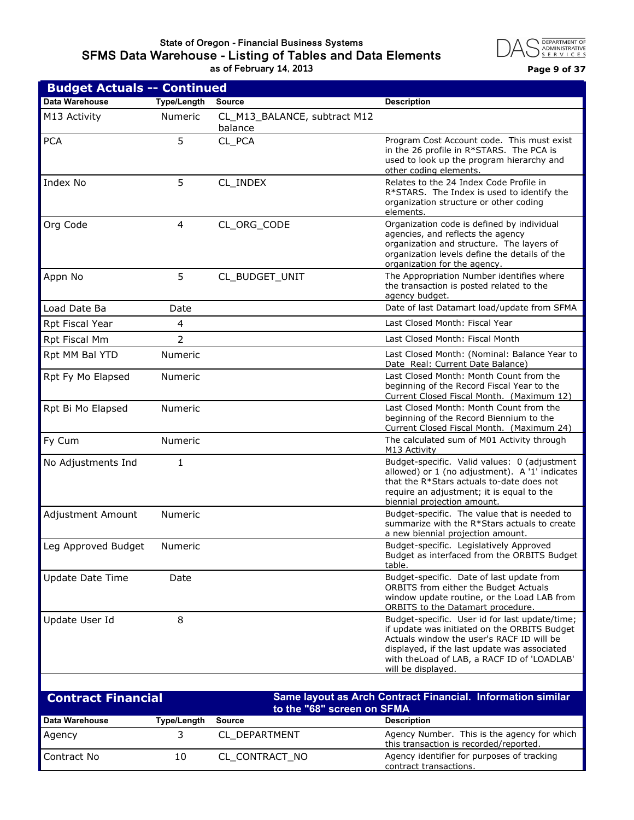#### **State of Oregon - Financial Business Systems SFMS Data Warehouse - Listing of Tables and Data Elements as of February 14, 2013 Page 9 of 37**



| <b>Budget Actuals -- Continued</b> |                    |                                         |                                                                                                                                                                                                                                                                   |
|------------------------------------|--------------------|-----------------------------------------|-------------------------------------------------------------------------------------------------------------------------------------------------------------------------------------------------------------------------------------------------------------------|
| Data Warehouse                     | <b>Type/Length</b> | <b>Source</b>                           | <b>Description</b>                                                                                                                                                                                                                                                |
| M13 Activity                       | <b>Numeric</b>     | CL_M13_BALANCE, subtract M12<br>balance |                                                                                                                                                                                                                                                                   |
| <b>PCA</b>                         | 5                  | CL PCA                                  | Program Cost Account code. This must exist<br>in the 26 profile in R*STARS. The PCA is<br>used to look up the program hierarchy and<br>other coding elements.                                                                                                     |
| Index No                           | 5                  | CL_INDEX                                | Relates to the 24 Index Code Profile in<br>R*STARS. The Index is used to identify the<br>organization structure or other coding<br>elements.                                                                                                                      |
| Org Code                           | $\overline{4}$     | CL_ORG_CODE                             | Organization code is defined by individual<br>agencies, and reflects the agency<br>organization and structure. The layers of<br>organization levels define the details of the<br>organization for the agency.                                                     |
| Appn No                            | 5                  | CL_BUDGET_UNIT                          | The Appropriation Number identifies where<br>the transaction is posted related to the<br>agency budget.                                                                                                                                                           |
| Load Date Ba                       | Date               |                                         | Date of last Datamart load/update from SFMA                                                                                                                                                                                                                       |
| Rpt Fiscal Year                    | 4                  |                                         | Last Closed Month: Fiscal Year                                                                                                                                                                                                                                    |
| Rpt Fiscal Mm                      | $\overline{2}$     |                                         | Last Closed Month: Fiscal Month                                                                                                                                                                                                                                   |
| Rpt MM Bal YTD                     | Numeric            |                                         | Last Closed Month: (Nominal: Balance Year to<br>Date Real: Current Date Balance)                                                                                                                                                                                  |
| Rpt Fy Mo Elapsed                  | Numeric            |                                         | Last Closed Month: Month Count from the<br>beginning of the Record Fiscal Year to the<br>Current Closed Fiscal Month. (Maximum 12)                                                                                                                                |
| Rpt Bi Mo Elapsed                  | Numeric            |                                         | Last Closed Month: Month Count from the<br>beginning of the Record Biennium to the<br>Current Closed Fiscal Month. (Maximum 24)                                                                                                                                   |
| Fy Cum                             | Numeric            |                                         | The calculated sum of M01 Activity through<br>M13 Activity                                                                                                                                                                                                        |
| No Adjustments Ind                 | 1                  |                                         | Budget-specific. Valid values: 0 (adjustment<br>allowed) or 1 (no adjustment). A '1' indicates<br>that the R*Stars actuals to-date does not<br>require an adjustment; it is equal to the<br>biennial projection amount.                                           |
| Adjustment Amount                  | <b>Numeric</b>     |                                         | Budget-specific. The value that is needed to<br>summarize with the R*Stars actuals to create<br>a new biennial projection amount.                                                                                                                                 |
| Leg Approved Budget                | Numeric            |                                         | Budget-specific. Legislatively Approved<br>Budget as interfaced from the ORBITS Budget<br>table.                                                                                                                                                                  |
| <b>Update Date Time</b>            | Date               |                                         | Budget-specific. Date of last update from<br>ORBITS from either the Budget Actuals<br>window update routine, or the Load LAB from<br>ORBITS to the Datamart procedure.                                                                                            |
| Update User Id                     | 8                  |                                         | Budget-specific. User id for last update/time;<br>if update was initiated on the ORBITS Budget<br>Actuals window the user's RACF ID will be<br>displayed, if the last update was associated<br>with the Load of LAB, a RACF ID of 'LOADLAB'<br>will be displayed. |

| <b>Contract Financial</b> |                    | Same layout as Arch Contract Financial. Information similar<br>to the "68" screen on SFMA |                                                                                       |
|---------------------------|--------------------|-------------------------------------------------------------------------------------------|---------------------------------------------------------------------------------------|
| Data Warehouse            | <b>Type/Length</b> | <b>Source</b>                                                                             | <b>Description</b>                                                                    |
| Agency                    |                    | CL DEPARTMENT                                                                             | Agency Number. This is the agency for which<br>this transaction is recorded/reported. |
| Contract No               | 10                 | CL CONTRACT NO                                                                            | Agency identifier for purposes of tracking<br>contract transactions.                  |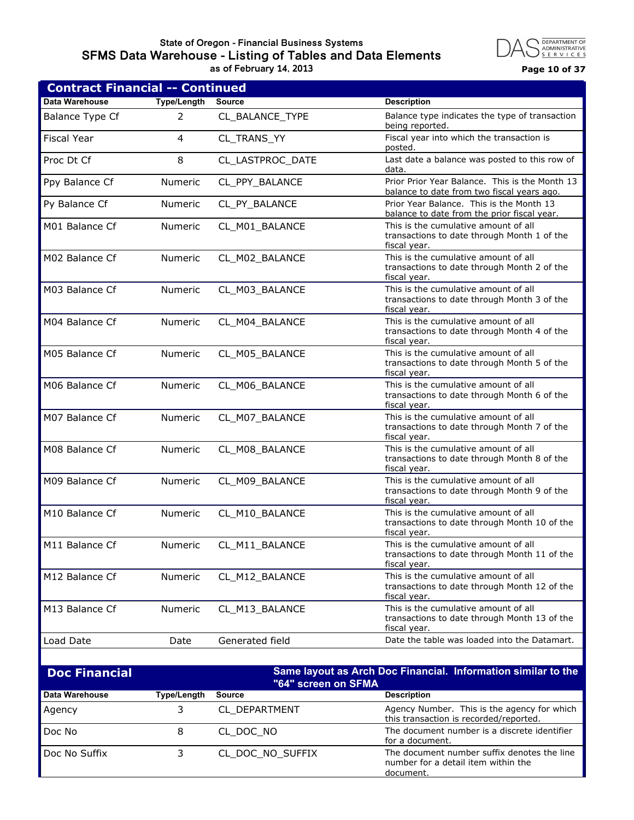## **State of Oregon - Financial Business Systems SFMS Data Warehouse - Listing of Tables and Data Elements as of February 14, 2013 Page 10 of 37**



| <b>Contract Financial -- Continued</b> |                    |                     |                                                                                                             |  |
|----------------------------------------|--------------------|---------------------|-------------------------------------------------------------------------------------------------------------|--|
| Data Warehouse                         | Type/Length        | <b>Source</b>       | <b>Description</b>                                                                                          |  |
| <b>Balance Type Cf</b>                 | 2                  | CL BALANCE TYPE     | Balance type indicates the type of transaction<br>being reported.                                           |  |
| <b>Fiscal Year</b>                     | 4                  | CL TRANS YY         | Fiscal year into which the transaction is<br>posted.                                                        |  |
| Proc Dt Cf                             | 8                  | CL_LASTPROC_DATE    | Last date a balance was posted to this row of<br>data.                                                      |  |
| Ppy Balance Cf                         | Numeric            | CL_PPY_BALANCE      | Prior Prior Year Balance. This is the Month 13<br>balance to date from two fiscal years ago.                |  |
| Py Balance Cf                          | Numeric            | CL_PY_BALANCE       | Prior Year Balance. This is the Month 13<br>balance to date from the prior fiscal year.                     |  |
| M01 Balance Cf                         | Numeric            | CL_M01_BALANCE      | This is the cumulative amount of all<br>transactions to date through Month 1 of the<br>fiscal year.         |  |
| M02 Balance Cf                         | Numeric            | CL_M02_BALANCE      | This is the cumulative amount of all<br>transactions to date through Month 2 of the<br>fiscal year.         |  |
| M03 Balance Cf                         | Numeric            | CL_M03_BALANCE      | This is the cumulative amount of all<br>transactions to date through Month 3 of the<br>fiscal year.         |  |
| M04 Balance Cf                         | Numeric            | CL M04 BALANCE      | This is the cumulative amount of all<br>transactions to date through Month 4 of the<br>fiscal year.         |  |
| M05 Balance Cf                         | Numeric            | CL_M05_BALANCE      | This is the cumulative amount of all<br>transactions to date through Month 5 of the<br>fiscal year.         |  |
| M06 Balance Cf                         | Numeric            | CL_M06_BALANCE      | This is the cumulative amount of all<br>transactions to date through Month 6 of the<br>fiscal year.         |  |
| M07 Balance Cf                         | Numeric            | CL_M07_BALANCE      | This is the cumulative amount of all<br>transactions to date through Month 7 of the<br>fiscal year.         |  |
| M08 Balance Cf                         | Numeric            | CL_M08_BALANCE      | This is the cumulative amount of all<br>transactions to date through Month 8 of the<br>fiscal year.         |  |
| M09 Balance Cf                         | Numeric            | CL_M09_BALANCE      | This is the cumulative amount of all<br>transactions to date through Month 9 of the<br>fiscal year.         |  |
| M10 Balance Cf                         | Numeric            | CL_M10_BALANCE      | This is the cumulative amount of all<br>transactions to date through Month 10 of the<br><u>fiscal year.</u> |  |
| M11 Balance Cf                         | Numeric            | CL_M11_BALANCE      | This is the cumulative amount of all<br>transactions to date through Month 11 of the<br>fiscal year.        |  |
| M12 Balance Cf                         | Numeric            | CL_M12_BALANCE      | This is the cumulative amount of all<br>transactions to date through Month 12 of the<br>fiscal year.        |  |
| M13 Balance Cf                         | Numeric            | CL_M13_BALANCE      | This is the cumulative amount of all<br>transactions to date through Month 13 of the<br>fiscal year.        |  |
| Load Date                              | Date               | Generated field     | Date the table was loaded into the Datamart.                                                                |  |
| <b>Doc Financial</b>                   |                    | "64" screen on SFMA | Same layout as Arch Doc Financial. Information similar to the                                               |  |
| Data Warehouse                         | <b>Type/Length</b> | <b>Source</b>       | <b>Description</b>                                                                                          |  |
| Agency                                 | 3                  | CL_DEPARTMENT       | Agency Number. This is the agency for which<br>this transaction is recorded/reported.                       |  |
| Doc No                                 | 8                  | CL_DOC_NO           | The document number is a discrete identifier<br>for a document.                                             |  |

Doc No Suffix 3 CL\_DOC\_NO\_SUFFIX The document number suffix denotes the line

number for a detail item within the

document.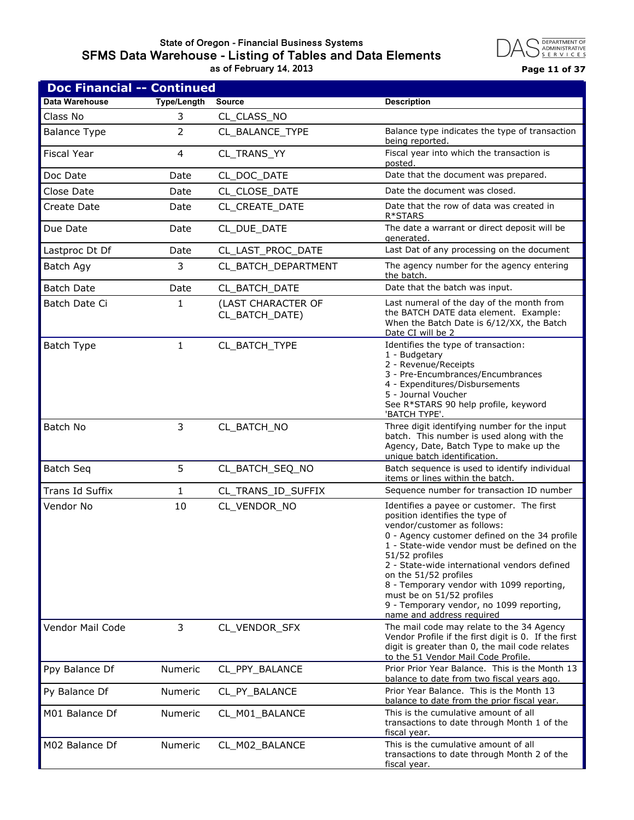#### **State of Oregon - Financial Business Systems SFMS Data Warehouse - Listing of Tables and Data Elements as of February 14, 2013 Page 11 of 37**



| <b>Doc Financial -- Continued</b> |                    |                                      |                                                                                                                                                                                                                                                                                                                                                                                                                                                            |
|-----------------------------------|--------------------|--------------------------------------|------------------------------------------------------------------------------------------------------------------------------------------------------------------------------------------------------------------------------------------------------------------------------------------------------------------------------------------------------------------------------------------------------------------------------------------------------------|
| Data Warehouse                    | <b>Type/Length</b> | <b>Source</b>                        | <b>Description</b>                                                                                                                                                                                                                                                                                                                                                                                                                                         |
| Class No                          | 3                  | CL_CLASS_NO                          |                                                                                                                                                                                                                                                                                                                                                                                                                                                            |
| <b>Balance Type</b>               | 2                  | CL_BALANCE_TYPE                      | Balance type indicates the type of transaction<br>being reported.                                                                                                                                                                                                                                                                                                                                                                                          |
| <b>Fiscal Year</b>                | 4                  | CL_TRANS_YY                          | Fiscal year into which the transaction is<br>posted.                                                                                                                                                                                                                                                                                                                                                                                                       |
| Doc Date                          | Date               | CL_DOC_DATE                          | Date that the document was prepared.                                                                                                                                                                                                                                                                                                                                                                                                                       |
| Close Date                        | Date               | CL CLOSE DATE                        | Date the document was closed.                                                                                                                                                                                                                                                                                                                                                                                                                              |
| Create Date                       | Date               | CL CREATE DATE                       | Date that the row of data was created in<br>R*STARS                                                                                                                                                                                                                                                                                                                                                                                                        |
| Due Date                          | Date               | CL_DUE_DATE                          | The date a warrant or direct deposit will be<br>generated.                                                                                                                                                                                                                                                                                                                                                                                                 |
| Lastproc Dt Df                    | Date               | CL_LAST_PROC_DATE                    | Last Dat of any processing on the document                                                                                                                                                                                                                                                                                                                                                                                                                 |
| Batch Agy                         | 3                  | CL_BATCH_DEPARTMENT                  | The agency number for the agency entering<br>the batch.                                                                                                                                                                                                                                                                                                                                                                                                    |
| <b>Batch Date</b>                 | Date               | CL_BATCH_DATE                        | Date that the batch was input.                                                                                                                                                                                                                                                                                                                                                                                                                             |
| Batch Date Ci                     | 1                  | (LAST CHARACTER OF<br>CL_BATCH_DATE) | Last numeral of the day of the month from<br>the BATCH DATE data element. Example:<br>When the Batch Date is 6/12/XX, the Batch<br>Date CI will be 2                                                                                                                                                                                                                                                                                                       |
| Batch Type                        | $\mathbf{1}$       | CL_BATCH_TYPE                        | Identifies the type of transaction:<br>1 - Budgetary<br>2 - Revenue/Receipts<br>3 - Pre-Encumbrances/Encumbrances<br>4 - Expenditures/Disbursements<br>5 - Journal Voucher<br>See R*STARS 90 help profile, keyword<br>'BATCH TYPE'.                                                                                                                                                                                                                        |
| Batch No                          | 3                  | CL_BATCH_NO                          | Three digit identifying number for the input<br>batch. This number is used along with the<br>Agency, Date, Batch Type to make up the<br>unique batch identification.                                                                                                                                                                                                                                                                                       |
| <b>Batch Seq</b>                  | 5                  | CL_BATCH_SEQ_NO                      | Batch sequence is used to identify individual<br>items or lines within the batch.                                                                                                                                                                                                                                                                                                                                                                          |
| Trans Id Suffix                   | 1                  | CL_TRANS_ID_SUFFIX                   | Sequence number for transaction ID number                                                                                                                                                                                                                                                                                                                                                                                                                  |
| Vendor No                         | 10                 | CL_VENDOR_NO                         | Identifies a payee or customer. The first<br>position identifies the type of<br>vendor/customer as follows:<br>0 - Agency customer defined on the 34 profile<br>1 - State-wide vendor must be defined on the<br>51/52 profiles<br>2 - State-wide international vendors defined<br>on the 51/52 profiles<br>8 - Temporary vendor with 1099 reporting,<br>must be on 51/52 profiles<br>9 - Temporary vendor, no 1099 reporting,<br>name and address required |
| Vendor Mail Code                  | 3                  | CL_VENDOR_SFX                        | The mail code may relate to the 34 Agency<br>Vendor Profile if the first digit is 0. If the first<br>digit is greater than 0, the mail code relates<br>to the 51 Vendor Mail Code Profile.                                                                                                                                                                                                                                                                 |
| Ppy Balance Df                    | Numeric            | CL_PPY_BALANCE                       | Prior Prior Year Balance. This is the Month 13<br>balance to date from two fiscal years ago.                                                                                                                                                                                                                                                                                                                                                               |
| Py Balance Df                     | Numeric            | CL_PY_BALANCE                        | Prior Year Balance. This is the Month 13<br>balance to date from the prior fiscal year.                                                                                                                                                                                                                                                                                                                                                                    |
| M01 Balance Df                    | Numeric            | CL_M01_BALANCE                       | This is the cumulative amount of all<br>transactions to date through Month 1 of the<br>fiscal year.                                                                                                                                                                                                                                                                                                                                                        |
| M02 Balance Df                    | Numeric            | CL_M02_BALANCE                       | This is the cumulative amount of all<br>transactions to date through Month 2 of the<br>fiscal year.                                                                                                                                                                                                                                                                                                                                                        |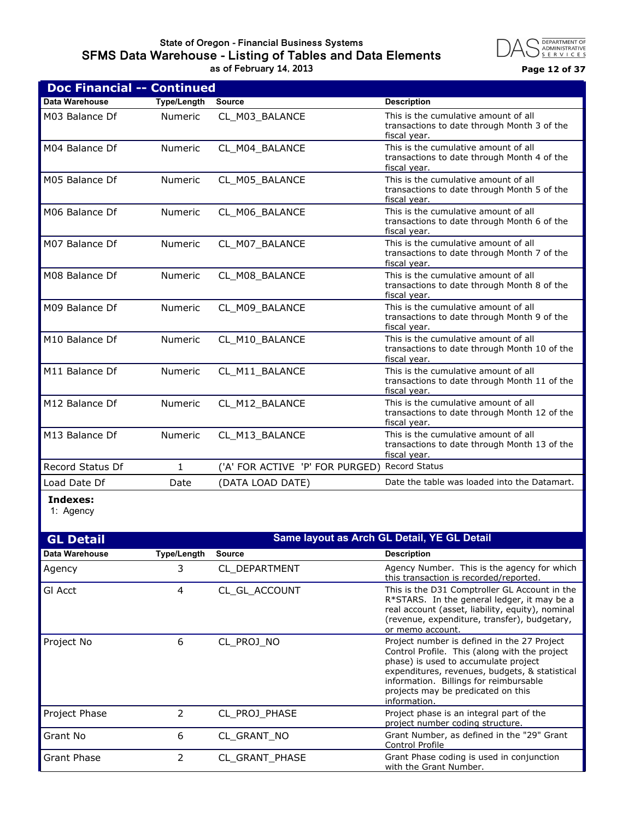## **State of Oregon - Financial Business Systems SFMS Data Warehouse - Listing of Tables and Data Elements as of February 14, 2013 Page 12 of 37**



| <b>Doc Financial -- Continued</b> |                    |                                               |                                                                                                      |
|-----------------------------------|--------------------|-----------------------------------------------|------------------------------------------------------------------------------------------------------|
| Data Warehouse                    | <b>Type/Length</b> | <b>Source</b>                                 | <b>Description</b>                                                                                   |
| M03 Balance Df                    | <b>Numeric</b>     | CL_M03_BALANCE                                | This is the cumulative amount of all<br>transactions to date through Month 3 of the<br>fiscal year.  |
| M04 Balance Df                    | <b>Numeric</b>     | CL M04 BALANCE                                | This is the cumulative amount of all<br>transactions to date through Month 4 of the<br>fiscal year.  |
| M05 Balance Df                    | <b>Numeric</b>     | CL_M05_BALANCE                                | This is the cumulative amount of all<br>transactions to date through Month 5 of the<br>fiscal year.  |
| M06 Balance Df                    | Numeric            | CL_M06_BALANCE                                | This is the cumulative amount of all<br>transactions to date through Month 6 of the<br>fiscal year.  |
| M07 Balance Df                    | <b>Numeric</b>     | CL M07 BALANCE                                | This is the cumulative amount of all<br>transactions to date through Month 7 of the<br>fiscal year.  |
| M08 Balance Df                    | Numeric            | CL_M08_BALANCE                                | This is the cumulative amount of all<br>transactions to date through Month 8 of the<br>fiscal year.  |
| M09 Balance Df                    | Numeric            | CL_M09_BALANCE                                | This is the cumulative amount of all<br>transactions to date through Month 9 of the<br>fiscal vear.  |
| M10 Balance Df                    | <b>Numeric</b>     | CL M10 BALANCE                                | This is the cumulative amount of all<br>transactions to date through Month 10 of the<br>fiscal year. |
| M11 Balance Df                    | <b>Numeric</b>     | CL M11 BALANCE                                | This is the cumulative amount of all<br>transactions to date through Month 11 of the<br>fiscal year. |
| M12 Balance Df                    | <b>Numeric</b>     | CL_M12_BALANCE                                | This is the cumulative amount of all<br>transactions to date through Month 12 of the<br>fiscal year. |
| M13 Balance Df                    | Numeric            | CL_M13_BALANCE                                | This is the cumulative amount of all<br>transactions to date through Month 13 of the<br>fiscal year. |
| Record Status Df                  | 1                  | ('A' FOR ACTIVE 'P' FOR PURGED) Record Status |                                                                                                      |
| Load Date Df                      | Date               | (DATA LOAD DATE)                              | Date the table was loaded into the Datamart.                                                         |
|                                   |                    |                                               |                                                                                                      |

**Indexes:**

1: Agency

| <b>GL Detail</b>      |                    |                       | Same layout as Arch GL Detail, YE GL Detail                                                                                                                                                                                                                                            |
|-----------------------|--------------------|-----------------------|----------------------------------------------------------------------------------------------------------------------------------------------------------------------------------------------------------------------------------------------------------------------------------------|
| <b>Data Warehouse</b> | <b>Type/Length</b> | <b>Source</b>         | <b>Description</b>                                                                                                                                                                                                                                                                     |
| Agency                | 3                  | CL DEPARTMENT         | Agency Number. This is the agency for which<br>this transaction is recorded/reported.                                                                                                                                                                                                  |
| GI Acct               | 4                  | CL GL ACCOUNT         | This is the D31 Comptroller GL Account in the<br>R*STARS. In the general ledger, it may be a<br>real account (asset, liability, equity), nominal<br>(revenue, expenditure, transfer), budgetary,<br>or memo account.                                                                   |
| Project No            | 6                  | CL PROJ NO            | Project number is defined in the 27 Project<br>Control Profile. This (along with the project<br>phase) is used to accumulate project<br>expenditures, revenues, budgets, & statistical<br>information. Billings for reimbursable<br>projects may be predicated on this<br>information. |
| Project Phase         | 2                  | CL PROJ PHASE         | Project phase is an integral part of the<br>project number coding structure.                                                                                                                                                                                                           |
| Grant No              | 6                  | CL GRANT NO           | Grant Number, as defined in the "29" Grant<br>Control Profile                                                                                                                                                                                                                          |
| Grant Phase           | 2                  | <b>CL GRANT PHASE</b> | Grant Phase coding is used in conjunction<br>with the Grant Number.                                                                                                                                                                                                                    |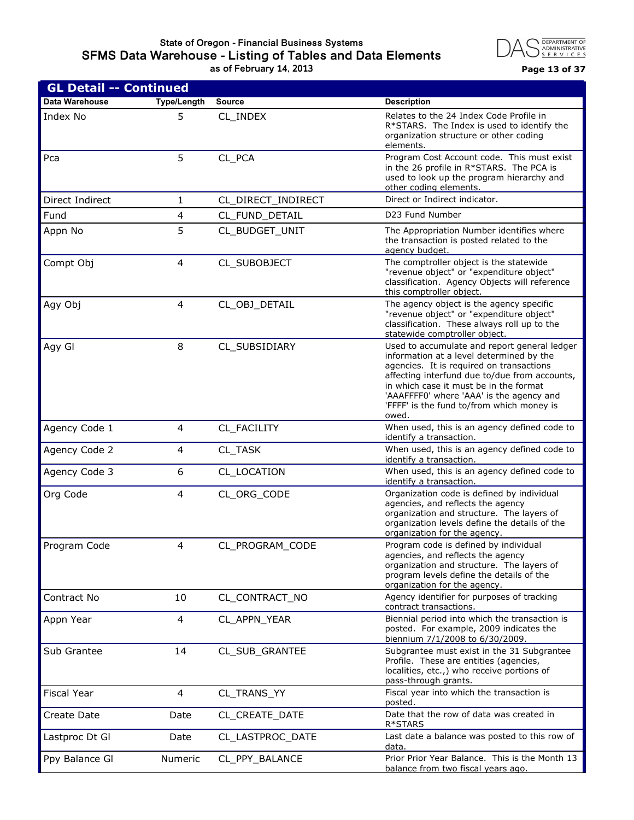#### **State of Oregon - Financial Business Systems SFMS Data Warehouse - Listing of Tables and Data Elements as of February 14, 2013 Page 13 of 37**



| <b>GL Detail -- Continued</b> |                    |                    |                                                                                                                                                                                                                                                                                                                                   |
|-------------------------------|--------------------|--------------------|-----------------------------------------------------------------------------------------------------------------------------------------------------------------------------------------------------------------------------------------------------------------------------------------------------------------------------------|
| Data Warehouse                | <b>Type/Length</b> | <b>Source</b>      | <b>Description</b>                                                                                                                                                                                                                                                                                                                |
| Index No                      | 5                  | CL_INDEX           | Relates to the 24 Index Code Profile in<br>R*STARS. The Index is used to identify the<br>organization structure or other coding<br>elements.                                                                                                                                                                                      |
| Pca                           | 5                  | CL_PCA             | Program Cost Account code. This must exist<br>in the 26 profile in R*STARS. The PCA is<br>used to look up the program hierarchy and<br>other coding elements.                                                                                                                                                                     |
| Direct Indirect               | 1                  | CL_DIRECT_INDIRECT | Direct or Indirect indicator.                                                                                                                                                                                                                                                                                                     |
| Fund                          | 4                  | CL_FUND_DETAIL     | D23 Fund Number                                                                                                                                                                                                                                                                                                                   |
| Appn No                       | 5                  | CL_BUDGET_UNIT     | The Appropriation Number identifies where<br>the transaction is posted related to the<br>agency budget.                                                                                                                                                                                                                           |
| Compt Obj                     | 4                  | CL_SUBOBJECT       | The comptroller object is the statewide<br>"revenue object" or "expenditure object"<br>classification. Agency Objects will reference<br>this comptroller object.                                                                                                                                                                  |
| Agy Obj                       | 4                  | CL_OBJ_DETAIL      | The agency object is the agency specific<br>"revenue object" or "expenditure object"<br>classification. These always roll up to the<br>statewide comptroller object.                                                                                                                                                              |
| Agy Gl                        | 8                  | CL_SUBSIDIARY      | Used to accumulate and report general ledger<br>information at a level determined by the<br>agencies. It is required on transactions<br>affecting interfund due to/due from accounts,<br>in which case it must be in the format<br>'AAAFFFF0' where 'AAA' is the agency and<br>'FFFF' is the fund to/from which money is<br>owed. |
| Agency Code 1                 | 4                  | CL_FACILITY        | When used, this is an agency defined code to<br>identify a transaction.                                                                                                                                                                                                                                                           |
| Agency Code 2                 | 4                  | CL_TASK            | When used, this is an agency defined code to<br>identify a transaction.                                                                                                                                                                                                                                                           |
| Agency Code 3                 | 6                  | CL_LOCATION        | When used, this is an agency defined code to<br>identify a transaction.                                                                                                                                                                                                                                                           |
| Org Code                      | 4                  | CL_ORG_CODE        | Organization code is defined by individual<br>agencies, and reflects the agency<br>organization and structure. The layers of<br>organization levels define the details of the<br>organization for the agency.                                                                                                                     |
| Program Code                  | 4                  | CL_PROGRAM_CODE    | Program code is defined by individual<br>agencies, and reflects the agency<br>organization and structure. The layers of<br>program levels define the details of the<br>organization for the agency.                                                                                                                               |
| Contract No                   | 10                 | CL_CONTRACT_NO     | Agency identifier for purposes of tracking<br>contract transactions.                                                                                                                                                                                                                                                              |
| Appn Year                     | 4                  | CL_APPN_YEAR       | Biennial period into which the transaction is<br>posted. For example, 2009 indicates the<br>biennium 7/1/2008 to 6/30/2009.                                                                                                                                                                                                       |
| Sub Grantee                   | 14                 | CL_SUB_GRANTEE     | Subgrantee must exist in the 31 Subgrantee<br>Profile. These are entities (agencies,<br>localities, etc.,) who receive portions of<br>pass-through grants.                                                                                                                                                                        |
| <b>Fiscal Year</b>            | 4                  | CL_TRANS_YY        | Fiscal year into which the transaction is<br>posted.                                                                                                                                                                                                                                                                              |
| Create Date                   | Date               | CL_CREATE_DATE     | Date that the row of data was created in<br>R*STARS                                                                                                                                                                                                                                                                               |
| Lastproc Dt Gl                | Date               | CL_LASTPROC_DATE   | Last date a balance was posted to this row of<br>data.                                                                                                                                                                                                                                                                            |
| Ppy Balance GI                | Numeric            | CL_PPY_BALANCE     | Prior Prior Year Balance. This is the Month 13<br>balance from two fiscal years ago.                                                                                                                                                                                                                                              |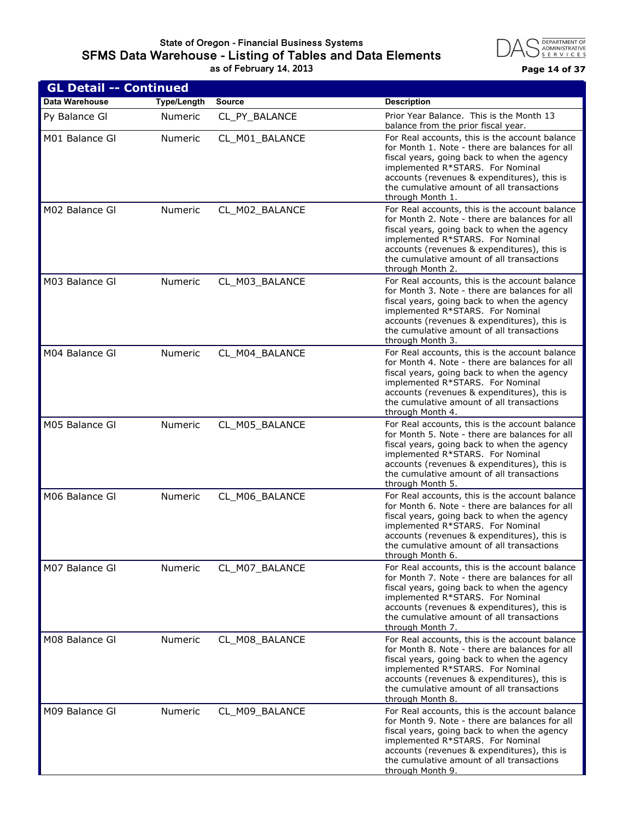#### **State of Oregon - Financial Business Systems SFMS Data Warehouse - Listing of Tables and Data Elements as of February 14, 2013 Page 14 of 37**



| <b>GL Detail -- Continued</b> |                    |                |                                                                                                                                                                                                                                                                                                     |
|-------------------------------|--------------------|----------------|-----------------------------------------------------------------------------------------------------------------------------------------------------------------------------------------------------------------------------------------------------------------------------------------------------|
| <b>Data Warehouse</b>         | <b>Type/Length</b> | <b>Source</b>  | <b>Description</b>                                                                                                                                                                                                                                                                                  |
| Py Balance GI                 | <b>Numeric</b>     | CL_PY_BALANCE  | Prior Year Balance. This is the Month 13<br>balance from the prior fiscal year.                                                                                                                                                                                                                     |
| M01 Balance GI                | <b>Numeric</b>     | CL M01 BALANCE | For Real accounts, this is the account balance<br>for Month 1. Note - there are balances for all<br>fiscal years, going back to when the agency<br>implemented R*STARS. For Nominal<br>accounts (revenues & expenditures), this is<br>the cumulative amount of all transactions<br>through Month 1. |
| M02 Balance Gl                | Numeric            | CL_M02_BALANCE | For Real accounts, this is the account balance<br>for Month 2. Note - there are balances for all<br>fiscal years, going back to when the agency<br>implemented R*STARS. For Nominal<br>accounts (revenues & expenditures), this is<br>the cumulative amount of all transactions<br>through Month 2. |
| M03 Balance GI                | Numeric            | CL_M03_BALANCE | For Real accounts, this is the account balance<br>for Month 3. Note - there are balances for all<br>fiscal years, going back to when the agency<br>implemented R*STARS. For Nominal<br>accounts (revenues & expenditures), this is<br>the cumulative amount of all transactions<br>through Month 3. |
| M04 Balance Gl                | Numeric            | CL M04 BALANCE | For Real accounts, this is the account balance<br>for Month 4. Note - there are balances for all<br>fiscal years, going back to when the agency<br>implemented R*STARS. For Nominal<br>accounts (revenues & expenditures), this is<br>the cumulative amount of all transactions<br>through Month 4. |
| M05 Balance Gl                | Numeric            | CL_M05_BALANCE | For Real accounts, this is the account balance<br>for Month 5. Note - there are balances for all<br>fiscal years, going back to when the agency<br>implemented R*STARS. For Nominal<br>accounts (revenues & expenditures), this is<br>the cumulative amount of all transactions<br>through Month 5. |
| M06 Balance Gl                | Numeric            | CL M06 BALANCE | For Real accounts, this is the account balance<br>for Month 6. Note - there are balances for all<br>fiscal years, going back to when the agency<br>implemented R*STARS. For Nominal<br>accounts (revenues & expenditures), this is<br>the cumulative amount of all transactions<br>through Month 6. |
| M07 Balance Gl                | Numeric            | CL_M07_BALANCE | For Real accounts, this is the account balance<br>for Month 7. Note - there are balances for all<br>fiscal years, going back to when the agency<br>implemented R*STARS. For Nominal<br>accounts (revenues & expenditures), this is<br>the cumulative amount of all transactions<br>through Month 7. |
| M08 Balance Gl                | Numeric            | CL_M08_BALANCE | For Real accounts, this is the account balance<br>for Month 8. Note - there are balances for all<br>fiscal years, going back to when the agency<br>implemented R*STARS. For Nominal<br>accounts (revenues & expenditures), this is<br>the cumulative amount of all transactions<br>through Month 8. |
| M09 Balance Gl                | Numeric            | CL_M09_BALANCE | For Real accounts, this is the account balance<br>for Month 9. Note - there are balances for all<br>fiscal years, going back to when the agency<br>implemented R*STARS. For Nominal<br>accounts (revenues & expenditures), this is<br>the cumulative amount of all transactions<br>through Month 9. |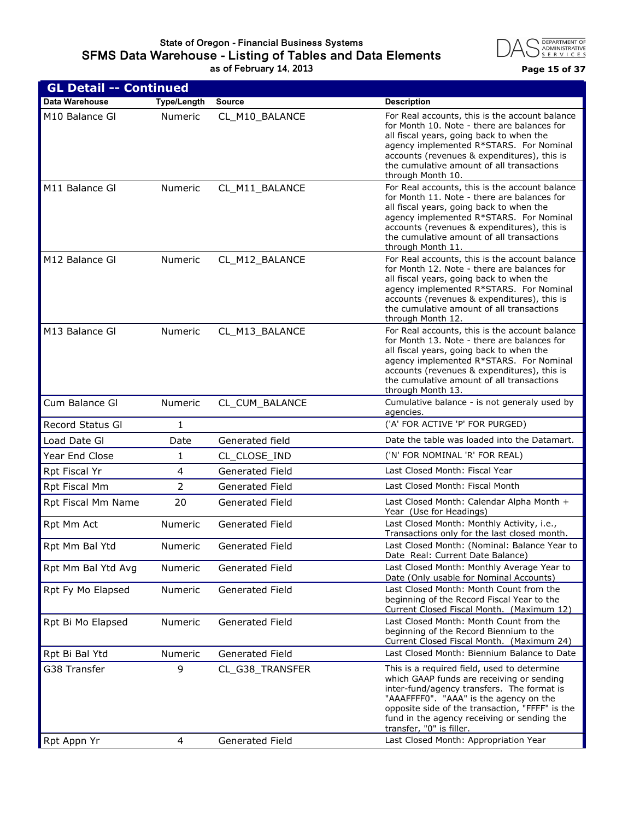

| <b>GL Detail -- Continued</b> |                    |                        |                                                                                                                                                                                                                                                                                                                |
|-------------------------------|--------------------|------------------------|----------------------------------------------------------------------------------------------------------------------------------------------------------------------------------------------------------------------------------------------------------------------------------------------------------------|
| Data Warehouse                | <b>Type/Length</b> | <b>Source</b>          | <b>Description</b>                                                                                                                                                                                                                                                                                             |
| M10 Balance Gl                | Numeric            | CL_M10_BALANCE         | For Real accounts, this is the account balance<br>for Month 10. Note - there are balances for<br>all fiscal years, going back to when the<br>agency implemented R*STARS. For Nominal<br>accounts (revenues & expenditures), this is<br>the cumulative amount of all transactions<br>through Month 10.          |
| M11 Balance Gl                | Numeric            | CL_M11_BALANCE         | For Real accounts, this is the account balance<br>for Month 11. Note - there are balances for<br>all fiscal years, going back to when the<br>agency implemented R*STARS. For Nominal<br>accounts (revenues & expenditures), this is<br>the cumulative amount of all transactions<br>through Month 11.          |
| M12 Balance Gl                | Numeric            | CL_M12_BALANCE         | For Real accounts, this is the account balance<br>for Month 12. Note - there are balances for<br>all fiscal years, going back to when the<br>agency implemented R*STARS. For Nominal<br>accounts (revenues & expenditures), this is<br>the cumulative amount of all transactions<br>through Month 12.          |
| M13 Balance GI                | Numeric            | CL_M13_BALANCE         | For Real accounts, this is the account balance<br>for Month 13. Note - there are balances for<br>all fiscal years, going back to when the<br>agency implemented R*STARS. For Nominal<br>accounts (revenues & expenditures), this is<br>the cumulative amount of all transactions<br>through Month 13.          |
| Cum Balance Gl                | Numeric            | CL_CUM_BALANCE         | Cumulative balance - is not generaly used by<br>agencies.                                                                                                                                                                                                                                                      |
| Record Status Gl              | $\mathbf{1}$       |                        | ('A' FOR ACTIVE 'P' FOR PURGED)                                                                                                                                                                                                                                                                                |
| Load Date GI                  | Date               | Generated field        | Date the table was loaded into the Datamart.                                                                                                                                                                                                                                                                   |
| Year End Close                | 1                  | CL CLOSE IND           | ('N' FOR NOMINAL 'R' FOR REAL)                                                                                                                                                                                                                                                                                 |
| Rpt Fiscal Yr                 | 4                  | <b>Generated Field</b> | Last Closed Month: Fiscal Year                                                                                                                                                                                                                                                                                 |
| Rpt Fiscal Mm                 | $\overline{2}$     | <b>Generated Field</b> | Last Closed Month: Fiscal Month                                                                                                                                                                                                                                                                                |
| Rpt Fiscal Mm Name            | 20                 | Generated Field        | Last Closed Month: Calendar Alpha Month +<br>Year (Use for Headings)                                                                                                                                                                                                                                           |
| Rpt Mm Act                    | <b>Numeric</b>     | Generated Field        | Last Closed Month: Monthly Activity, i.e.,<br>Transactions only for the last closed month.                                                                                                                                                                                                                     |
| Rpt Mm Bal Ytd                | Numeric            | Generated Field        | Last Closed Month: (Nominal: Balance Year to<br>Date Real: Current Date Balance)                                                                                                                                                                                                                               |
| Rpt Mm Bal Ytd Avg            | Numeric            | Generated Field        | Last Closed Month: Monthly Average Year to<br>Date (Only usable for Nominal Accounts)                                                                                                                                                                                                                          |
| Rpt Fy Mo Elapsed             | Numeric            | Generated Field        | Last Closed Month: Month Count from the<br>beginning of the Record Fiscal Year to the<br>Current Closed Fiscal Month. (Maximum 12)                                                                                                                                                                             |
| Rpt Bi Mo Elapsed             | Numeric            | Generated Field        | Last Closed Month: Month Count from the<br>beginning of the Record Biennium to the<br>Current Closed Fiscal Month. (Maximum 24)                                                                                                                                                                                |
| Rpt Bi Bal Ytd                | <b>Numeric</b>     | <b>Generated Field</b> | Last Closed Month: Biennium Balance to Date                                                                                                                                                                                                                                                                    |
| G38 Transfer                  | 9                  | CL_G38_TRANSFER        | This is a required field, used to determine<br>which GAAP funds are receiving or sending<br>inter-fund/agency transfers. The format is<br>"AAAFFFF0". "AAA" is the agency on the<br>opposite side of the transaction, "FFFF" is the<br>fund in the agency receiving or sending the<br>transfer, "0" is filler. |
| Rpt Appn Yr                   | 4                  | Generated Field        | Last Closed Month: Appropriation Year                                                                                                                                                                                                                                                                          |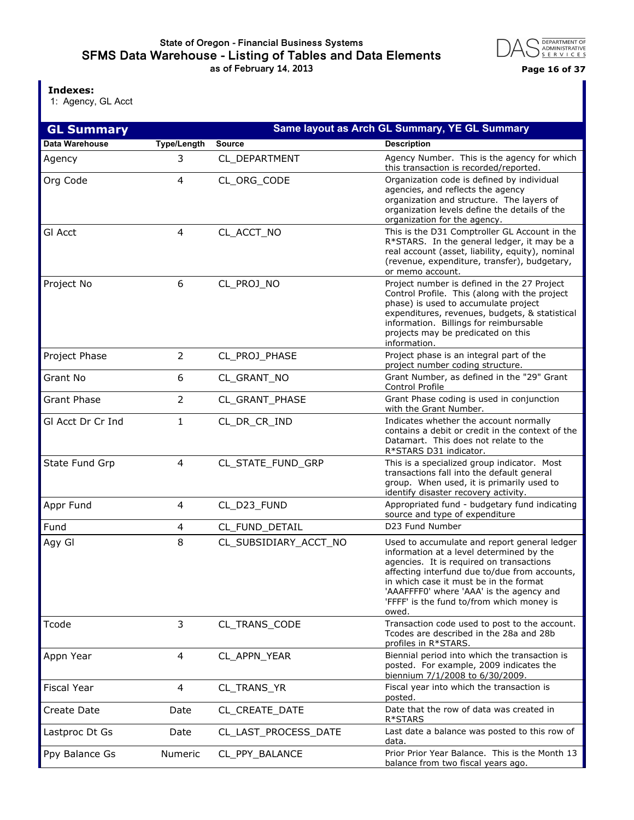## **State of Oregon - Financial Business Systems SFMS Data Warehouse - Listing of Tables and Data Elements as of February 14, 2013 Page 16 of 37**



**Indexes:**

1: Agency, GL Acct

| <b>GL Summary</b>  | Same layout as Arch GL Summary, YE GL Summary |                       |                                                                                                                                                                                                                                                                                                                                   |  |
|--------------------|-----------------------------------------------|-----------------------|-----------------------------------------------------------------------------------------------------------------------------------------------------------------------------------------------------------------------------------------------------------------------------------------------------------------------------------|--|
| Data Warehouse     | <b>Type/Length</b>                            | <b>Source</b>         | <b>Description</b>                                                                                                                                                                                                                                                                                                                |  |
| Agency             | 3                                             | CL DEPARTMENT         | Agency Number. This is the agency for which<br>this transaction is recorded/reported.                                                                                                                                                                                                                                             |  |
| Org Code           | 4                                             | CL_ORG_CODE           | Organization code is defined by individual<br>agencies, and reflects the agency<br>organization and structure. The layers of<br>organization levels define the details of the<br>organization for the agency.                                                                                                                     |  |
| <b>GI Acct</b>     | 4                                             | CL_ACCT_NO            | This is the D31 Comptroller GL Account in the<br>R*STARS. In the general ledger, it may be a<br>real account (asset, liability, equity), nominal<br>(revenue, expenditure, transfer), budgetary,<br>or memo account.                                                                                                              |  |
| Project No         | 6                                             | CL_PROJ_NO            | Project number is defined in the 27 Project<br>Control Profile. This (along with the project<br>phase) is used to accumulate project<br>expenditures, revenues, budgets, & statistical<br>information. Billings for reimbursable<br>projects may be predicated on this<br>information.                                            |  |
| Project Phase      | $\overline{2}$                                | CL_PROJ_PHASE         | Project phase is an integral part of the<br>project number coding structure.                                                                                                                                                                                                                                                      |  |
| Grant No           | 6                                             | CL_GRANT_NO           | Grant Number, as defined in the "29" Grant<br>Control Profile                                                                                                                                                                                                                                                                     |  |
| <b>Grant Phase</b> | $\overline{2}$                                | CL_GRANT_PHASE        | Grant Phase coding is used in conjunction<br>with the Grant Number.                                                                                                                                                                                                                                                               |  |
| GI Acct Dr Cr Ind  | 1                                             | CL_DR_CR_IND          | Indicates whether the account normally<br>contains a debit or credit in the context of the<br>Datamart. This does not relate to the<br>R*STARS D31 indicator.                                                                                                                                                                     |  |
| State Fund Grp     | 4                                             | CL_STATE_FUND_GRP     | This is a specialized group indicator. Most<br>transactions fall into the default general<br>group. When used, it is primarily used to<br>identify disaster recovery activity.                                                                                                                                                    |  |
| Appr Fund          | 4                                             | CL_D23_FUND           | Appropriated fund - budgetary fund indicating<br>source and type of expenditure                                                                                                                                                                                                                                                   |  |
| Fund               | 4                                             | CL_FUND_DETAIL        | D23 Fund Number                                                                                                                                                                                                                                                                                                                   |  |
| Agy Gl             | 8                                             | CL_SUBSIDIARY_ACCT_NO | Used to accumulate and report general ledger<br>information at a level determined by the<br>agencies. It is required on transactions<br>affecting interfund due to/due from accounts,<br>in which case it must be in the format<br>'AAAFFFF0' where 'AAA' is the agency and<br>'FFFF' is the fund to/from which money is<br>owed. |  |
| Tcode              | 3                                             | CL TRANS CODE         | Transaction code used to post to the account.<br>Tcodes are described in the 28a and 28b<br>profiles in R*STARS.                                                                                                                                                                                                                  |  |
| Appn Year          | 4                                             | CL_APPN_YEAR          | Biennial period into which the transaction is<br>posted. For example, 2009 indicates the<br>biennium 7/1/2008 to 6/30/2009.                                                                                                                                                                                                       |  |
| <b>Fiscal Year</b> | 4                                             | CL_TRANS_YR           | Fiscal year into which the transaction is<br>posted.                                                                                                                                                                                                                                                                              |  |
| Create Date        | Date                                          | CL_CREATE_DATE        | Date that the row of data was created in<br>R*STARS                                                                                                                                                                                                                                                                               |  |
| Lastproc Dt Gs     | Date                                          | CL_LAST_PROCESS_DATE  | Last date a balance was posted to this row of<br>data.                                                                                                                                                                                                                                                                            |  |
| Ppy Balance Gs     | Numeric                                       | CL_PPY_BALANCE        | Prior Prior Year Balance. This is the Month 13<br>balance from two fiscal years ago.                                                                                                                                                                                                                                              |  |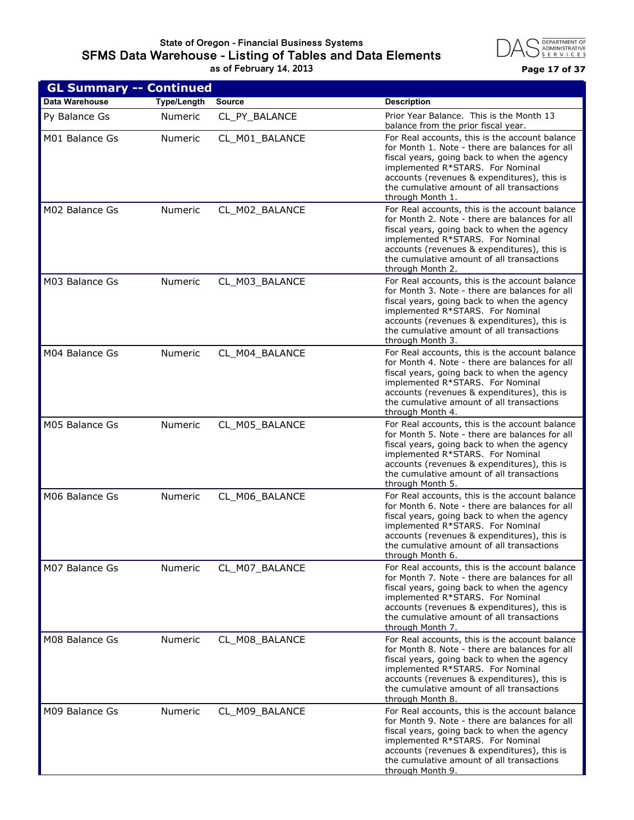#### **State of Oregon - Financial Business Systems SFMS Data Warehouse - Listing of Tables and Data Elements as of February 14, 2013 Page 17 of 37**



| <b>GL Summary -- Continued</b> |                    |                |                                                                                                                                                                                                                                                                                                     |
|--------------------------------|--------------------|----------------|-----------------------------------------------------------------------------------------------------------------------------------------------------------------------------------------------------------------------------------------------------------------------------------------------------|
| <b>Data Warehouse</b>          | <b>Type/Length</b> | <b>Source</b>  | <b>Description</b>                                                                                                                                                                                                                                                                                  |
| Py Balance Gs                  | <b>Numeric</b>     | CL_PY_BALANCE  | Prior Year Balance. This is the Month 13<br>balance from the prior fiscal year.                                                                                                                                                                                                                     |
| M01 Balance Gs                 | <b>Numeric</b>     | CL M01 BALANCE | For Real accounts, this is the account balance<br>for Month 1. Note - there are balances for all<br>fiscal years, going back to when the agency<br>implemented R*STARS. For Nominal<br>accounts (revenues & expenditures), this is<br>the cumulative amount of all transactions<br>through Month 1. |
| M02 Balance Gs                 | Numeric            | CL_M02_BALANCE | For Real accounts, this is the account balance<br>for Month 2. Note - there are balances for all<br>fiscal years, going back to when the agency<br>implemented R*STARS. For Nominal<br>accounts (revenues & expenditures), this is<br>the cumulative amount of all transactions<br>through Month 2. |
| M03 Balance Gs                 | Numeric            | CL_M03_BALANCE | For Real accounts, this is the account balance<br>for Month 3. Note - there are balances for all<br>fiscal years, going back to when the agency<br>implemented R*STARS. For Nominal<br>accounts (revenues & expenditures), this is<br>the cumulative amount of all transactions<br>through Month 3. |
| M04 Balance Gs                 | Numeric            | CL_M04_BALANCE | For Real accounts, this is the account balance<br>for Month 4. Note - there are balances for all<br>fiscal years, going back to when the agency<br>implemented R*STARS. For Nominal<br>accounts (revenues & expenditures), this is<br>the cumulative amount of all transactions<br>through Month 4. |
| M05 Balance Gs                 | Numeric            | CL_M05_BALANCE | For Real accounts, this is the account balance<br>for Month 5. Note - there are balances for all<br>fiscal years, going back to when the agency<br>implemented R*STARS. For Nominal<br>accounts (revenues & expenditures), this is<br>the cumulative amount of all transactions<br>through Month 5. |
| M06 Balance Gs                 | Numeric            | CL M06 BALANCE | For Real accounts, this is the account balance<br>for Month 6. Note - there are balances for all<br>fiscal years, going back to when the agency<br>implemented R*STARS. For Nominal<br>accounts (revenues & expenditures), this is<br>the cumulative amount of all transactions<br>through Month 6. |
| M07 Balance Gs                 | Numeric            | CL_M07_BALANCE | For Real accounts, this is the account balance<br>for Month 7. Note - there are balances for all<br>fiscal years, going back to when the agency<br>implemented R*STARS. For Nominal<br>accounts (revenues & expenditures), this is<br>the cumulative amount of all transactions<br>through Month 7. |
| M08 Balance Gs                 | Numeric            | CL_M08_BALANCE | For Real accounts, this is the account balance<br>for Month 8. Note - there are balances for all<br>fiscal years, going back to when the agency<br>implemented R*STARS. For Nominal<br>accounts (revenues & expenditures), this is<br>the cumulative amount of all transactions<br>through Month 8. |
| M09 Balance Gs                 | Numeric            | CL_M09_BALANCE | For Real accounts, this is the account balance<br>for Month 9. Note - there are balances for all<br>fiscal years, going back to when the agency<br>implemented R*STARS. For Nominal<br>accounts (revenues & expenditures), this is<br>the cumulative amount of all transactions<br>through Month 9. |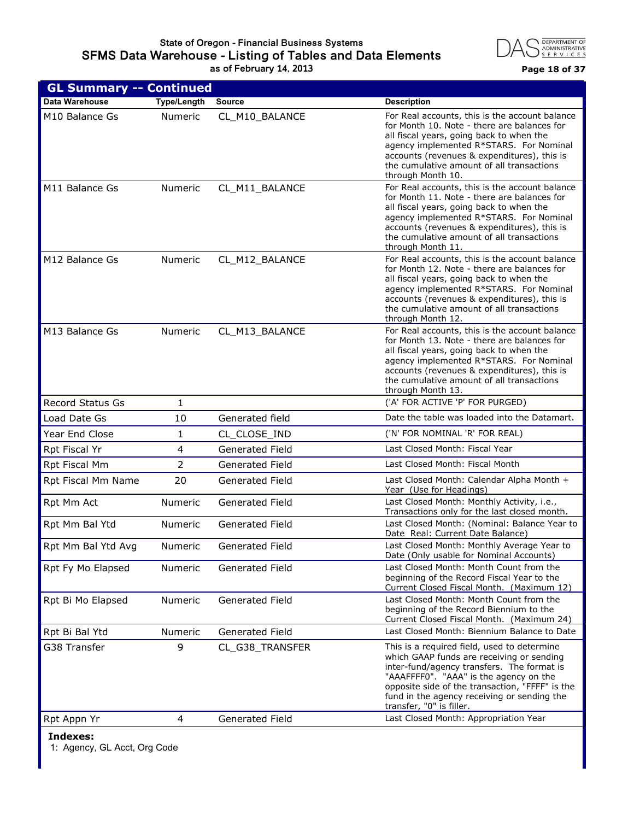

| <b>GL Summary -- Continued</b> |                    |                        |                                                                                                                                                                                                                                                                                                                |
|--------------------------------|--------------------|------------------------|----------------------------------------------------------------------------------------------------------------------------------------------------------------------------------------------------------------------------------------------------------------------------------------------------------------|
| Data Warehouse                 | <b>Type/Length</b> | <b>Source</b>          | <b>Description</b>                                                                                                                                                                                                                                                                                             |
| M10 Balance Gs                 | Numeric            | CL_M10_BALANCE         | For Real accounts, this is the account balance<br>for Month 10. Note - there are balances for<br>all fiscal years, going back to when the<br>agency implemented R*STARS. For Nominal<br>accounts (revenues & expenditures), this is<br>the cumulative amount of all transactions<br>through Month 10.          |
| M11 Balance Gs                 | Numeric            | CL_M11_BALANCE         | For Real accounts, this is the account balance<br>for Month 11. Note - there are balances for<br>all fiscal years, going back to when the<br>agency implemented R*STARS. For Nominal<br>accounts (revenues & expenditures), this is<br>the cumulative amount of all transactions<br>through Month 11.          |
| M12 Balance Gs                 | Numeric            | CL_M12_BALANCE         | For Real accounts, this is the account balance<br>for Month 12. Note - there are balances for<br>all fiscal years, going back to when the<br>agency implemented R*STARS. For Nominal<br>accounts (revenues & expenditures), this is<br>the cumulative amount of all transactions<br>through Month 12.          |
| M13 Balance Gs                 | Numeric            | CL_M13_BALANCE         | For Real accounts, this is the account balance<br>for Month 13. Note - there are balances for<br>all fiscal years, going back to when the<br>agency implemented R*STARS. For Nominal<br>accounts (revenues & expenditures), this is<br>the cumulative amount of all transactions<br>through Month 13.          |
| <b>Record Status Gs</b>        | $\mathbf{1}$       |                        | ('A' FOR ACTIVE 'P' FOR PURGED)                                                                                                                                                                                                                                                                                |
| Load Date Gs                   | 10                 | Generated field        | Date the table was loaded into the Datamart.                                                                                                                                                                                                                                                                   |
| Year End Close                 | $\mathbf{1}$       | CL_CLOSE_IND           | ('N' FOR NOMINAL 'R' FOR REAL)                                                                                                                                                                                                                                                                                 |
| Rpt Fiscal Yr                  | 4                  | Generated Field        | Last Closed Month: Fiscal Year                                                                                                                                                                                                                                                                                 |
| Rpt Fiscal Mm                  | $\overline{2}$     | <b>Generated Field</b> | Last Closed Month: Fiscal Month                                                                                                                                                                                                                                                                                |
| Rpt Fiscal Mm Name             | 20                 | Generated Field        | Last Closed Month: Calendar Alpha Month +<br>Year (Use for Headings)                                                                                                                                                                                                                                           |
| Rpt Mm Act                     | <b>Numeric</b>     | Generated Field        | Last Closed Month: Monthly Activity, i.e.,<br>Transactions only for the last closed month.                                                                                                                                                                                                                     |
| Rpt Mm Bal Ytd                 | Numeric            | Generated Field        | Last Closed Month: (Nominal: Balance Year to<br>Date Real: Current Date Balance)                                                                                                                                                                                                                               |
| Rpt Mm Bal Ytd Avg             | Numeric            | Generated Field        | Last Closed Month: Monthly Average Year to<br>Date (Only usable for Nominal Accounts)                                                                                                                                                                                                                          |
| Rpt Fy Mo Elapsed              | Numeric            | Generated Field        | Last Closed Month: Month Count from the<br>beginning of the Record Fiscal Year to the<br>Current Closed Fiscal Month. (Maximum 12)                                                                                                                                                                             |
| Rpt Bi Mo Elapsed              | Numeric            | Generated Field        | Last Closed Month: Month Count from the<br>beginning of the Record Biennium to the<br>Current Closed Fiscal Month. (Maximum 24)                                                                                                                                                                                |
| Rpt Bi Bal Ytd                 | Numeric            | Generated Field        | Last Closed Month: Biennium Balance to Date                                                                                                                                                                                                                                                                    |
| G38 Transfer                   | 9                  | CL_G38_TRANSFER        | This is a required field, used to determine<br>which GAAP funds are receiving or sending<br>inter-fund/agency transfers. The format is<br>"AAAFFFF0". "AAA" is the agency on the<br>opposite side of the transaction, "FFFF" is the<br>fund in the agency receiving or sending the<br>transfer, "0" is filler. |
| Rpt Appn Yr                    | 4                  | Generated Field        | Last Closed Month: Appropriation Year                                                                                                                                                                                                                                                                          |
|                                |                    |                        |                                                                                                                                                                                                                                                                                                                |

**Indexes:**

1: Agency, GL Acct, Org Code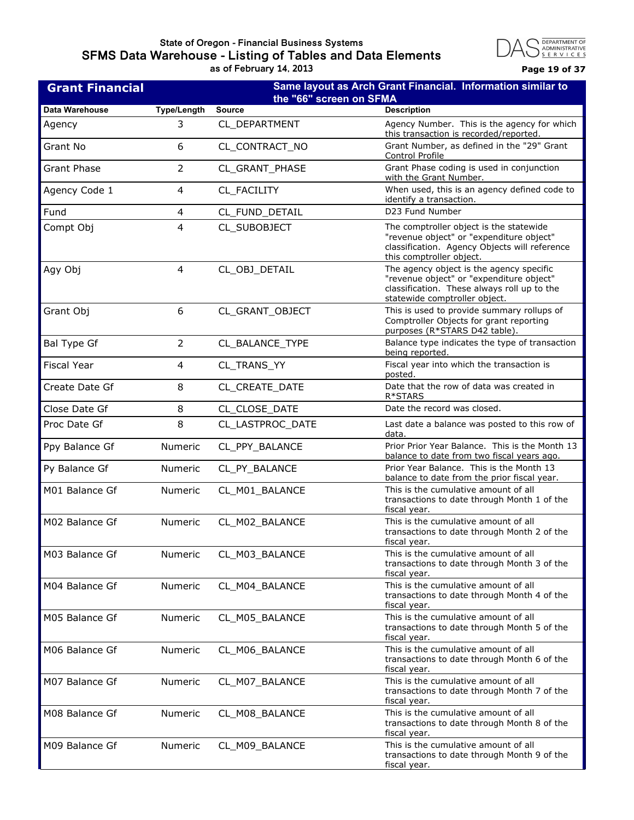## **State of Oregon - Financial Business Systems SFMS Data Warehouse - Listing of Tables and Data Elements as of February 14, 2013 Page 19 of 37**



| <b>Grant Financial</b> | Same layout as Arch Grant Financial. Information similar to<br>the "66" screen on SFMA |                  |                                                                                                                                                                      |
|------------------------|----------------------------------------------------------------------------------------|------------------|----------------------------------------------------------------------------------------------------------------------------------------------------------------------|
| Data Warehouse         | <b>Type/Length</b>                                                                     | <b>Source</b>    | <b>Description</b>                                                                                                                                                   |
| Agency                 | 3                                                                                      | CL_DEPARTMENT    | Agency Number. This is the agency for which<br>this transaction is recorded/reported.                                                                                |
| Grant No               | 6                                                                                      | CL CONTRACT NO   | Grant Number, as defined in the "29" Grant<br>Control Profile                                                                                                        |
| <b>Grant Phase</b>     | $\overline{2}$                                                                         | CL_GRANT_PHASE   | Grant Phase coding is used in conjunction<br>with the Grant Number.                                                                                                  |
| Agency Code 1          | 4                                                                                      | CL_FACILITY      | When used, this is an agency defined code to<br>identify a transaction.                                                                                              |
| Fund                   | 4                                                                                      | CL_FUND_DETAIL   | D23 Fund Number                                                                                                                                                      |
| Compt Obj              | 4                                                                                      | CL_SUBOBJECT     | The comptroller object is the statewide<br>"revenue object" or "expenditure object"<br>classification. Agency Objects will reference<br>this comptroller object.     |
| Agy Obj                | 4                                                                                      | CL_OBJ_DETAIL    | The agency object is the agency specific<br>"revenue object" or "expenditure object"<br>classification. These always roll up to the<br>statewide comptroller object. |
| Grant Obj              | 6                                                                                      | CL_GRANT_OBJECT  | This is used to provide summary rollups of<br>Comptroller Objects for grant reporting<br>purposes (R*STARS D42 table).                                               |
| <b>Bal Type Gf</b>     | $\overline{2}$                                                                         | CL_BALANCE_TYPE  | Balance type indicates the type of transaction<br>being reported.                                                                                                    |
| <b>Fiscal Year</b>     | 4                                                                                      | CL_TRANS_YY      | Fiscal year into which the transaction is<br>posted.                                                                                                                 |
| Create Date Gf         | 8                                                                                      | CL_CREATE_DATE   | Date that the row of data was created in<br>R*STARS                                                                                                                  |
| Close Date Gf          | 8                                                                                      | CL_CLOSE_DATE    | Date the record was closed.                                                                                                                                          |
| Proc Date Gf           | 8                                                                                      | CL_LASTPROC_DATE | Last date a balance was posted to this row of<br>data.                                                                                                               |
| Ppy Balance Gf         | Numeric                                                                                | CL_PPY_BALANCE   | Prior Prior Year Balance. This is the Month 13<br>balance to date from two fiscal years ago.                                                                         |
| Py Balance Gf          | <b>Numeric</b>                                                                         | CL_PY_BALANCE    | Prior Year Balance. This is the Month 13<br>balance to date from the prior fiscal year.                                                                              |
| M01 Balance Gf         | Numeric                                                                                | CL_M01_BALANCE   | This is the cumulative amount of all<br>transactions to date through Month 1 of the<br>fiscal year.                                                                  |
| M02 Balance Gf         | Numeric                                                                                | CL M02 BALANCE   | This is the cumulative amount of all<br>transactions to date through Month 2 of the<br>fiscal year.                                                                  |
| M03 Balance Gf         | Numeric                                                                                | CL_M03_BALANCE   | This is the cumulative amount of all<br>transactions to date through Month 3 of the<br>fiscal year.                                                                  |
| M04 Balance Gf         | Numeric                                                                                | CL_M04_BALANCE   | This is the cumulative amount of all<br>transactions to date through Month 4 of the<br>fiscal year.                                                                  |
| M05 Balance Gf         | Numeric                                                                                | CL M05 BALANCE   | This is the cumulative amount of all<br>transactions to date through Month 5 of the<br>fiscal year.                                                                  |
| M06 Balance Gf         | Numeric                                                                                | CL_M06_BALANCE   | This is the cumulative amount of all<br>transactions to date through Month 6 of the<br>fiscal year.                                                                  |
| M07 Balance Gf         | Numeric                                                                                | CL_M07_BALANCE   | This is the cumulative amount of all<br>transactions to date through Month 7 of the<br>fiscal year.                                                                  |
| M08 Balance Gf         | Numeric                                                                                | CL_M08_BALANCE   | This is the cumulative amount of all<br>transactions to date through Month 8 of the<br>fiscal year.                                                                  |
| M09 Balance Gf         | Numeric                                                                                | CL_M09_BALANCE   | This is the cumulative amount of all<br>transactions to date through Month 9 of the<br>fiscal year.                                                                  |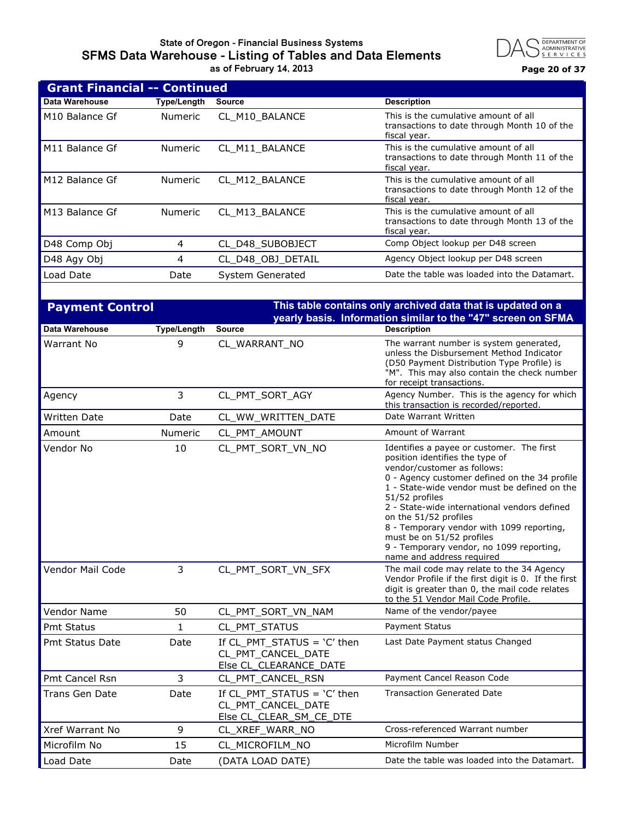#### **State of Oregon - Financial Business Systems SFMS Data Warehouse - Listing of Tables and Data Elements as of February 14, 2013 Page 20 of 37**



|                            | <b>Grant Financial -- Continued</b> |                   |                                                                                                      |  |  |
|----------------------------|-------------------------------------|-------------------|------------------------------------------------------------------------------------------------------|--|--|
| Data Warehouse             | Type/Length                         | <b>Source</b>     | <b>Description</b>                                                                                   |  |  |
| M <sub>10</sub> Balance Gf | Numeric                             | CL M10 BALANCE    | This is the cumulative amount of all<br>transactions to date through Month 10 of the<br>fiscal year. |  |  |
| M11 Balance Gf             | <b>Numeric</b>                      | CL_M11_BALANCE    | This is the cumulative amount of all<br>transactions to date through Month 11 of the<br>fiscal year. |  |  |
| M12 Balance Gf             | <b>Numeric</b>                      | CL M12 BALANCE    | This is the cumulative amount of all<br>transactions to date through Month 12 of the<br>fiscal year. |  |  |
| M13 Balance Gf             | <b>Numeric</b>                      | CL M13 BALANCE    | This is the cumulative amount of all<br>transactions to date through Month 13 of the<br>fiscal year. |  |  |
| D48 Comp Obj               | 4                                   | CL D48 SUBOBJECT  | Comp Object lookup per D48 screen                                                                    |  |  |
| D48 Agy Obj                | 4                                   | CL D48 OBJ DETAIL | Agency Object lookup per D48 screen                                                                  |  |  |
| Load Date                  | Date                                | System Generated  | Date the table was loaded into the Datamart.                                                         |  |  |
|                            |                                     |                   |                                                                                                      |  |  |

| <b>Payment Control</b> |                    |                                                                                | This table contains only archived data that is updated on a                                                                                                                                                                                                                                                                                                                                                                                                |
|------------------------|--------------------|--------------------------------------------------------------------------------|------------------------------------------------------------------------------------------------------------------------------------------------------------------------------------------------------------------------------------------------------------------------------------------------------------------------------------------------------------------------------------------------------------------------------------------------------------|
|                        |                    |                                                                                | yearly basis. Information similar to the "47" screen on SFMA                                                                                                                                                                                                                                                                                                                                                                                               |
| Data Warehouse         | <b>Type/Length</b> | <b>Source</b>                                                                  | <b>Description</b>                                                                                                                                                                                                                                                                                                                                                                                                                                         |
| Warrant No             | 9                  | CL_WARRANT_NO                                                                  | The warrant number is system generated,<br>unless the Disbursement Method Indicator<br>(D50 Payment Distribution Type Profile) is<br>"M". This may also contain the check number<br>for receipt transactions.                                                                                                                                                                                                                                              |
| Agency                 | 3                  | CL_PMT_SORT_AGY                                                                | Agency Number. This is the agency for which<br>this transaction is recorded/reported.                                                                                                                                                                                                                                                                                                                                                                      |
| <b>Written Date</b>    | Date               | CL_WW_WRITTEN_DATE                                                             | Date Warrant Written                                                                                                                                                                                                                                                                                                                                                                                                                                       |
| Amount                 | <b>Numeric</b>     | CL_PMT_AMOUNT                                                                  | Amount of Warrant                                                                                                                                                                                                                                                                                                                                                                                                                                          |
| Vendor No              | 10                 | CL PMT SORT VN NO                                                              | Identifies a payee or customer. The first<br>position identifies the type of<br>vendor/customer as follows:<br>0 - Agency customer defined on the 34 profile<br>1 - State-wide vendor must be defined on the<br>51/52 profiles<br>2 - State-wide international vendors defined<br>on the 51/52 profiles<br>8 - Temporary vendor with 1099 reporting,<br>must be on 51/52 profiles<br>9 - Temporary vendor, no 1099 reporting,<br>name and address required |
| Vendor Mail Code       | 3                  | CL PMT SORT VN SFX                                                             | The mail code may relate to the 34 Agency<br>Vendor Profile if the first digit is 0. If the first<br>digit is greater than 0, the mail code relates<br>to the 51 Vendor Mail Code Profile.                                                                                                                                                                                                                                                                 |
| <b>Vendor Name</b>     | 50                 | CL_PMT_SORT_VN_NAM                                                             | Name of the vendor/payee                                                                                                                                                                                                                                                                                                                                                                                                                                   |
| Pmt Status             | $\mathbf{1}$       | CL PMT STATUS                                                                  | <b>Payment Status</b>                                                                                                                                                                                                                                                                                                                                                                                                                                      |
| Pmt Status Date        | Date               | If CL PMT STATUS = $'C'$ then<br>CL PMT CANCEL DATE<br>Else CL_CLEARANCE_DATE  | Last Date Payment status Changed                                                                                                                                                                                                                                                                                                                                                                                                                           |
| Pmt Cancel Rsn         | 3                  | CL_PMT_CANCEL_RSN                                                              | Payment Cancel Reason Code                                                                                                                                                                                                                                                                                                                                                                                                                                 |
| Trans Gen Date         | Date               | If CL PMT STATUS = $'C'$ then<br>CL_PMT_CANCEL_DATE<br>Else CL_CLEAR_SM_CE_DTE | <b>Transaction Generated Date</b>                                                                                                                                                                                                                                                                                                                                                                                                                          |
| Xref Warrant No        | 9                  | CL_XREF_WARR_NO                                                                | Cross-referenced Warrant number                                                                                                                                                                                                                                                                                                                                                                                                                            |
| Microfilm No           | 15                 | CL_MICROFILM_NO                                                                | Microfilm Number                                                                                                                                                                                                                                                                                                                                                                                                                                           |
| Load Date              | Date               | (DATA LOAD DATE)                                                               | Date the table was loaded into the Datamart.                                                                                                                                                                                                                                                                                                                                                                                                               |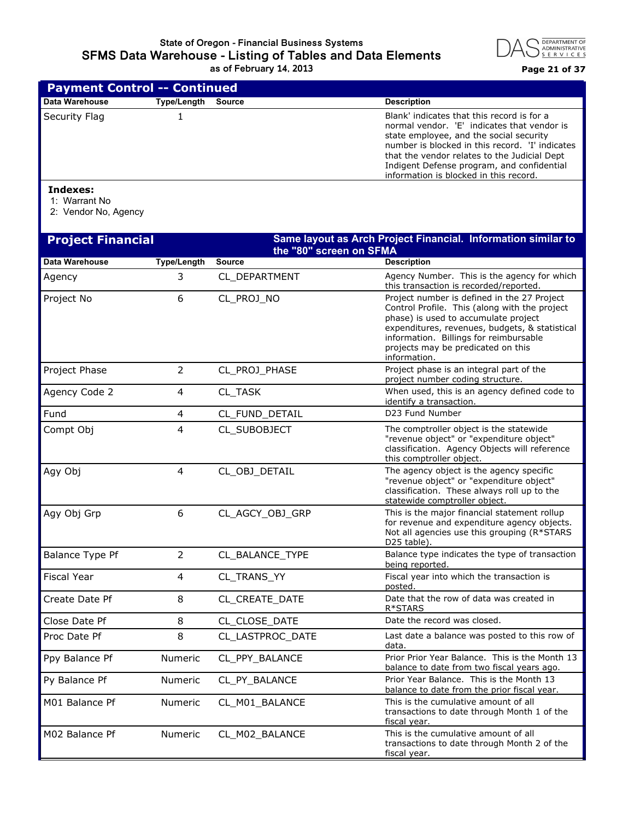

| <b>Payment Control -- Continued</b> |             |        |                                                                                                                                                                                                                                                                                                                                 |  |
|-------------------------------------|-------------|--------|---------------------------------------------------------------------------------------------------------------------------------------------------------------------------------------------------------------------------------------------------------------------------------------------------------------------------------|--|
| Data Warehouse                      | Type/Length | Source | <b>Description</b>                                                                                                                                                                                                                                                                                                              |  |
| Security Flag                       |             |        | Blank' indicates that this record is for a<br>normal vendor. 'E' indicates that vendor is<br>state employee, and the social security<br>number is blocked in this record. 'I' indicates<br>that the vendor relates to the Judicial Dept<br>Indigent Defense program, and confidential<br>information is blocked in this record. |  |

## **Indexes:**

1: Warrant No

2: Vendor No, Agency

| <b>Project Financial</b> |                    | the "80" screen on SFMA | Same layout as Arch Project Financial. Information similar to                                                                                                                                                                                                                          |
|--------------------------|--------------------|-------------------------|----------------------------------------------------------------------------------------------------------------------------------------------------------------------------------------------------------------------------------------------------------------------------------------|
| Data Warehouse           | <b>Type/Length</b> | <b>Source</b>           | <b>Description</b>                                                                                                                                                                                                                                                                     |
| Agency                   | 3                  | CL DEPARTMENT           | Agency Number. This is the agency for which<br>this transaction is recorded/reported.                                                                                                                                                                                                  |
| Project No               | 6                  | CL_PROJ_NO              | Project number is defined in the 27 Project<br>Control Profile. This (along with the project<br>phase) is used to accumulate project<br>expenditures, revenues, budgets, & statistical<br>information. Billings for reimbursable<br>projects may be predicated on this<br>information. |
| Project Phase            | $\overline{2}$     | CL_PROJ_PHASE           | Project phase is an integral part of the<br>project number coding structure.                                                                                                                                                                                                           |
| Agency Code 2            | 4                  | CL_TASK                 | When used, this is an agency defined code to<br>identify a transaction.                                                                                                                                                                                                                |
| Fund                     | 4                  | CL_FUND_DETAIL          | D23 Fund Number                                                                                                                                                                                                                                                                        |
| Compt Obj                | 4                  | CL SUBOBJECT            | The comptroller object is the statewide<br>"revenue object" or "expenditure object"<br>classification. Agency Objects will reference<br>this comptroller object.                                                                                                                       |
| Agy Obj                  | 4                  | CL_OBJ_DETAIL           | The agency object is the agency specific<br>"revenue object" or "expenditure object"<br>classification. These always roll up to the<br>statewide comptroller object.                                                                                                                   |
| Agy Obj Grp              | 6                  | CL_AGCY_OBJ_GRP         | This is the major financial statement rollup<br>for revenue and expenditure agency objects.<br>Not all agencies use this grouping (R*STARS<br>D25 table).                                                                                                                              |
| <b>Balance Type Pf</b>   | $\overline{2}$     | CL BALANCE TYPE         | Balance type indicates the type of transaction<br>being reported.                                                                                                                                                                                                                      |
| Fiscal Year              | 4                  | CL TRANS YY             | Fiscal year into which the transaction is<br>posted.                                                                                                                                                                                                                                   |
| Create Date Pf           | 8                  | CL_CREATE_DATE          | Date that the row of data was created in<br>R*STARS                                                                                                                                                                                                                                    |
| Close Date Pf            | 8                  | CL CLOSE DATE           | Date the record was closed.                                                                                                                                                                                                                                                            |
| Proc Date Pf             | 8                  | CL_LASTPROC_DATE        | Last date a balance was posted to this row of<br>data.                                                                                                                                                                                                                                 |
| Ppy Balance Pf           | <b>Numeric</b>     | CL_PPY_BALANCE          | Prior Prior Year Balance. This is the Month 13<br>balance to date from two fiscal years ago.                                                                                                                                                                                           |
| Py Balance Pf            | <b>Numeric</b>     | CL_PY_BALANCE           | Prior Year Balance. This is the Month 13<br>balance to date from the prior fiscal year.                                                                                                                                                                                                |
| M01 Balance Pf           | <b>Numeric</b>     | CL_M01_BALANCE          | This is the cumulative amount of all<br>transactions to date through Month 1 of the<br>fiscal year.                                                                                                                                                                                    |
| M02 Balance Pf           | <b>Numeric</b>     | CL_M02_BALANCE          | This is the cumulative amount of all<br>transactions to date through Month 2 of the<br>fiscal year.                                                                                                                                                                                    |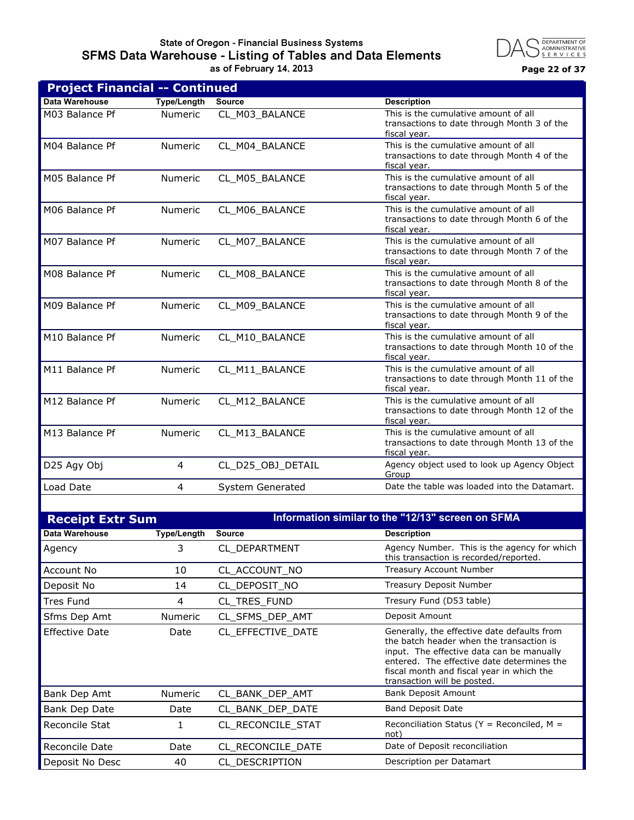#### **State of Oregon - Financial Business Systems SFMS Data Warehouse - Listing of Tables and Data Elements as of February 14, 2013 Page 22 of 37**



| <b>Project Financial -- Continued</b> |                    |                   |                                                                                                      |
|---------------------------------------|--------------------|-------------------|------------------------------------------------------------------------------------------------------|
| Data Warehouse                        | <b>Type/Length</b> | <b>Source</b>     | <b>Description</b>                                                                                   |
| M03 Balance Pf                        | Numeric            | CL M03 BALANCE    | This is the cumulative amount of all<br>transactions to date through Month 3 of the<br>fiscal year.  |
| M04 Balance Pf                        | <b>Numeric</b>     | CL_M04_BALANCE    | This is the cumulative amount of all<br>transactions to date through Month 4 of the<br>fiscal year.  |
| M05 Balance Pf                        | <b>Numeric</b>     | CL M05 BALANCE    | This is the cumulative amount of all<br>transactions to date through Month 5 of the<br>fiscal year.  |
| M06 Balance Pf                        | <b>Numeric</b>     | CL_M06_BALANCE    | This is the cumulative amount of all<br>transactions to date through Month 6 of the<br>fiscal year.  |
| M07 Balance Pf                        | <b>Numeric</b>     | CL M07 BALANCE    | This is the cumulative amount of all<br>transactions to date through Month 7 of the<br>fiscal year.  |
| M08 Balance Pf                        | Numeric            | CL M08 BALANCE    | This is the cumulative amount of all<br>transactions to date through Month 8 of the<br>fiscal year.  |
| M09 Balance Pf                        | Numeric            | CL M09 BALANCE    | This is the cumulative amount of all<br>transactions to date through Month 9 of the<br>fiscal year.  |
| M10 Balance Pf                        | <b>Numeric</b>     | CL_M10_BALANCE    | This is the cumulative amount of all<br>transactions to date through Month 10 of the<br>fiscal year. |
| M11 Balance Pf                        | Numeric            | CL_M11_BALANCE    | This is the cumulative amount of all<br>transactions to date through Month 11 of the<br>fiscal vear. |
| M12 Balance Pf                        | <b>Numeric</b>     | CL M12 BALANCE    | This is the cumulative amount of all<br>transactions to date through Month 12 of the<br>fiscal year. |
| M13 Balance Pf                        | Numeric            | CL_M13_BALANCE    | This is the cumulative amount of all<br>transactions to date through Month 13 of the<br>fiscal year. |
| D25 Agy Obj                           | 4                  | CL_D25_OBJ_DETAIL | Agency object used to look up Agency Object<br>Group                                                 |
| Load Date                             | 4                  | System Generated  | Date the table was loaded into the Datamart.                                                         |
|                                       |                    |                   |                                                                                                      |

| <b>Receipt Extr Sum</b> |                    | Information similar to the "12/13" screen on SFMA |                                                                                                                                                                                                                                                                |
|-------------------------|--------------------|---------------------------------------------------|----------------------------------------------------------------------------------------------------------------------------------------------------------------------------------------------------------------------------------------------------------------|
| Data Warehouse          | <b>Type/Length</b> | <b>Source</b>                                     | <b>Description</b>                                                                                                                                                                                                                                             |
| Agency                  | 3                  | CL DEPARTMENT                                     | Agency Number. This is the agency for which<br>this transaction is recorded/reported.                                                                                                                                                                          |
| Account No              | 10                 | CL_ACCOUNT_NO                                     | <b>Treasury Account Number</b>                                                                                                                                                                                                                                 |
| Deposit No              | 14                 | CL DEPOSIT NO                                     | Treasury Deposit Number                                                                                                                                                                                                                                        |
| <b>Tres Fund</b>        | 4                  | CL_TRES_FUND                                      | Tresury Fund (D53 table)                                                                                                                                                                                                                                       |
| Sfms Dep Amt            | <b>Numeric</b>     | CL_SFMS_DEP_AMT                                   | Deposit Amount                                                                                                                                                                                                                                                 |
| <b>Effective Date</b>   | Date               | CL_EFFECTIVE_DATE                                 | Generally, the effective date defaults from<br>the batch header when the transaction is<br>input. The effective data can be manually<br>entered. The effective date determines the<br>fiscal month and fiscal year in which the<br>transaction will be posted. |
| Bank Dep Amt            | <b>Numeric</b>     | CL_BANK_DEP_AMT                                   | <b>Bank Deposit Amount</b>                                                                                                                                                                                                                                     |
| Bank Dep Date           | Date               | CL_BANK_DEP_DATE                                  | <b>Band Deposit Date</b>                                                                                                                                                                                                                                       |
| Reconcile Stat          | 1                  | CL RECONCILE STAT                                 | Reconciliation Status ( $Y =$ Reconciled, M =<br>not)                                                                                                                                                                                                          |
| <b>Reconcile Date</b>   | Date               | CL_RECONCILE_DATE                                 | Date of Deposit reconciliation                                                                                                                                                                                                                                 |
| Deposit No Desc         | 40                 | CL DESCRIPTION                                    | Description per Datamart                                                                                                                                                                                                                                       |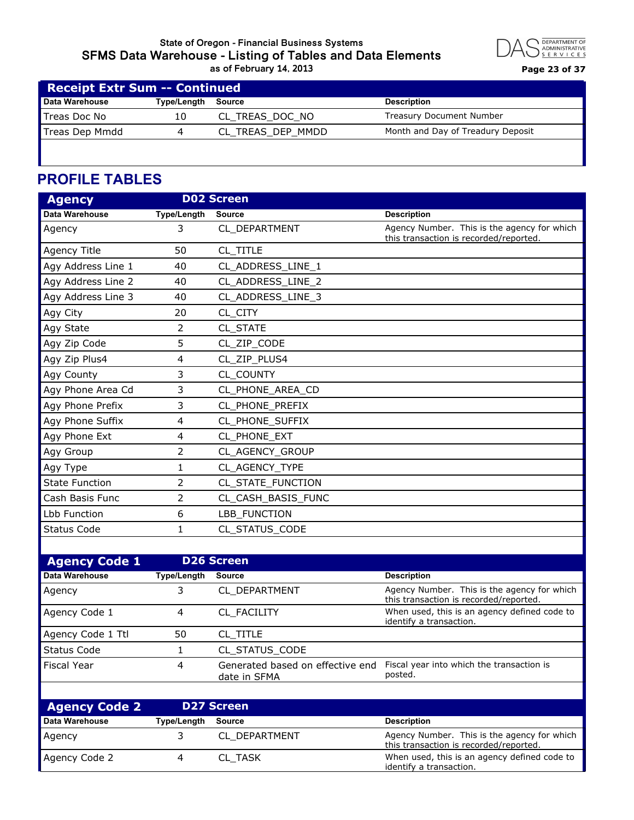#### **State of Oregon - Financial Business Systems SFMS Data Warehouse - Listing of Tables and Data Elements as of February 14, 2013 Page 23 of 37**



| <b>Receipt Extr Sum -- Continued</b> |             |                   |                                   |
|--------------------------------------|-------------|-------------------|-----------------------------------|
| Data Warehouse                       | Type/Length | Source            | <b>Description</b>                |
| Treas Doc No                         | 10          | CL TREAS DOC NO   | <b>Treasury Document Number</b>   |
| Treas Dep Mmdd                       |             | CL_TREAS_DEP_MMDD | Month and Day of Treadury Deposit |
|                                      |             |                   |                                   |

# **PROFILE TABLES**

| <b>Agency</b>         |                    | <b>D02 Screen</b>  |                                                                                       |
|-----------------------|--------------------|--------------------|---------------------------------------------------------------------------------------|
| Data Warehouse        | <b>Type/Length</b> | <b>Source</b>      | <b>Description</b>                                                                    |
| Agency                | 3                  | CL DEPARTMENT      | Agency Number. This is the agency for which<br>this transaction is recorded/reported. |
| Agency Title          | 50                 | CL TITLE           |                                                                                       |
| Agy Address Line 1    | 40                 | CL_ADDRESS_LINE_1  |                                                                                       |
| Agy Address Line 2    | 40                 | CL_ADDRESS_LINE_2  |                                                                                       |
| Agy Address Line 3    | 40                 | CL_ADDRESS_LINE_3  |                                                                                       |
| Agy City              | 20                 | CL_CITY            |                                                                                       |
| Agy State             | 2                  | CL STATE           |                                                                                       |
| Agy Zip Code          | 5                  | CL_ZIP_CODE        |                                                                                       |
| Agy Zip Plus4         | 4                  | CL_ZIP_PLUS4       |                                                                                       |
| Agy County            | 3                  | CL COUNTY          |                                                                                       |
| Agy Phone Area Cd     | 3                  | CL_PHONE_AREA_CD   |                                                                                       |
| Agy Phone Prefix      | 3                  | CL_PHONE_PREFIX    |                                                                                       |
| Agy Phone Suffix      | 4                  | CL PHONE SUFFIX    |                                                                                       |
| Agy Phone Ext         | 4                  | CL PHONE EXT       |                                                                                       |
| Agy Group             | $\overline{2}$     | CL AGENCY GROUP    |                                                                                       |
| Agy Type              | 1                  | CL AGENCY TYPE     |                                                                                       |
| <b>State Function</b> | 2                  | CL_STATE_FUNCTION  |                                                                                       |
| Cash Basis Func       | 2                  | CL_CASH_BASIS_FUNC |                                                                                       |
| Lbb Function          | 6                  | LBB FUNCTION       |                                                                                       |
| <b>Status Code</b>    | $\mathbf{1}$       | CL STATUS CODE     |                                                                                       |
|                       |                    |                    |                                                                                       |

| <b>Agency Code 1</b> |             | <b>D26 Screen</b>                                |                                                                                       |
|----------------------|-------------|--------------------------------------------------|---------------------------------------------------------------------------------------|
| Data Warehouse       | Type/Length | <b>Source</b>                                    | <b>Description</b>                                                                    |
| Agency               |             | CL DEPARTMENT                                    | Agency Number. This is the agency for which<br>this transaction is recorded/reported. |
| Agency Code 1        | 4           | CL FACILITY                                      | When used, this is an agency defined code to<br>identify a transaction.               |
| Agency Code 1 Ttl    | 50          | CL TITLE                                         |                                                                                       |
| Status Code          |             | CL STATUS CODE                                   |                                                                                       |
| <b>Fiscal Year</b>   | 4           | Generated based on effective end<br>date in SFMA | Fiscal year into which the transaction is<br>posted.                                  |

| <b>Agency Code 2</b> |             | <b>D27 Screen</b> |                                                                                       |
|----------------------|-------------|-------------------|---------------------------------------------------------------------------------------|
| Data Warehouse       | Type/Length | Source            | <b>Description</b>                                                                    |
| <b>Agency</b>        |             | CL DEPARTMENT     | Agency Number. This is the agency for which<br>this transaction is recorded/reported. |
| Agency Code 2        |             | <b>CL TASK</b>    | When used, this is an agency defined code to<br>identify a transaction.               |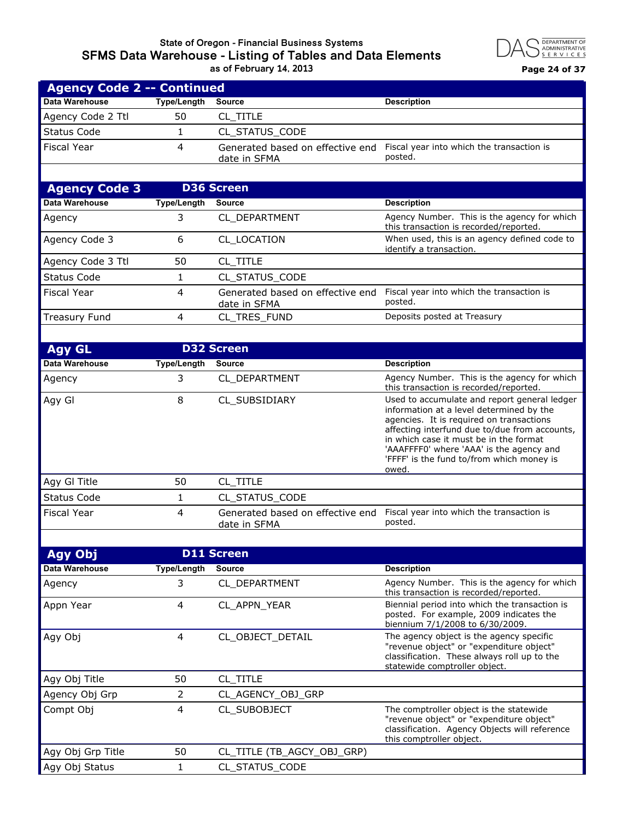#### **State of Oregon - Financial Business Systems SFMS Data Warehouse - Listing of Tables and Data Elements as of February 14, 2013 Page 24 of 37**



| <b>Agency Code 2 -- Continued</b> |             |                |                                                                                       |  |
|-----------------------------------|-------------|----------------|---------------------------------------------------------------------------------------|--|
| Data Warehouse                    | Type/Length | Source         | <b>Description</b>                                                                    |  |
| Agency Code 2 Ttl                 | 50          | CL TITLE       |                                                                                       |  |
| Status Code                       |             | CL STATUS CODE |                                                                                       |  |
| Fiscal Year                       | 4           | date in SFMA   | Generated based on effective end Fiscal year into which the transaction is<br>posted. |  |
|                                   |             |                |                                                                                       |  |

| <b>Agency Code 3</b>  |             | <b>D36 Screen</b>                                |                                                                                       |
|-----------------------|-------------|--------------------------------------------------|---------------------------------------------------------------------------------------|
| <b>Data Warehouse</b> | Type/Length | Source                                           | <b>Description</b>                                                                    |
| Agency                |             | CL DEPARTMENT                                    | Agency Number. This is the agency for which<br>this transaction is recorded/reported. |
| Agency Code 3         | 6           | CL LOCATION                                      | When used, this is an agency defined code to<br>identify a transaction.               |
| Agency Code 3 Ttl     | 50          | CL TITLE                                         |                                                                                       |
| Status Code           |             | CL STATUS_CODE                                   |                                                                                       |
| <b>Fiscal Year</b>    | 4           | Generated based on effective end<br>date in SFMA | Fiscal year into which the transaction is<br>posted.                                  |
| Treasury Fund         | 4           | CL TRES FUND                                     | Deposits posted at Treasury                                                           |
|                       |             |                                                  |                                                                                       |

| <b>Agy GL</b>         |                    | <b>D32 Screen</b>                                |                                                                                                                                                                                                                                                                                                                                   |
|-----------------------|--------------------|--------------------------------------------------|-----------------------------------------------------------------------------------------------------------------------------------------------------------------------------------------------------------------------------------------------------------------------------------------------------------------------------------|
| <b>Data Warehouse</b> | <b>Type/Length</b> | <b>Source</b>                                    | <b>Description</b>                                                                                                                                                                                                                                                                                                                |
| Agency                | 3                  | CL DEPARTMENT                                    | Agency Number. This is the agency for which<br>this transaction is recorded/reported.                                                                                                                                                                                                                                             |
| Agy Gl                | 8                  | CL SUBSIDIARY                                    | Used to accumulate and report general ledger<br>information at a level determined by the<br>agencies. It is required on transactions<br>affecting interfund due to/due from accounts,<br>in which case it must be in the format<br>'AAAFFFF0' where 'AAA' is the agency and<br>'FFFF' is the fund to/from which money is<br>owed. |
| Agy GI Title          | 50                 | CL TITLE                                         |                                                                                                                                                                                                                                                                                                                                   |
| <b>Status Code</b>    |                    | CL STATUS_CODE                                   |                                                                                                                                                                                                                                                                                                                                   |
| <b>Fiscal Year</b>    | 4                  | Generated based on effective end<br>date in SFMA | Fiscal year into which the transaction is<br>posted.                                                                                                                                                                                                                                                                              |

| Agy Obj           | <b>D11 Screen</b>  |                            |                                                                                                                                                                      |
|-------------------|--------------------|----------------------------|----------------------------------------------------------------------------------------------------------------------------------------------------------------------|
| Data Warehouse    | <b>Type/Length</b> | <b>Source</b>              | <b>Description</b>                                                                                                                                                   |
| Agency            | 3                  | CL DEPARTMENT              | Agency Number. This is the agency for which<br>this transaction is recorded/reported.                                                                                |
| Appn Year         | 4                  | CL APPN YEAR               | Biennial period into which the transaction is<br>posted. For example, 2009 indicates the<br>biennium 7/1/2008 to 6/30/2009.                                          |
| Agy Obj           | 4                  | CL_OBJECT_DETAIL           | The agency object is the agency specific<br>"revenue object" or "expenditure object"<br>classification. These always roll up to the<br>statewide comptroller object. |
| Agy Obj Title     | 50                 | CL TITLE                   |                                                                                                                                                                      |
| Agency Obj Grp    | 2                  | CL_AGENCY_OBJ_GRP          |                                                                                                                                                                      |
| Compt Obj         | 4                  | CL SUBOBJECT               | The comptroller object is the statewide<br>"revenue object" or "expenditure object"<br>classification. Agency Objects will reference<br>this comptroller object.     |
| Agy Obj Grp Title | 50                 | CL_TITLE (TB_AGCY_OBJ_GRP) |                                                                                                                                                                      |
| Agy Obj Status    |                    | CL STATUS CODE             |                                                                                                                                                                      |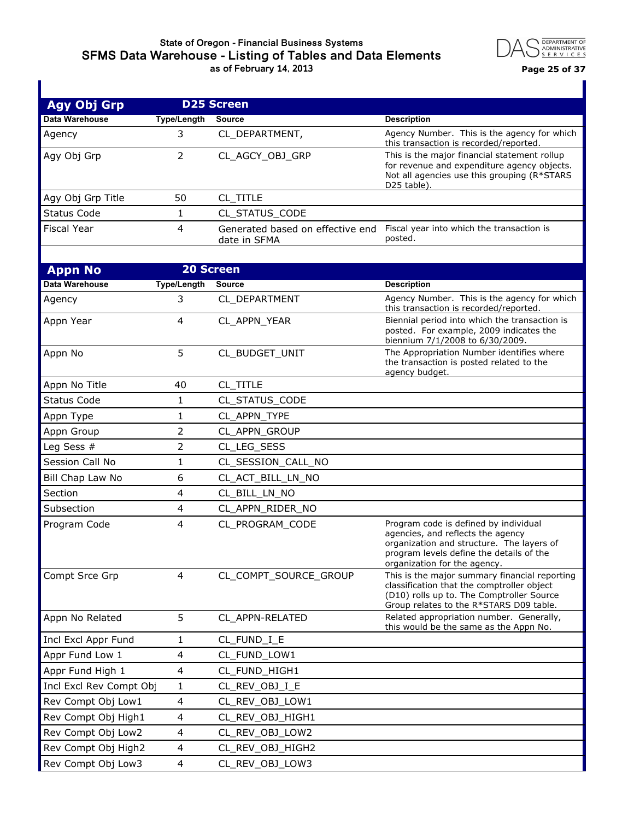#### **State of Oregon - Financial Business Systems SFMS Data Warehouse - Listing of Tables and Data Elements as of February 14, 2013 Page 25 of 37**



| <b>Agy Obj Grp</b>     | <b>D25 Screen</b>  |                                                  |                                                                                                                                                                                                     |
|------------------------|--------------------|--------------------------------------------------|-----------------------------------------------------------------------------------------------------------------------------------------------------------------------------------------------------|
| Data Warehouse         | <b>Type/Length</b> | <b>Source</b>                                    | <b>Description</b>                                                                                                                                                                                  |
| Agency                 | 3                  | CL_DEPARTMENT,                                   | Agency Number. This is the agency for which<br>this transaction is recorded/reported.                                                                                                               |
| Agy Obj Grp            | $\overline{2}$     | CL AGCY OBJ GRP                                  | This is the major financial statement rollup<br>for revenue and expenditure agency objects.<br>Not all agencies use this grouping (R*STARS<br>D25 table).                                           |
| Agy Obj Grp Title      | 50                 | CL_TITLE                                         |                                                                                                                                                                                                     |
| <b>Status Code</b>     | 1                  | CL_STATUS_CODE                                   |                                                                                                                                                                                                     |
| <b>Fiscal Year</b>     | 4                  | Generated based on effective end<br>date in SFMA | Fiscal year into which the transaction is<br>posted.                                                                                                                                                |
| <b>Appn No</b>         | <b>20 Screen</b>   |                                                  |                                                                                                                                                                                                     |
| Data Warehouse         | <b>Type/Length</b> | <b>Source</b>                                    | <b>Description</b>                                                                                                                                                                                  |
| Agency                 | 3                  | CL_DEPARTMENT                                    | Agency Number. This is the agency for which                                                                                                                                                         |
|                        |                    |                                                  | this transaction is recorded/reported.                                                                                                                                                              |
| Appn Year              | 4                  | CL APPN YEAR                                     | Biennial period into which the transaction is<br>posted. For example, 2009 indicates the<br>biennium 7/1/2008 to 6/30/2009.                                                                         |
| Appn No                | 5                  | CL_BUDGET_UNIT                                   | The Appropriation Number identifies where<br>the transaction is posted related to the<br>agency budget.                                                                                             |
| Appn No Title          | 40                 | CL_TITLE                                         |                                                                                                                                                                                                     |
| <b>Status Code</b>     | 1                  | CL_STATUS_CODE                                   |                                                                                                                                                                                                     |
| Appn Type              | 1                  | CL_APPN_TYPE                                     |                                                                                                                                                                                                     |
| Appn Group             | 2                  | CL_APPN_GROUP                                    |                                                                                                                                                                                                     |
| Leg Sess #             | 2                  | CL_LEG_SESS                                      |                                                                                                                                                                                                     |
| Session Call No        | 1                  | CL_SESSION_CALL_NO                               |                                                                                                                                                                                                     |
| Bill Chap Law No       | 6                  | CL_ACT_BILL_LN_NO                                |                                                                                                                                                                                                     |
| Section                | 4                  | CL_BILL_LN_NO                                    |                                                                                                                                                                                                     |
| Subsection             | 4                  | CL_APPN_RIDER_NO                                 |                                                                                                                                                                                                     |
| Program Code           | 4                  | CL_PROGRAM_CODE                                  | Program code is defined by individual<br>agencies, and reflects the agency<br>organization and structure. The layers of<br>program levels define the details of the<br>organization for the agency. |
| Compt Srce Grp         | 4                  | CL_COMPT_SOURCE_GROUP                            | This is the major summary financial reporting<br>classification that the comptroller object<br>(D10) rolls up to. The Comptroller Source<br>Group relates to the R*STARS D09 table.                 |
| Appn No Related        | 5                  | CL_APPN-RELATED                                  | Related appropriation number. Generally,<br>this would be the same as the Appn No.                                                                                                                  |
| Incl Excl Appr Fund    | 1                  | CL_FUND_I_E                                      |                                                                                                                                                                                                     |
| Appr Fund Low 1        | 4                  | CL_FUND_LOW1                                     |                                                                                                                                                                                                     |
| Appr Fund High 1       | 4                  | CL_FUND_HIGH1                                    |                                                                                                                                                                                                     |
| Incl Excl Rev Compt Ob | 1                  | CL_REV_OBJ_I_E                                   |                                                                                                                                                                                                     |
| Rev Compt Obj Low1     | 4                  | CL_REV_OBJ_LOW1                                  |                                                                                                                                                                                                     |
| Rev Compt Obj High1    | 4                  | CL_REV_OBJ_HIGH1                                 |                                                                                                                                                                                                     |
| Rev Compt Obj Low2     | 4                  | CL_REV_OBJ_LOW2                                  |                                                                                                                                                                                                     |
| Rev Compt Obj High2    | 4                  | CL_REV_OBJ_HIGH2                                 |                                                                                                                                                                                                     |
| Rev Compt Obj Low3     | 4                  | CL_REV_OBJ_LOW3                                  |                                                                                                                                                                                                     |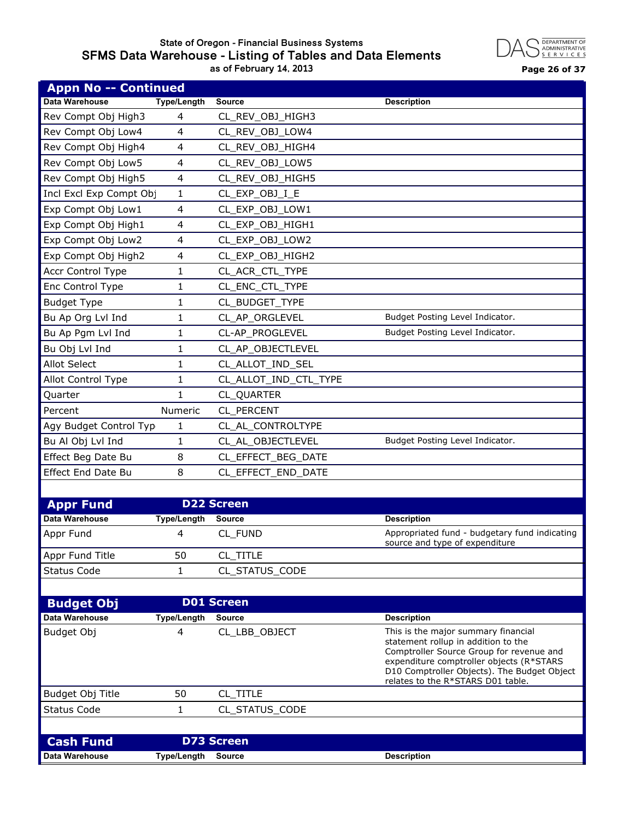## **State of Oregon - Financial Business Systems SFMS Data Warehouse - Listing of Tables and Data Elements as of February 14, 2013 Page 26 of 37**



| <b>Appn No -- Continued</b> |                    |                       |                                                                                                                                                                                                                                                        |
|-----------------------------|--------------------|-----------------------|--------------------------------------------------------------------------------------------------------------------------------------------------------------------------------------------------------------------------------------------------------|
| <b>Data Warehouse</b>       | <b>Type/Length</b> | <b>Source</b>         | <b>Description</b>                                                                                                                                                                                                                                     |
| Rev Compt Obj High3         | 4                  | CL_REV_OBJ_HIGH3      |                                                                                                                                                                                                                                                        |
| Rev Compt Obj Low4          | 4                  | CL REV OBJ LOW4       |                                                                                                                                                                                                                                                        |
| Rev Compt Obj High4         | 4                  | CL_REV_OBJ_HIGH4      |                                                                                                                                                                                                                                                        |
| Rev Compt Obj Low5          | 4                  | CL_REV_OBJ_LOW5       |                                                                                                                                                                                                                                                        |
| Rev Compt Obj High5         | 4                  | CL_REV_OBJ_HIGH5      |                                                                                                                                                                                                                                                        |
| Incl Excl Exp Compt Obj     | 1                  | CL_EXP_OBJ_I_E        |                                                                                                                                                                                                                                                        |
| Exp Compt Obj Low1          | 4                  | CL EXP OBJ LOW1       |                                                                                                                                                                                                                                                        |
| Exp Compt Obj High1         | 4                  | CL EXP OBJ HIGH1      |                                                                                                                                                                                                                                                        |
| Exp Compt Obj Low2          | 4                  | CL_EXP_OBJ_LOW2       |                                                                                                                                                                                                                                                        |
| Exp Compt Obj High2         | 4                  | CL_EXP_OBJ_HIGH2      |                                                                                                                                                                                                                                                        |
| Accr Control Type           | 1                  | CL_ACR_CTL_TYPE       |                                                                                                                                                                                                                                                        |
| Enc Control Type            | 1                  | CL_ENC_CTL_TYPE       |                                                                                                                                                                                                                                                        |
| <b>Budget Type</b>          | 1                  | CL_BUDGET_TYPE        |                                                                                                                                                                                                                                                        |
| Bu Ap Org Lvl Ind           | 1                  | CL_AP_ORGLEVEL        | Budget Posting Level Indicator.                                                                                                                                                                                                                        |
| Bu Ap Pgm Lvl Ind           | 1                  | CL-AP_PROGLEVEL       | Budget Posting Level Indicator.                                                                                                                                                                                                                        |
| Bu Obj Lvl Ind              | 1                  | CL_AP_OBJECTLEVEL     |                                                                                                                                                                                                                                                        |
| <b>Allot Select</b>         | 1                  | CL_ALLOT_IND_SEL      |                                                                                                                                                                                                                                                        |
| Allot Control Type          | 1                  | CL_ALLOT_IND_CTL_TYPE |                                                                                                                                                                                                                                                        |
| Quarter                     | $\mathbf{1}$       | CL_QUARTER            |                                                                                                                                                                                                                                                        |
| Percent                     | Numeric            | CL_PERCENT            |                                                                                                                                                                                                                                                        |
| Agy Budget Control Typ      | 1                  | CL_AL_CONTROLTYPE     |                                                                                                                                                                                                                                                        |
| Bu Al Obj Lvl Ind           | 1                  | CL_AL_OBJECTLEVEL     | Budget Posting Level Indicator.                                                                                                                                                                                                                        |
| Effect Beg Date Bu          | 8                  | CL_EFFECT_BEG_DATE    |                                                                                                                                                                                                                                                        |
| Effect End Date Bu          | 8                  | CL_EFFECT_END_DATE    |                                                                                                                                                                                                                                                        |
|                             |                    |                       |                                                                                                                                                                                                                                                        |
| <b>Appr Fund</b>            |                    | <b>D22 Screen</b>     |                                                                                                                                                                                                                                                        |
| <b>Data Warehouse</b>       | <b>Type/Length</b> | <b>Source</b>         | <b>Description</b>                                                                                                                                                                                                                                     |
| Appr Fund                   | 4                  | CL_FUND               | Appropriated fund - budgetary fund indicating<br>source and type of expenditure                                                                                                                                                                        |
| Appr Fund Title             | 50                 | CL_TITLE              |                                                                                                                                                                                                                                                        |
| <b>Status Code</b>          | $\mathbf{1}$       | CL STATUS CODE        |                                                                                                                                                                                                                                                        |
|                             |                    |                       |                                                                                                                                                                                                                                                        |
| <b>Budget Obj</b>           |                    | <b>D01 Screen</b>     |                                                                                                                                                                                                                                                        |
| <b>Data Warehouse</b>       | <b>Type/Length</b> | <b>Source</b>         | <b>Description</b>                                                                                                                                                                                                                                     |
| Budget Obj                  | 4                  | CL LBB OBJECT         | This is the major summary financial<br>statement rollup in addition to the<br>Comptroller Source Group for revenue and<br>expenditure comptroller objects (R*STARS<br>D10 Comptroller Objects). The Budget Object<br>relates to the R*STARS D01 table. |
| Budget Obj Title            | 50                 | CL_TITLE              |                                                                                                                                                                                                                                                        |
| <b>Status Code</b>          | 1                  | CL_STATUS_CODE        |                                                                                                                                                                                                                                                        |
|                             |                    |                       |                                                                                                                                                                                                                                                        |
| <b>Cash Fund</b>            |                    | <b>D73 Screen</b>     |                                                                                                                                                                                                                                                        |
| Data Warehouse              | <b>Type/Length</b> | <b>Source</b>         | <b>Description</b>                                                                                                                                                                                                                                     |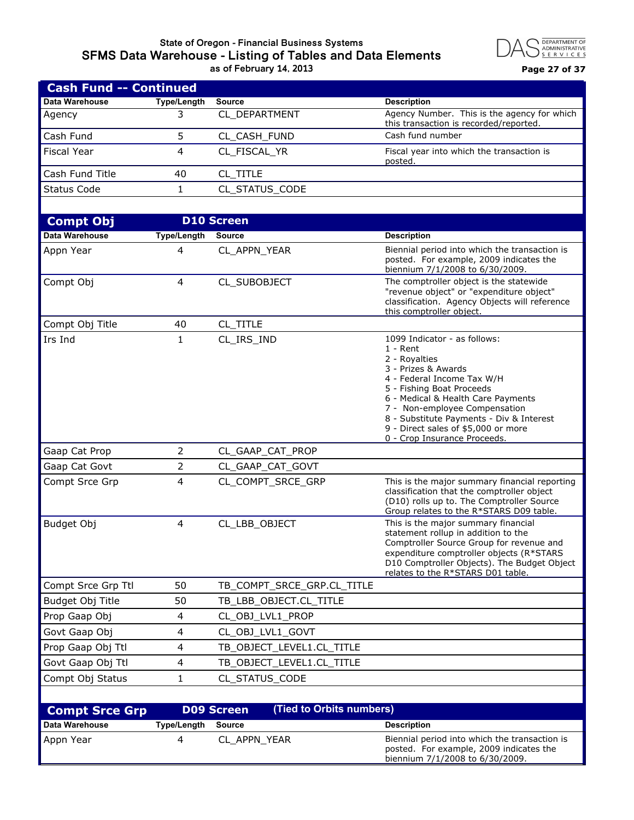## **State of Oregon - Financial Business Systems SFMS Data Warehouse - Listing of Tables and Data Elements as of February 14, 2013 Page 27 of 37**



| <b>Cash Fund -- Continued</b> |             |                |                                                                                       |
|-------------------------------|-------------|----------------|---------------------------------------------------------------------------------------|
| Data Warehouse                | Type/Length | Source         | <b>Description</b>                                                                    |
| Agency                        |             | CL DEPARTMENT  | Agency Number. This is the agency for which<br>this transaction is recorded/reported. |
| Cash Fund                     |             | CL CASH FUND   | Cash fund number                                                                      |
| <b>Fiscal Year</b>            |             | CL FISCAL YR   | Fiscal year into which the transaction is<br>posted.                                  |
| Cash Fund Title               | 40          | CL TITLE       |                                                                                       |
| Status Code                   |             | CL STATUS CODE |                                                                                       |
|                               |             |                |                                                                                       |

| <b>Compt Obj</b>      |                         | <b>D10 Screen</b>                             |                                                                                                                                                                                                                                                                                                                                         |
|-----------------------|-------------------------|-----------------------------------------------|-----------------------------------------------------------------------------------------------------------------------------------------------------------------------------------------------------------------------------------------------------------------------------------------------------------------------------------------|
| Data Warehouse        | <b>Type/Length</b>      | <b>Source</b>                                 | <b>Description</b>                                                                                                                                                                                                                                                                                                                      |
| Appn Year             | 4                       | CL_APPN_YEAR                                  | Biennial period into which the transaction is<br>posted. For example, 2009 indicates the<br>biennium 7/1/2008 to 6/30/2009.                                                                                                                                                                                                             |
| Compt Obj             | 4                       | CL_SUBOBJECT                                  | The comptroller object is the statewide<br>"revenue object" or "expenditure object"<br>classification. Agency Objects will reference<br>this comptroller object.                                                                                                                                                                        |
| Compt Obj Title       | 40                      | CL_TITLE                                      |                                                                                                                                                                                                                                                                                                                                         |
| Irs Ind               | $\mathbf{1}$            | CL_IRS_IND                                    | 1099 Indicator - as follows:<br>$1 -$ Rent<br>2 - Royalties<br>3 - Prizes & Awards<br>4 - Federal Income Tax W/H<br>5 - Fishing Boat Proceeds<br>6 - Medical & Health Care Payments<br>7 - Non-employee Compensation<br>8 - Substitute Payments - Div & Interest<br>9 - Direct sales of \$5,000 or more<br>0 - Crop Insurance Proceeds. |
| Gaap Cat Prop         | 2                       | CL_GAAP_CAT_PROP                              |                                                                                                                                                                                                                                                                                                                                         |
| Gaap Cat Govt         | $\overline{2}$          | CL_GAAP_CAT_GOVT                              |                                                                                                                                                                                                                                                                                                                                         |
| Compt Srce Grp        | 4                       | CL_COMPT_SRCE_GRP                             | This is the major summary financial reporting<br>classification that the comptroller object<br>(D10) rolls up to. The Comptroller Source<br>Group relates to the R*STARS D09 table.                                                                                                                                                     |
| Budget Obj            | 4                       | CL_LBB_OBJECT                                 | This is the major summary financial<br>statement rollup in addition to the<br>Comptroller Source Group for revenue and<br>expenditure comptroller objects (R*STARS<br>D10 Comptroller Objects). The Budget Object<br>relates to the R*STARS D01 table.                                                                                  |
| Compt Srce Grp Ttl    | 50                      | TB_COMPT_SRCE_GRP.CL_TITLE                    |                                                                                                                                                                                                                                                                                                                                         |
| Budget Obj Title      | 50                      | TB_LBB_OBJECT.CL_TITLE                        |                                                                                                                                                                                                                                                                                                                                         |
| Prop Gaap Obj         | 4                       | CL_OBJ_LVL1_PROP                              |                                                                                                                                                                                                                                                                                                                                         |
| Govt Gaap Obj         | 4                       | CL_OBJ_LVL1_GOVT                              |                                                                                                                                                                                                                                                                                                                                         |
| Prop Gaap Obj Ttl     | $\overline{\mathbf{4}}$ | TB_OBJECT_LEVEL1.CL_TITLE                     |                                                                                                                                                                                                                                                                                                                                         |
| Govt Gaap Obj Ttl     | 4                       | TB_OBJECT_LEVEL1.CL_TITLE                     |                                                                                                                                                                                                                                                                                                                                         |
| Compt Obj Status      | $\mathbf{1}$            | CL STATUS CODE                                |                                                                                                                                                                                                                                                                                                                                         |
|                       |                         |                                               |                                                                                                                                                                                                                                                                                                                                         |
| <b>Compt Srce Grp</b> |                         | <b>D09 Screen</b><br>(Tied to Orbits numbers) |                                                                                                                                                                                                                                                                                                                                         |

| $\sim$ p. c. c. c. p  |             |              |                                                                                                                             |
|-----------------------|-------------|--------------|-----------------------------------------------------------------------------------------------------------------------------|
| <b>Data Warehouse</b> | Type/Length | Source       | <b>Description</b>                                                                                                          |
| Appn Year             |             | CL APPN YEAR | Biennial period into which the transaction is<br>posted. For example, 2009 indicates the<br>biennium 7/1/2008 to 6/30/2009. |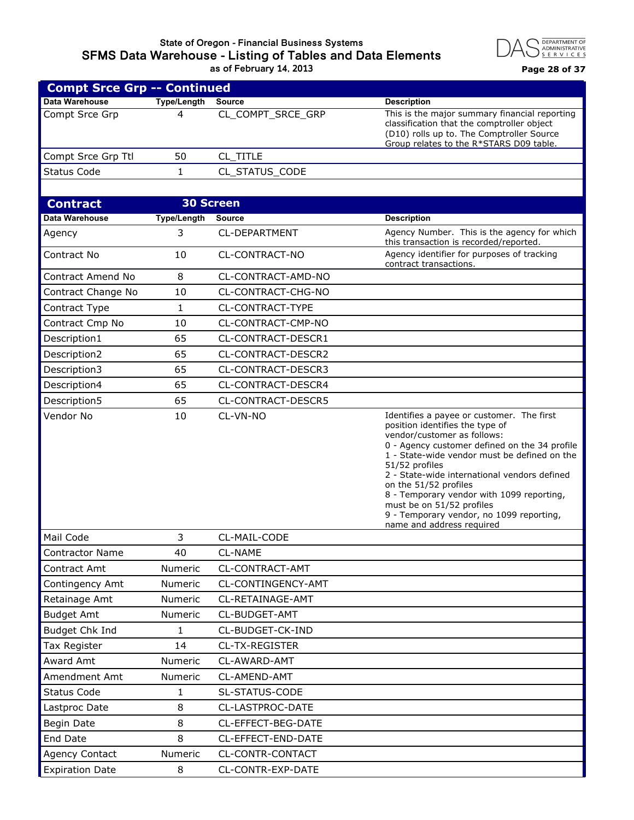## **State of Oregon - Financial Business Systems SFMS Data Warehouse - Listing of Tables and Data Elements as of February 14, 2013 Page 28 of 37**



| <b>Compt Srce Grp -- Continued</b> |                    |                      |                                                                                                                                                                                                                                                                                                                                                                                                                                                            |
|------------------------------------|--------------------|----------------------|------------------------------------------------------------------------------------------------------------------------------------------------------------------------------------------------------------------------------------------------------------------------------------------------------------------------------------------------------------------------------------------------------------------------------------------------------------|
| Data Warehouse                     | <b>Type/Length</b> | <b>Source</b>        | <b>Description</b>                                                                                                                                                                                                                                                                                                                                                                                                                                         |
| Compt Srce Grp                     | 4                  | CL_COMPT_SRCE_GRP    | This is the major summary financial reporting<br>classification that the comptroller object<br>(D10) rolls up to. The Comptroller Source<br>Group relates to the R*STARS D09 table.                                                                                                                                                                                                                                                                        |
| Compt Srce Grp Ttl                 | 50                 | CL TITLE             |                                                                                                                                                                                                                                                                                                                                                                                                                                                            |
| <b>Status Code</b>                 | $\mathbf{1}$       | CL_STATUS_CODE       |                                                                                                                                                                                                                                                                                                                                                                                                                                                            |
|                                    |                    |                      |                                                                                                                                                                                                                                                                                                                                                                                                                                                            |
| <b>Contract</b>                    |                    | <b>30 Screen</b>     |                                                                                                                                                                                                                                                                                                                                                                                                                                                            |
| Data Warehouse                     | <b>Type/Length</b> | <b>Source</b>        | <b>Description</b>                                                                                                                                                                                                                                                                                                                                                                                                                                         |
| Agency                             | 3                  | <b>CL-DEPARTMENT</b> | Agency Number. This is the agency for which<br>this transaction is recorded/reported.                                                                                                                                                                                                                                                                                                                                                                      |
| Contract No                        | 10                 | CL-CONTRACT-NO       | Agency identifier for purposes of tracking<br>contract transactions.                                                                                                                                                                                                                                                                                                                                                                                       |
| <b>Contract Amend No</b>           | 8                  | CL-CONTRACT-AMD-NO   |                                                                                                                                                                                                                                                                                                                                                                                                                                                            |
| Contract Change No                 | 10                 | CL-CONTRACT-CHG-NO   |                                                                                                                                                                                                                                                                                                                                                                                                                                                            |
| Contract Type                      | 1                  | CL-CONTRACT-TYPE     |                                                                                                                                                                                                                                                                                                                                                                                                                                                            |
| Contract Cmp No                    | 10                 | CL-CONTRACT-CMP-NO   |                                                                                                                                                                                                                                                                                                                                                                                                                                                            |
| Description1                       | 65                 | CL-CONTRACT-DESCR1   |                                                                                                                                                                                                                                                                                                                                                                                                                                                            |
| Description2                       | 65                 | CL-CONTRACT-DESCR2   |                                                                                                                                                                                                                                                                                                                                                                                                                                                            |
| Description3                       | 65                 | CL-CONTRACT-DESCR3   |                                                                                                                                                                                                                                                                                                                                                                                                                                                            |
| Description4                       | 65                 | CL-CONTRACT-DESCR4   |                                                                                                                                                                                                                                                                                                                                                                                                                                                            |
| Description5                       | 65                 | CL-CONTRACT-DESCR5   |                                                                                                                                                                                                                                                                                                                                                                                                                                                            |
| Vendor No                          | 10                 | CL-VN-NO             | Identifies a payee or customer. The first<br>position identifies the type of<br>vendor/customer as follows:<br>0 - Agency customer defined on the 34 profile<br>1 - State-wide vendor must be defined on the<br>51/52 profiles<br>2 - State-wide international vendors defined<br>on the 51/52 profiles<br>8 - Temporary vendor with 1099 reporting,<br>must be on 51/52 profiles<br>9 - Temporary vendor, no 1099 reporting,<br>name and address required |
| Mail Code                          | 3                  | CL-MAIL-CODE         |                                                                                                                                                                                                                                                                                                                                                                                                                                                            |
| <b>Contractor Name</b>             | 40                 | <b>CL-NAME</b>       |                                                                                                                                                                                                                                                                                                                                                                                                                                                            |
| Contract Amt                       | Numeric            | CL-CONTRACT-AMT      |                                                                                                                                                                                                                                                                                                                                                                                                                                                            |
| Contingency Amt                    | Numeric            | CL-CONTINGENCY-AMT   |                                                                                                                                                                                                                                                                                                                                                                                                                                                            |
| Retainage Amt                      | <b>Numeric</b>     | CL-RETAINAGE-AMT     |                                                                                                                                                                                                                                                                                                                                                                                                                                                            |
| <b>Budget Amt</b>                  | Numeric            | CL-BUDGET-AMT        |                                                                                                                                                                                                                                                                                                                                                                                                                                                            |
| Budget Chk Ind                     | 1                  | CL-BUDGET-CK-IND     |                                                                                                                                                                                                                                                                                                                                                                                                                                                            |
| <b>Tax Register</b>                | 14                 | CL-TX-REGISTER       |                                                                                                                                                                                                                                                                                                                                                                                                                                                            |
| Award Amt                          | Numeric            | CL-AWARD-AMT         |                                                                                                                                                                                                                                                                                                                                                                                                                                                            |
| Amendment Amt                      | Numeric            | CL-AMEND-AMT         |                                                                                                                                                                                                                                                                                                                                                                                                                                                            |
| <b>Status Code</b>                 | 1                  | SL-STATUS-CODE       |                                                                                                                                                                                                                                                                                                                                                                                                                                                            |
| Lastproc Date                      | 8                  | CL-LASTPROC-DATE     |                                                                                                                                                                                                                                                                                                                                                                                                                                                            |
| Begin Date                         | 8                  | CL-EFFECT-BEG-DATE   |                                                                                                                                                                                                                                                                                                                                                                                                                                                            |
| End Date                           | 8                  | CL-EFFECT-END-DATE   |                                                                                                                                                                                                                                                                                                                                                                                                                                                            |
| <b>Agency Contact</b>              | Numeric            | CL-CONTR-CONTACT     |                                                                                                                                                                                                                                                                                                                                                                                                                                                            |
| <b>Expiration Date</b>             | 8                  | CL-CONTR-EXP-DATE    |                                                                                                                                                                                                                                                                                                                                                                                                                                                            |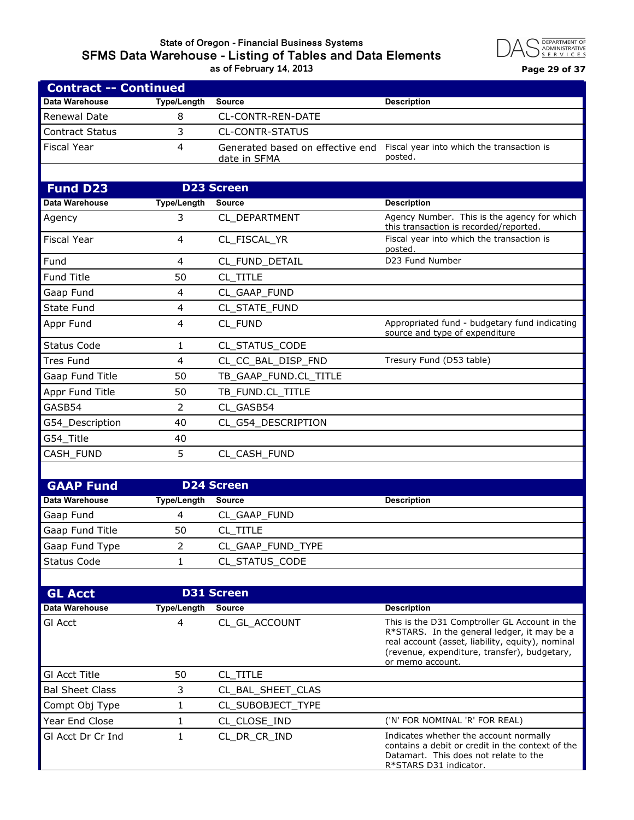#### **State of Oregon - Financial Business Systems SFMS Data Warehouse - Listing of Tables and Data Elements as of February 14, 2013 Page 29 of 37**



| <b>Contract -- Continued</b> |                    |                                                  |                                                                                                                                                                                                                      |
|------------------------------|--------------------|--------------------------------------------------|----------------------------------------------------------------------------------------------------------------------------------------------------------------------------------------------------------------------|
| Data Warehouse               | <b>Type/Length</b> | <b>Source</b>                                    | <b>Description</b>                                                                                                                                                                                                   |
| Renewal Date                 | 8                  | CL-CONTR-REN-DATE                                |                                                                                                                                                                                                                      |
| <b>Contract Status</b>       | 3                  | <b>CL-CONTR-STATUS</b>                           |                                                                                                                                                                                                                      |
| <b>Fiscal Year</b>           | 4                  | Generated based on effective end<br>date in SFMA | Fiscal year into which the transaction is<br>posted.                                                                                                                                                                 |
|                              |                    |                                                  |                                                                                                                                                                                                                      |
| <b>Fund D23</b>              |                    | <b>D23 Screen</b>                                |                                                                                                                                                                                                                      |
| <b>Data Warehouse</b>        | <b>Type/Length</b> | <b>Source</b>                                    | <b>Description</b>                                                                                                                                                                                                   |
| Agency                       | 3                  | CL DEPARTMENT                                    | Agency Number. This is the agency for which<br>this transaction is recorded/reported.                                                                                                                                |
| <b>Fiscal Year</b>           | 4                  | CL_FISCAL_YR                                     | Fiscal year into which the transaction is<br>posted.                                                                                                                                                                 |
| Fund                         | 4                  | CL_FUND_DETAIL                                   | D23 Fund Number                                                                                                                                                                                                      |
| <b>Fund Title</b>            | 50                 | CL TITLE                                         |                                                                                                                                                                                                                      |
| Gaap Fund                    | 4                  | CL_GAAP_FUND                                     |                                                                                                                                                                                                                      |
| <b>State Fund</b>            | 4                  | CL_STATE_FUND                                    |                                                                                                                                                                                                                      |
| Appr Fund                    | 4                  | CL FUND                                          | Appropriated fund - budgetary fund indicating<br>source and type of expenditure                                                                                                                                      |
| <b>Status Code</b>           | 1                  | CL_STATUS_CODE                                   |                                                                                                                                                                                                                      |
| <b>Tres Fund</b>             | 4                  | CL_CC_BAL_DISP_FND                               | Tresury Fund (D53 table)                                                                                                                                                                                             |
| Gaap Fund Title              | 50                 | TB_GAAP_FUND.CL_TITLE                            |                                                                                                                                                                                                                      |
| Appr Fund Title              | 50                 | TB_FUND.CL_TITLE                                 |                                                                                                                                                                                                                      |
| GASB54                       | $\overline{2}$     | CL GASB54                                        |                                                                                                                                                                                                                      |
| G54_Description              | 40                 | CL_G54_DESCRIPTION                               |                                                                                                                                                                                                                      |
| G54_Title                    | 40                 |                                                  |                                                                                                                                                                                                                      |
| CASH_FUND                    | 5                  | CL_CASH_FUND                                     |                                                                                                                                                                                                                      |
|                              |                    |                                                  |                                                                                                                                                                                                                      |
| <b>GAAP Fund</b>             |                    | <b>D24 Screen</b>                                |                                                                                                                                                                                                                      |
| Data Warehouse               | <b>Type/Length</b> | Source                                           | <b>Description</b>                                                                                                                                                                                                   |
| Gaap Fund                    | 4                  | CL_GAAP_FUND                                     |                                                                                                                                                                                                                      |
| Gaap Fund Title              | 50                 | CL_TITLE                                         |                                                                                                                                                                                                                      |
| Gaap Fund Type               | $\overline{2}$     | CL_GAAP_FUND_TYPE                                |                                                                                                                                                                                                                      |
| <b>Status Code</b>           | 1                  | CL_STATUS_CODE                                   |                                                                                                                                                                                                                      |
|                              |                    |                                                  |                                                                                                                                                                                                                      |
| <b>GL Acct</b>               |                    | <b>D31 Screen</b>                                |                                                                                                                                                                                                                      |
| Data Warehouse               | <b>Type/Length</b> | <b>Source</b>                                    | <b>Description</b>                                                                                                                                                                                                   |
| GI Acct                      | 4                  | CL_GL_ACCOUNT                                    | This is the D31 Comptroller GL Account in the<br>R*STARS. In the general ledger, it may be a<br>real account (asset, liability, equity), nominal<br>(revenue, expenditure, transfer), budgetary,<br>or memo account. |
| <b>GI Acct Title</b>         | 50                 | CL_TITLE                                         |                                                                                                                                                                                                                      |
| <b>Bal Sheet Class</b>       | 3                  | CL_BAL_SHEET_CLAS                                |                                                                                                                                                                                                                      |
| Compt Obj Type               | 1                  | CL_SUBOBJECT_TYPE                                |                                                                                                                                                                                                                      |
| Year End Close               | 1                  | CL_CLOSE_IND                                     | ('N' FOR NOMINAL 'R' FOR REAL)                                                                                                                                                                                       |
| GI Acct Dr Cr Ind            | 1                  | CL_DR_CR_IND                                     | Indicates whether the account normally<br>contains a debit or credit in the context of the<br>Datamart. This does not relate to the<br>R*STARS D31 indicator.                                                        |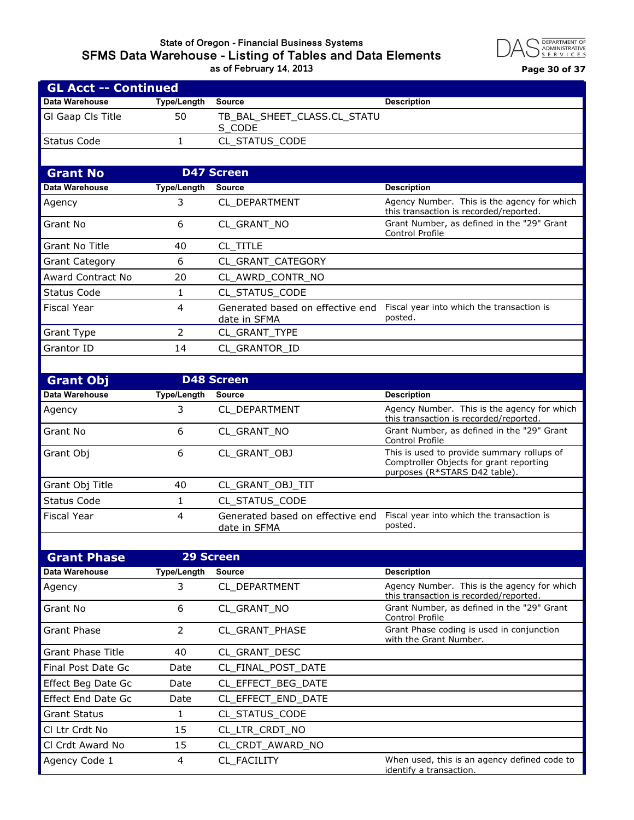#### **State of Oregon - Financial Business Systems SFMS Data Warehouse - Listing of Tables and Data Elements as of February 14, 2013 Page 30 of 37**

**GL Acct -- Continued**



| <b>GL ACCT -- CONTINUEG</b> |                    |                                                  |                                                                                                                        |
|-----------------------------|--------------------|--------------------------------------------------|------------------------------------------------------------------------------------------------------------------------|
| Data Warehouse              | Type/Length        | <b>Source</b>                                    | <b>Description</b>                                                                                                     |
| GI Gaap CIs Title           | 50                 | TB_BAL_SHEET_CLASS.CL_STATU<br>S_CODE            |                                                                                                                        |
| <b>Status Code</b>          | 1                  | CL_STATUS_CODE                                   |                                                                                                                        |
|                             |                    |                                                  |                                                                                                                        |
| <b>Grant No</b>             |                    | <b>D47 Screen</b>                                |                                                                                                                        |
| Data Warehouse              | <b>Type/Length</b> | <b>Source</b>                                    | <b>Description</b>                                                                                                     |
| Agency                      | 3                  | CL_DEPARTMENT                                    | Agency Number. This is the agency for which<br>this transaction is recorded/reported.                                  |
| Grant No                    | 6                  | CL_GRANT_NO                                      | Grant Number, as defined in the "29" Grant<br>Control Profile                                                          |
| <b>Grant No Title</b>       | 40                 | CL TITLE                                         |                                                                                                                        |
| <b>Grant Category</b>       | 6                  | CL_GRANT_CATEGORY                                |                                                                                                                        |
| <b>Award Contract No</b>    | 20                 | CL_AWRD_CONTR_NO                                 |                                                                                                                        |
| <b>Status Code</b>          | 1                  | CL_STATUS_CODE                                   |                                                                                                                        |
| <b>Fiscal Year</b>          | 4                  | Generated based on effective end<br>date in SFMA | Fiscal year into which the transaction is<br>posted.                                                                   |
| <b>Grant Type</b>           | $\overline{2}$     | CL_GRANT_TYPE                                    |                                                                                                                        |
| Grantor ID                  | 14                 | CL GRANTOR ID                                    |                                                                                                                        |
|                             |                    |                                                  |                                                                                                                        |
| <b>Grant Obj</b>            |                    | <b>D48 Screen</b>                                |                                                                                                                        |
| <b>Data Warehouse</b>       | <b>Type/Length</b> | <b>Source</b>                                    | <b>Description</b>                                                                                                     |
| Agency                      | 3                  | CL_DEPARTMENT                                    | Agency Number. This is the agency for which<br>this transaction is recorded/reported.                                  |
| Grant No                    | 6                  | CL_GRANT_NO                                      | Grant Number, as defined in the "29" Grant<br>Control Profile                                                          |
| Grant Obj                   | 6                  | CL_GRANT_OBJ                                     | This is used to provide summary rollups of<br>Comptroller Objects for grant reporting<br>purposes (R*STARS D42 table). |
| Grant Obj Title             | 40                 | CL_GRANT_OBJ_TIT                                 |                                                                                                                        |
| <b>Status Code</b>          | 1                  | CL_STATUS_CODE                                   |                                                                                                                        |
| <b>Fiscal Year</b>          | 4                  | Generated based on effective end<br>date in SFMA | Fiscal year into which the transaction is<br>posted.                                                                   |
|                             |                    |                                                  |                                                                                                                        |
| <b>Grant Phase</b>          |                    | <b>29 Screen</b>                                 |                                                                                                                        |
| Data Warehouse              | <b>Type/Length</b> | <b>Source</b>                                    | <b>Description</b>                                                                                                     |
| Agency                      | 3                  | CL_DEPARTMENT                                    | Agency Number. This is the agency for which<br>this transaction is recorded/reported.                                  |
| Grant No                    | 6                  | CL_GRANT_NO                                      | Grant Number, as defined in the "29" Grant<br>Control Profile                                                          |
| <b>Grant Phase</b>          | $\overline{2}$     | CL_GRANT_PHASE                                   | Grant Phase coding is used in conjunction<br>with the Grant Number.                                                    |
| <b>Grant Phase Title</b>    | 40                 | CL_GRANT_DESC                                    |                                                                                                                        |
| Final Post Date Gc          | Date               | CL FINAL_POST_DATE                               |                                                                                                                        |
| Effect Beg Date Gc          | Date               | CL_EFFECT_BEG_DATE                               |                                                                                                                        |
| <b>Effect End Date Gc</b>   | Date               | CL_EFFECT_END_DATE                               |                                                                                                                        |
| <b>Grant Status</b>         | 1                  | CL_STATUS_CODE                                   |                                                                                                                        |
| CI Ltr Crdt No              | 15                 | CL_LTR_CRDT_NO                                   |                                                                                                                        |
| Cl Crdt Award No            | 15                 | CL_CRDT_AWARD_NO                                 |                                                                                                                        |
| Agency Code 1               | 4                  | CL_FACILITY                                      | When used, this is an agency defined code to<br>identify a transaction.                                                |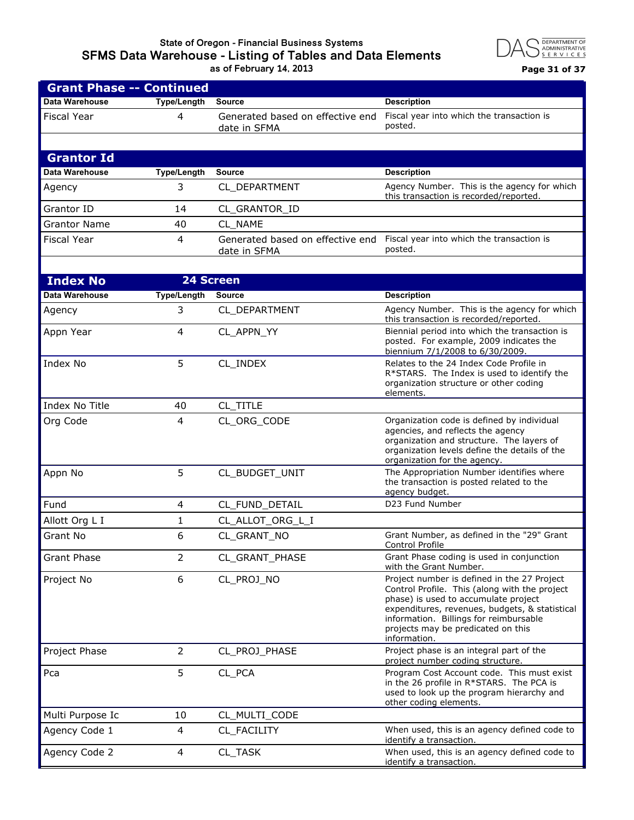## **State of Oregon - Financial Business Systems SFMS Data Warehouse - Listing of Tables and Data Elements as of February 14, 2013 Page 31 of 37**



| <b>Grant Phase -- Continued</b> |                    |                                                  |                                                                                                                                                                                                                                                                                        |
|---------------------------------|--------------------|--------------------------------------------------|----------------------------------------------------------------------------------------------------------------------------------------------------------------------------------------------------------------------------------------------------------------------------------------|
| <b>Data Warehouse</b>           | <b>Type/Length</b> | <b>Source</b>                                    | <b>Description</b>                                                                                                                                                                                                                                                                     |
| <b>Fiscal Year</b>              | 4                  | Generated based on effective end<br>date in SFMA | Fiscal year into which the transaction is<br>posted.                                                                                                                                                                                                                                   |
|                                 |                    |                                                  |                                                                                                                                                                                                                                                                                        |
| <b>Grantor Id</b>               |                    |                                                  |                                                                                                                                                                                                                                                                                        |
| Data Warehouse                  | <b>Type/Length</b> | <b>Source</b>                                    | <b>Description</b>                                                                                                                                                                                                                                                                     |
| Agency                          | 3                  | CL DEPARTMENT                                    | Agency Number. This is the agency for which<br>this transaction is recorded/reported.                                                                                                                                                                                                  |
| Grantor ID                      | 14                 | CL_GRANTOR_ID                                    |                                                                                                                                                                                                                                                                                        |
| <b>Grantor Name</b>             | 40                 | CL NAME                                          |                                                                                                                                                                                                                                                                                        |
| <b>Fiscal Year</b>              | 4                  | Generated based on effective end<br>date in SFMA | Fiscal year into which the transaction is<br>posted.                                                                                                                                                                                                                                   |
|                                 |                    |                                                  |                                                                                                                                                                                                                                                                                        |
| <b>Index No</b>                 |                    | 24 Screen                                        |                                                                                                                                                                                                                                                                                        |
| Data Warehouse                  | <b>Type/Length</b> | <b>Source</b>                                    | <b>Description</b>                                                                                                                                                                                                                                                                     |
| Agency                          | 3                  | CL_DEPARTMENT                                    | Agency Number. This is the agency for which<br>this transaction is recorded/reported.                                                                                                                                                                                                  |
| Appn Year                       | 4                  | CL_APPN_YY                                       | Biennial period into which the transaction is<br>posted. For example, 2009 indicates the<br>biennium 7/1/2008 to 6/30/2009.                                                                                                                                                            |
| Index No                        | 5                  | CL_INDEX                                         | Relates to the 24 Index Code Profile in<br>R*STARS. The Index is used to identify the<br>organization structure or other coding<br>elements.                                                                                                                                           |
| Index No Title                  | 40                 | CL_TITLE                                         |                                                                                                                                                                                                                                                                                        |
| Org Code                        | 4                  | CL_ORG_CODE                                      | Organization code is defined by individual<br>agencies, and reflects the agency<br>organization and structure. The layers of<br>organization levels define the details of the<br>organization for the agency.                                                                          |
| Appn No                         | 5                  | CL_BUDGET_UNIT                                   | The Appropriation Number identifies where<br>the transaction is posted related to the<br>agency budget.                                                                                                                                                                                |
| Fund                            | 4                  | CL FUND DETAIL                                   | D23 Fund Number                                                                                                                                                                                                                                                                        |
| Allott Org L I                  | 1                  | CL_ALLOT_ORG_L_I                                 |                                                                                                                                                                                                                                                                                        |
| Grant No                        | 6                  | CL_GRANT_NO                                      | Grant Number, as defined in the "29" Grant<br>Control Profile                                                                                                                                                                                                                          |
| <b>Grant Phase</b>              | 2                  | CL_GRANT_PHASE                                   | Grant Phase coding is used in conjunction<br>with the Grant Number.                                                                                                                                                                                                                    |
| Project No                      | 6                  | CL_PROJ_NO                                       | Project number is defined in the 27 Project<br>Control Profile. This (along with the project<br>phase) is used to accumulate project<br>expenditures, revenues, budgets, & statistical<br>information. Billings for reimbursable<br>projects may be predicated on this<br>information. |
| Project Phase                   | $\overline{2}$     | CL_PROJ_PHASE                                    | Project phase is an integral part of the<br>project number coding structure.                                                                                                                                                                                                           |
| Pca                             | 5                  | CL_PCA                                           | Program Cost Account code. This must exist<br>in the 26 profile in R*STARS. The PCA is<br>used to look up the program hierarchy and<br>other coding elements.                                                                                                                          |
| Multi Purpose Ic                | 10                 | CL_MULTI_CODE                                    |                                                                                                                                                                                                                                                                                        |
| Agency Code 1                   | 4                  | CL_FACILITY                                      | When used, this is an agency defined code to<br>identify a transaction.                                                                                                                                                                                                                |
| Agency Code 2                   | 4                  | CL_TASK                                          | When used, this is an agency defined code to<br>identify a transaction.                                                                                                                                                                                                                |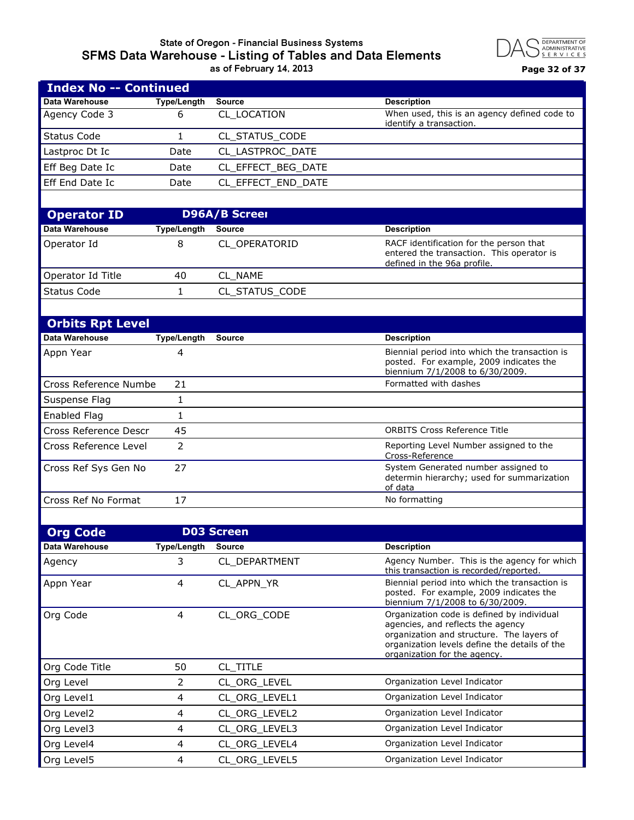#### **State of Oregon - Financial Business Systems SFMS Data Warehouse - Listing of Tables and Data Elements as of February 14, 2013 Page 32 of 37**



| <b>Index No -- Continued</b> |                         |                      |                                                                                                                                                                                                               |
|------------------------------|-------------------------|----------------------|---------------------------------------------------------------------------------------------------------------------------------------------------------------------------------------------------------------|
| <b>Data Warehouse</b>        | <b>Type/Length</b>      | <b>Source</b>        | <b>Description</b>                                                                                                                                                                                            |
| Agency Code 3                | 6                       | CL LOCATION          | When used, this is an agency defined code to<br>identify a transaction.                                                                                                                                       |
| <b>Status Code</b>           | $\mathbf{1}$            | CL_STATUS_CODE       |                                                                                                                                                                                                               |
| Lastproc Dt Ic               | Date                    | CL_LASTPROC_DATE     |                                                                                                                                                                                                               |
| Eff Beg Date Ic              | Date                    | CL_EFFECT_BEG_DATE   |                                                                                                                                                                                                               |
| Eff End Date Ic              | Date                    | CL_EFFECT_END_DATE   |                                                                                                                                                                                                               |
|                              |                         |                      |                                                                                                                                                                                                               |
| <b>Operator ID</b>           |                         | <b>D96A/B Screel</b> |                                                                                                                                                                                                               |
| Data Warehouse               | <b>Type/Length</b>      | Source               | <b>Description</b>                                                                                                                                                                                            |
| Operator Id                  | 8                       | CL OPERATORID        | RACF identification for the person that<br>entered the transaction. This operator is<br>defined in the 96a profile.                                                                                           |
| Operator Id Title            | 40                      | CL NAME              |                                                                                                                                                                                                               |
| <b>Status Code</b>           | $\mathbf{1}$            | CL STATUS CODE       |                                                                                                                                                                                                               |
|                              |                         |                      |                                                                                                                                                                                                               |
| <b>Orbits Rpt Level</b>      |                         |                      |                                                                                                                                                                                                               |
| Data Warehouse               | <b>Type/Length</b>      | <b>Source</b>        | <b>Description</b>                                                                                                                                                                                            |
| Appn Year                    | 4                       |                      | Biennial period into which the transaction is<br>posted. For example, 2009 indicates the<br>biennium 7/1/2008 to 6/30/2009.                                                                                   |
| Cross Reference Numbe        | 21                      |                      | Formatted with dashes                                                                                                                                                                                         |
| Suspense Flag                | 1                       |                      |                                                                                                                                                                                                               |
| <b>Enabled Flag</b>          | $\mathbf{1}$            |                      |                                                                                                                                                                                                               |
| Cross Reference Descr        | 45                      |                      | <b>ORBITS Cross Reference Title</b>                                                                                                                                                                           |
| Cross Reference Level        | $\overline{2}$          |                      | Reporting Level Number assigned to the<br>Cross-Reference                                                                                                                                                     |
| Cross Ref Sys Gen No         | 27                      |                      | System Generated number assigned to<br>determin hierarchy; used for summarization<br>of data                                                                                                                  |
| Cross Ref No Format          | 17                      |                      | No formatting                                                                                                                                                                                                 |
|                              |                         |                      |                                                                                                                                                                                                               |
| <b>Org Code</b>              |                         | <b>D03 Screen</b>    |                                                                                                                                                                                                               |
| Data Warehouse               | <b>Type/Length</b>      | <b>Source</b>        | <b>Description</b>                                                                                                                                                                                            |
| Agency                       | 3                       | CL DEPARTMENT        | Agency Number. This is the agency for which<br>this transaction is recorded/reported.                                                                                                                         |
| Appn Year                    | 4                       | CL_APPN_YR           | Biennial period into which the transaction is<br>posted. For example, 2009 indicates the<br>biennium 7/1/2008 to 6/30/2009.                                                                                   |
| Org Code                     | $\overline{4}$          | CL ORG CODE          | Organization code is defined by individual<br>agencies, and reflects the agency<br>organization and structure. The layers of<br>organization levels define the details of the<br>organization for the agency. |
| Org Code Title               | 50                      | CL_TITLE             |                                                                                                                                                                                                               |
| Org Level                    | $\overline{2}$          | CL_ORG_LEVEL         | Organization Level Indicator                                                                                                                                                                                  |
| Org Level1                   | 4                       | CL_ORG_LEVEL1        | Organization Level Indicator                                                                                                                                                                                  |
| Org Level2                   | 4                       | CL_ORG_LEVEL2        | Organization Level Indicator                                                                                                                                                                                  |
| Org Level3                   | $\overline{\mathbf{4}}$ | CL_ORG_LEVEL3        | Organization Level Indicator                                                                                                                                                                                  |

Org Level4 **4** CL\_ORG\_LEVEL4 **Organization Level Indicator** Org Level5 **4** CL\_ORG\_LEVEL5 **Organization Level Indicator**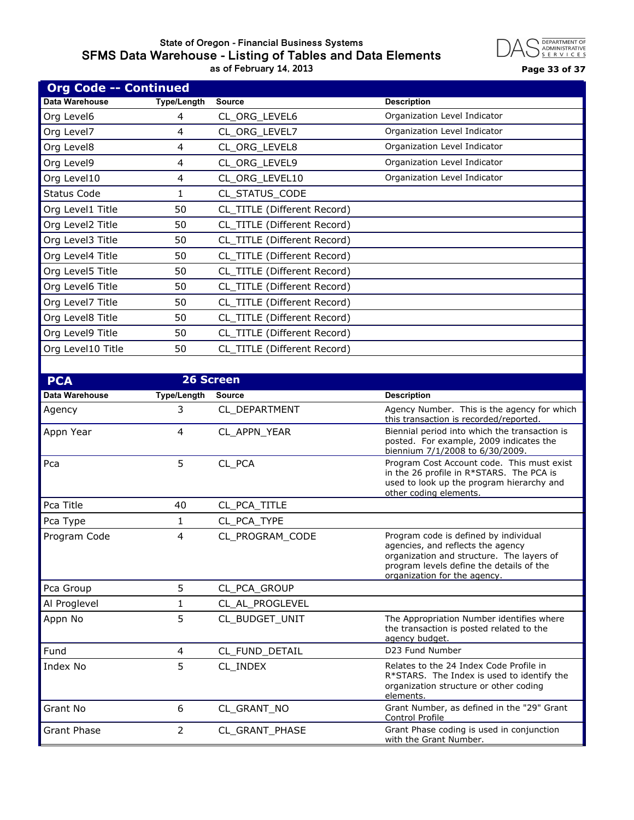## **State of Oregon - Financial Business Systems SFMS Data Warehouse - Listing of Tables and Data Elements as of February 14, 2013 Page 33 of 37**



| <b>Org Code -- Continued</b> |                    |                             |                                                                                                                                                                                                     |
|------------------------------|--------------------|-----------------------------|-----------------------------------------------------------------------------------------------------------------------------------------------------------------------------------------------------|
| Data Warehouse               | <b>Type/Length</b> | <b>Source</b>               | <b>Description</b>                                                                                                                                                                                  |
| Org Level6                   | 4                  | CL_ORG_LEVEL6               | Organization Level Indicator                                                                                                                                                                        |
| Org Level7                   | 4                  | CL_ORG_LEVEL7               | Organization Level Indicator                                                                                                                                                                        |
| Org Level8                   | 4                  | CL_ORG_LEVEL8               | Organization Level Indicator                                                                                                                                                                        |
| Org Level9                   | 4                  | CL_ORG_LEVEL9               | Organization Level Indicator                                                                                                                                                                        |
| Org Level10                  | 4                  | CL_ORG_LEVEL10              | Organization Level Indicator                                                                                                                                                                        |
| <b>Status Code</b>           | 1                  | CL_STATUS_CODE              |                                                                                                                                                                                                     |
| Org Level1 Title             | 50                 | CL_TITLE (Different Record) |                                                                                                                                                                                                     |
| Org Level2 Title             | 50                 | CL TITLE (Different Record) |                                                                                                                                                                                                     |
| Org Level3 Title             | 50                 | CL_TITLE (Different Record) |                                                                                                                                                                                                     |
| Org Level4 Title             | 50                 | CL_TITLE (Different Record) |                                                                                                                                                                                                     |
| Org Level5 Title             | 50                 | CL_TITLE (Different Record) |                                                                                                                                                                                                     |
| Org Level6 Title             | 50                 | CL_TITLE (Different Record) |                                                                                                                                                                                                     |
| Org Level7 Title             | 50                 | CL TITLE (Different Record) |                                                                                                                                                                                                     |
| Org Level8 Title             | 50                 | CL TITLE (Different Record) |                                                                                                                                                                                                     |
| Org Level9 Title             | 50                 | CL_TITLE (Different Record) |                                                                                                                                                                                                     |
| Org Level10 Title            | 50                 | CL_TITLE (Different Record) |                                                                                                                                                                                                     |
|                              |                    |                             |                                                                                                                                                                                                     |
| <b>PCA</b>                   |                    | <b>26 Screen</b>            |                                                                                                                                                                                                     |
| <b>Data Warehouse</b>        | <b>Type/Length</b> | <b>Source</b>               | <b>Description</b>                                                                                                                                                                                  |
| Agency                       | 3                  | CL_DEPARTMENT               | Agency Number. This is the agency for which<br>this transaction is recorded/reported.                                                                                                               |
| Appn Year                    | 4                  | CL_APPN_YEAR                | Biennial period into which the transaction is<br>posted. For example, 2009 indicates the<br>biennium 7/1/2008 to 6/30/2009.                                                                         |
| Pca                          | 5                  | CL_PCA                      | Program Cost Account code. This must exist<br>in the 26 profile in R*STARS. The PCA is<br>used to look up the program hierarchy and<br>other coding elements.                                       |
| Pca Title                    | 40                 | CL_PCA_TITLE                |                                                                                                                                                                                                     |
| Pca Type                     | 1                  | CL PCA TYPE                 |                                                                                                                                                                                                     |
| Program Code                 | 4                  | CL_PROGRAM_CODE             | Program code is defined by individual<br>agencies, and reflects the agency<br>organization and structure. The layers of<br>program levels define the details of the<br>organization for the agency. |
| Pca Group                    | 5                  | CL PCA GROUP                |                                                                                                                                                                                                     |
| Al Proglevel                 | 1                  | CL_AL_PROGLEVEL             |                                                                                                                                                                                                     |
| Appn No                      | 5                  | CL_BUDGET_UNIT              | The Appropriation Number identifies where<br>the transaction is posted related to the<br>agency budget.                                                                                             |
| Fund                         | 4                  | CL_FUND_DETAIL              | D23 Fund Number                                                                                                                                                                                     |
| Index No                     | 5                  | CL_INDEX                    | Relates to the 24 Index Code Profile in<br>$R*STARS$ . The Index is used to identify the<br>organization structure or other coding<br>elements.                                                     |
| Grant No                     | 6                  | CL_GRANT_NO                 | Grant Number, as defined in the "29" Grant<br>Control Profile                                                                                                                                       |
| Grant Phase                  | $\overline{2}$     | CL_GRANT_PHASE              | Grant Phase coding is used in conjunction<br>with the Grant Number.                                                                                                                                 |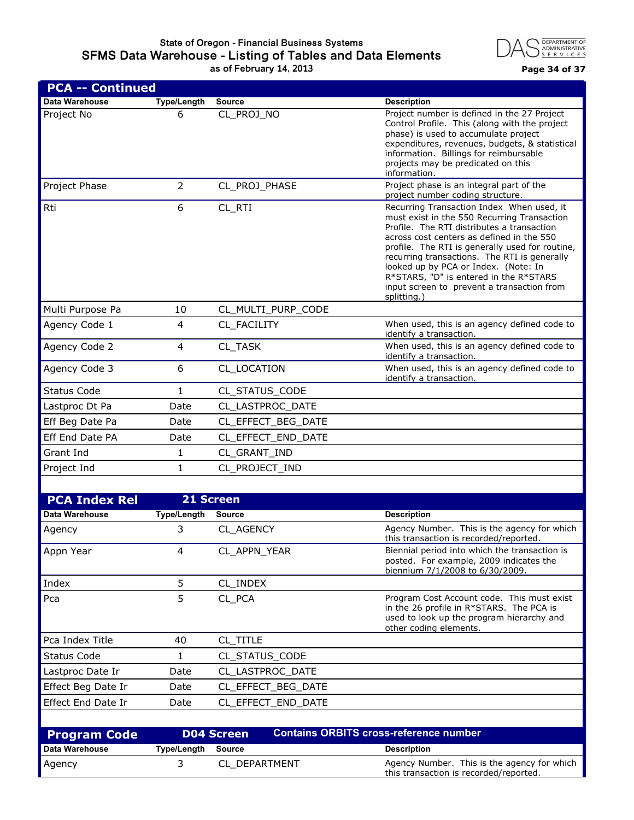## **State of Oregon - Financial Business Systems SFMS Data Warehouse - Listing of Tables and Data Elements as of February 14, 2013 Page 34 of 37**



| <b>PCA -- Continued</b>   |                    |                                                                                                                                                                                                                                                                                                      |                                                                                                                                                                                                                                                                                                                                                                                                                                       |
|---------------------------|--------------------|------------------------------------------------------------------------------------------------------------------------------------------------------------------------------------------------------------------------------------------------------------------------------------------------------|---------------------------------------------------------------------------------------------------------------------------------------------------------------------------------------------------------------------------------------------------------------------------------------------------------------------------------------------------------------------------------------------------------------------------------------|
| Data Warehouse            | <b>Type/Length</b> | <b>Source</b>                                                                                                                                                                                                                                                                                        | <b>Description</b>                                                                                                                                                                                                                                                                                                                                                                                                                    |
| Project No                | 6                  | Project number is defined in the 27 Project<br>CL_PROJ_NO<br>Control Profile. This (along with the project<br>phase) is used to accumulate project<br>expenditures, revenues, budgets, & statistical<br>information. Billings for reimbursable<br>projects may be predicated on this<br>information. |                                                                                                                                                                                                                                                                                                                                                                                                                                       |
| Project Phase             | $\overline{2}$     | CL_PROJ_PHASE                                                                                                                                                                                                                                                                                        | Project phase is an integral part of the<br>project number coding structure.                                                                                                                                                                                                                                                                                                                                                          |
| Rti                       | 6                  | CL_RTI                                                                                                                                                                                                                                                                                               | Recurring Transaction Index When used, it<br>must exist in the 550 Recurring Transaction<br>Profile. The RTI distributes a transaction<br>across cost centers as defined in the 550<br>profile. The RTI is generally used for routine,<br>recurring transactions. The RTI is generally<br>looked up by PCA or Index. (Note: In<br>R*STARS, "D" is entered in the R*STARS<br>input screen to prevent a transaction from<br>splitting.) |
| Multi Purpose Pa          | 10                 | CL_MULTI_PURP_CODE                                                                                                                                                                                                                                                                                   |                                                                                                                                                                                                                                                                                                                                                                                                                                       |
| Agency Code 1             | 4                  | CL_FACILITY                                                                                                                                                                                                                                                                                          | When used, this is an agency defined code to<br>identify a transaction.                                                                                                                                                                                                                                                                                                                                                               |
| Agency Code 2             | $\overline{4}$     | When used, this is an agency defined code to<br>CL_TASK<br>identify a transaction.                                                                                                                                                                                                                   |                                                                                                                                                                                                                                                                                                                                                                                                                                       |
| Agency Code 3             | 6                  | CL_LOCATION                                                                                                                                                                                                                                                                                          | When used, this is an agency defined code to<br>identify a transaction.                                                                                                                                                                                                                                                                                                                                                               |
| <b>Status Code</b>        | $\mathbf{1}$       | CL_STATUS_CODE                                                                                                                                                                                                                                                                                       |                                                                                                                                                                                                                                                                                                                                                                                                                                       |
| Lastproc Dt Pa            | Date               | CL_LASTPROC_DATE                                                                                                                                                                                                                                                                                     |                                                                                                                                                                                                                                                                                                                                                                                                                                       |
| Eff Beg Date Pa           | Date               | CL_EFFECT_BEG_DATE                                                                                                                                                                                                                                                                                   |                                                                                                                                                                                                                                                                                                                                                                                                                                       |
| Eff End Date PA           | Date               | CL_EFFECT_END_DATE                                                                                                                                                                                                                                                                                   |                                                                                                                                                                                                                                                                                                                                                                                                                                       |
| Grant Ind                 | 1                  | CL_GRANT_IND                                                                                                                                                                                                                                                                                         |                                                                                                                                                                                                                                                                                                                                                                                                                                       |
| Project Ind               | $\mathbf{1}$       | CL_PROJECT_IND                                                                                                                                                                                                                                                                                       |                                                                                                                                                                                                                                                                                                                                                                                                                                       |
|                           |                    |                                                                                                                                                                                                                                                                                                      |                                                                                                                                                                                                                                                                                                                                                                                                                                       |
| <b>PCA Index Rel</b>      |                    | 21 Screen                                                                                                                                                                                                                                                                                            |                                                                                                                                                                                                                                                                                                                                                                                                                                       |
| Data Warehouse            | <b>Type/Length</b> | <b>Source</b>                                                                                                                                                                                                                                                                                        | <b>Description</b>                                                                                                                                                                                                                                                                                                                                                                                                                    |
| Agency                    | 3                  | CL_AGENCY                                                                                                                                                                                                                                                                                            | Agency Number. This is the agency for which<br>this transaction is recorded/reported.                                                                                                                                                                                                                                                                                                                                                 |
| Appn Year                 | 4                  | CL_APPN_YEAR<br>Biennial period into which the transaction is<br>posted. For example, 2009 indicates the<br>biennium 7/1/2008 to 6/30/2009.                                                                                                                                                          |                                                                                                                                                                                                                                                                                                                                                                                                                                       |
| Index                     | 5                  | CL_INDEX                                                                                                                                                                                                                                                                                             |                                                                                                                                                                                                                                                                                                                                                                                                                                       |
| Pca                       | 5                  | CL_PCA<br>Program Cost Account code. This must exist<br>in the 26 profile in R*STARS. The PCA is<br>used to look up the program hierarchy and<br>other coding elements.                                                                                                                              |                                                                                                                                                                                                                                                                                                                                                                                                                                       |
| Pca Index Title           | 40                 | CL_TITLE                                                                                                                                                                                                                                                                                             |                                                                                                                                                                                                                                                                                                                                                                                                                                       |
| Status Code               | 1                  | CL STATUS CODE                                                                                                                                                                                                                                                                                       |                                                                                                                                                                                                                                                                                                                                                                                                                                       |
| Lastproc Date Ir          | Date               | CL_LASTPROC_DATE                                                                                                                                                                                                                                                                                     |                                                                                                                                                                                                                                                                                                                                                                                                                                       |
| Effect Beg Date Ir        | Date               | CL_EFFECT_BEG_DATE                                                                                                                                                                                                                                                                                   |                                                                                                                                                                                                                                                                                                                                                                                                                                       |
| <b>Effect End Date Ir</b> | Date               | CL_EFFECT_END_DATE                                                                                                                                                                                                                                                                                   |                                                                                                                                                                                                                                                                                                                                                                                                                                       |
|                           |                    |                                                                                                                                                                                                                                                                                                      |                                                                                                                                                                                                                                                                                                                                                                                                                                       |
| <b>Program Code</b>       |                    | <b>D04 Screen</b>                                                                                                                                                                                                                                                                                    | <b>Contains ORBITS cross-reference number</b>                                                                                                                                                                                                                                                                                                                                                                                         |
| Data Warehouse            | <b>Type/Length</b> | <b>Source</b>                                                                                                                                                                                                                                                                                        | <b>Description</b>                                                                                                                                                                                                                                                                                                                                                                                                                    |
| Agency                    | 3                  | CL_DEPARTMENT                                                                                                                                                                                                                                                                                        | Agency Number. This is the agency for which<br>this transaction is recorded/reported.                                                                                                                                                                                                                                                                                                                                                 |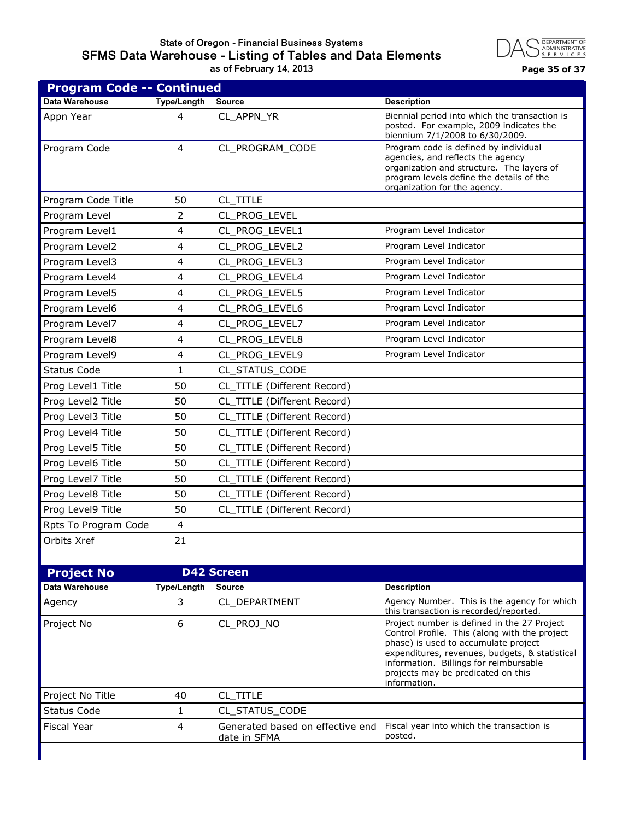#### **State of Oregon - Financial Business Systems SFMS Data Warehouse - Listing of Tables and Data Elements as of February 14, 2013 Page 35 of 37**



| <b>Program Code -- Continued</b> |                         |                                                                                                                                                                                                                                                                                                      |                                                                                                                                                                                                     |  |
|----------------------------------|-------------------------|------------------------------------------------------------------------------------------------------------------------------------------------------------------------------------------------------------------------------------------------------------------------------------------------------|-----------------------------------------------------------------------------------------------------------------------------------------------------------------------------------------------------|--|
| Data Warehouse                   | <b>Type/Length</b>      | <b>Source</b>                                                                                                                                                                                                                                                                                        | <b>Description</b>                                                                                                                                                                                  |  |
| Appn Year                        | 4                       | Biennial period into which the transaction is<br>CL_APPN_YR<br>posted. For example, 2009 indicates the<br>biennium 7/1/2008 to 6/30/2009.                                                                                                                                                            |                                                                                                                                                                                                     |  |
| Program Code                     | $\overline{4}$          | CL_PROGRAM_CODE                                                                                                                                                                                                                                                                                      | Program code is defined by individual<br>agencies, and reflects the agency<br>organization and structure. The layers of<br>program levels define the details of the<br>organization for the agency. |  |
| Program Code Title               | 50                      | CL_TITLE                                                                                                                                                                                                                                                                                             |                                                                                                                                                                                                     |  |
| Program Level                    | 2                       | CL PROG LEVEL                                                                                                                                                                                                                                                                                        |                                                                                                                                                                                                     |  |
| Program Level1                   | 4                       | CL PROG LEVEL1                                                                                                                                                                                                                                                                                       | Program Level Indicator                                                                                                                                                                             |  |
| Program Level2                   | 4                       | CL_PROG_LEVEL2                                                                                                                                                                                                                                                                                       | Program Level Indicator                                                                                                                                                                             |  |
| Program Level3                   | 4                       | CL_PROG_LEVEL3                                                                                                                                                                                                                                                                                       | Program Level Indicator                                                                                                                                                                             |  |
| Program Level4                   | 4                       | CL_PROG_LEVEL4                                                                                                                                                                                                                                                                                       | Program Level Indicator                                                                                                                                                                             |  |
| Program Level5                   | 4                       | CL PROG LEVEL5                                                                                                                                                                                                                                                                                       | Program Level Indicator                                                                                                                                                                             |  |
| Program Level6                   | 4                       | CL_PROG_LEVEL6                                                                                                                                                                                                                                                                                       | Program Level Indicator                                                                                                                                                                             |  |
| Program Level7                   | 4                       | CL_PROG_LEVEL7                                                                                                                                                                                                                                                                                       | Program Level Indicator                                                                                                                                                                             |  |
| Program Level8                   | 4                       | CL_PROG_LEVEL8                                                                                                                                                                                                                                                                                       | Program Level Indicator                                                                                                                                                                             |  |
| Program Level9                   | 4                       | CL PROG LEVEL9                                                                                                                                                                                                                                                                                       | Program Level Indicator                                                                                                                                                                             |  |
| <b>Status Code</b>               | $\mathbf{1}$            | CL STATUS CODE                                                                                                                                                                                                                                                                                       |                                                                                                                                                                                                     |  |
| Prog Level1 Title                | 50                      | CL_TITLE (Different Record)                                                                                                                                                                                                                                                                          |                                                                                                                                                                                                     |  |
| Prog Level2 Title                | 50                      | CL_TITLE (Different Record)                                                                                                                                                                                                                                                                          |                                                                                                                                                                                                     |  |
| Prog Level3 Title                | 50                      | CL_TITLE (Different Record)                                                                                                                                                                                                                                                                          |                                                                                                                                                                                                     |  |
| Prog Level4 Title                | 50                      | CL_TITLE (Different Record)                                                                                                                                                                                                                                                                          |                                                                                                                                                                                                     |  |
| Prog Level5 Title                | 50                      | CL_TITLE (Different Record)                                                                                                                                                                                                                                                                          |                                                                                                                                                                                                     |  |
| Prog Level6 Title                | 50                      | CL_TITLE (Different Record)                                                                                                                                                                                                                                                                          |                                                                                                                                                                                                     |  |
| Prog Level7 Title                | 50                      | CL_TITLE (Different Record)                                                                                                                                                                                                                                                                          |                                                                                                                                                                                                     |  |
| Prog Level8 Title                | 50                      | CL_TITLE (Different Record)                                                                                                                                                                                                                                                                          |                                                                                                                                                                                                     |  |
| Prog Level9 Title                | 50                      | CL_TITLE (Different Record)                                                                                                                                                                                                                                                                          |                                                                                                                                                                                                     |  |
| Rpts To Program Code             | $\overline{4}$          |                                                                                                                                                                                                                                                                                                      |                                                                                                                                                                                                     |  |
| Orbits Xref                      | 21                      |                                                                                                                                                                                                                                                                                                      |                                                                                                                                                                                                     |  |
|                                  |                         |                                                                                                                                                                                                                                                                                                      |                                                                                                                                                                                                     |  |
| <b>Project No</b>                |                         | <b>D42 Screen</b>                                                                                                                                                                                                                                                                                    |                                                                                                                                                                                                     |  |
| Data Warehouse                   | <b>Type/Length</b>      | <b>Source</b>                                                                                                                                                                                                                                                                                        | <b>Description</b>                                                                                                                                                                                  |  |
| Agency                           | 3                       | CL_DEPARTMENT                                                                                                                                                                                                                                                                                        | Agency Number. This is the agency for which<br>this transaction is recorded/reported.                                                                                                               |  |
| Project No                       | 6                       | CL PROJ NO<br>Project number is defined in the 27 Project<br>Control Profile. This (along with the project<br>phase) is used to accumulate project<br>expenditures, revenues, budgets, & statistical<br>information. Billings for reimbursable<br>projects may be predicated on this<br>information. |                                                                                                                                                                                                     |  |
| Project No Title                 | 40                      | CL_TITLE                                                                                                                                                                                                                                                                                             |                                                                                                                                                                                                     |  |
| <b>Status Code</b>               | 1                       | CL_STATUS_CODE                                                                                                                                                                                                                                                                                       |                                                                                                                                                                                                     |  |
| Fiscal Year                      | $\overline{\mathbf{4}}$ | Generated based on effective end<br>Fiscal year into which the transaction is<br>posted.<br>date in SFMA                                                                                                                                                                                             |                                                                                                                                                                                                     |  |
|                                  |                         |                                                                                                                                                                                                                                                                                                      |                                                                                                                                                                                                     |  |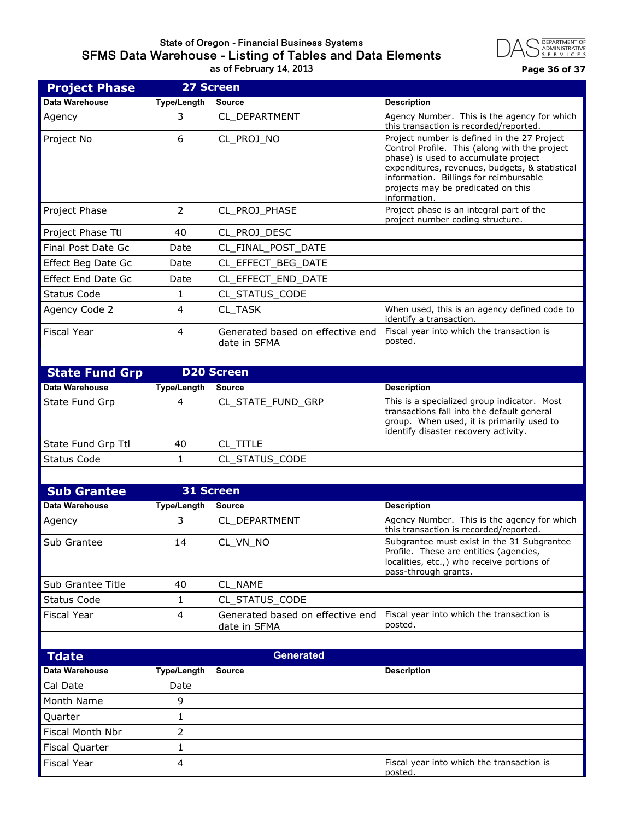# **State of Oregon - Financial Business Systems SFMS Data Warehouse - Listing of Tables and Data Elements**



|                           |                    | as of February 14, 2013                                                                                                                                                | Page 36 of 37                                                                                                                                                                                                                                                                          |
|---------------------------|--------------------|------------------------------------------------------------------------------------------------------------------------------------------------------------------------|----------------------------------------------------------------------------------------------------------------------------------------------------------------------------------------------------------------------------------------------------------------------------------------|
| <b>Project Phase</b>      |                    | 27 Screen                                                                                                                                                              |                                                                                                                                                                                                                                                                                        |
| Data Warehouse            | <b>Type/Length</b> | <b>Source</b>                                                                                                                                                          | <b>Description</b>                                                                                                                                                                                                                                                                     |
| Agency                    | 3                  | CL DEPARTMENT                                                                                                                                                          | Agency Number. This is the agency for which<br>this transaction is recorded/reported.                                                                                                                                                                                                  |
| Project No                | 6                  | CL_PROJ_NO                                                                                                                                                             | Project number is defined in the 27 Project<br>Control Profile. This (along with the project<br>phase) is used to accumulate project<br>expenditures, revenues, budgets, & statistical<br>information. Billings for reimbursable<br>projects may be predicated on this<br>information. |
| Project Phase             | 2                  | CL_PROJ_PHASE                                                                                                                                                          | Project phase is an integral part of the<br>project number coding structure.                                                                                                                                                                                                           |
| Project Phase Ttl         | 40                 | CL_PROJ_DESC                                                                                                                                                           |                                                                                                                                                                                                                                                                                        |
| Final Post Date Gc        | Date               | CL_FINAL_POST_DATE                                                                                                                                                     |                                                                                                                                                                                                                                                                                        |
| Effect Beg Date Gc        | Date               | CL_EFFECT_BEG_DATE                                                                                                                                                     |                                                                                                                                                                                                                                                                                        |
| <b>Effect End Date Gc</b> | Date               | CL_EFFECT_END_DATE                                                                                                                                                     |                                                                                                                                                                                                                                                                                        |
| <b>Status Code</b>        | $\mathbf{1}$       | CL_STATUS_CODE                                                                                                                                                         |                                                                                                                                                                                                                                                                                        |
| Agency Code 2             | 4                  | CL_TASK                                                                                                                                                                | When used, this is an agency defined code to<br>identify a transaction.                                                                                                                                                                                                                |
| <b>Fiscal Year</b>        | 4                  | Generated based on effective end<br>date in SFMA                                                                                                                       | Fiscal year into which the transaction is<br>posted.                                                                                                                                                                                                                                   |
|                           |                    |                                                                                                                                                                        |                                                                                                                                                                                                                                                                                        |
| <b>State Fund Grp</b>     |                    | <b>D20 Screen</b>                                                                                                                                                      |                                                                                                                                                                                                                                                                                        |
| Data Warehouse            | <b>Type/Length</b> | <b>Source</b>                                                                                                                                                          | <b>Description</b>                                                                                                                                                                                                                                                                     |
| State Fund Grp            | 4                  | CL_STATE_FUND_GRP                                                                                                                                                      | This is a specialized group indicator. Most<br>transactions fall into the default general<br>group. When used, it is primarily used to<br>identify disaster recovery activity.                                                                                                         |
| State Fund Grp Ttl        | 40                 | CL_TITLE                                                                                                                                                               |                                                                                                                                                                                                                                                                                        |
| <b>Status Code</b>        | 1                  | CL_STATUS_CODE                                                                                                                                                         |                                                                                                                                                                                                                                                                                        |
|                           |                    |                                                                                                                                                                        |                                                                                                                                                                                                                                                                                        |
| <b>Sub Grantee</b>        |                    | <b>31 Screen</b>                                                                                                                                                       |                                                                                                                                                                                                                                                                                        |
| Data Warehouse            | <b>Type/Length</b> | <b>Source</b>                                                                                                                                                          | <b>Description</b>                                                                                                                                                                                                                                                                     |
| Agency                    | 3                  | CL_DEPARTMENT                                                                                                                                                          | Agency Number. This is the agency for which<br>this transaction is recorded/reported.                                                                                                                                                                                                  |
| Sub Grantee               | 14                 | Subgrantee must exist in the 31 Subgrantee<br>CL_VN_NO<br>Profile. These are entities (agencies,<br>localities, etc.,) who receive portions of<br>pass-through grants. |                                                                                                                                                                                                                                                                                        |
| Sub Grantee Title         | 40                 | CL_NAME                                                                                                                                                                |                                                                                                                                                                                                                                                                                        |
| <b>Status Code</b>        | 1                  | CL_STATUS_CODE                                                                                                                                                         |                                                                                                                                                                                                                                                                                        |
| <b>Fiscal Year</b>        | 4                  | Fiscal year into which the transaction is<br>Generated based on effective end<br>posted.<br>date in SFMA                                                               |                                                                                                                                                                                                                                                                                        |
|                           |                    |                                                                                                                                                                        |                                                                                                                                                                                                                                                                                        |
| <b>Tdate</b>              |                    | <b>Generated</b>                                                                                                                                                       |                                                                                                                                                                                                                                                                                        |

| I date                  |             |               | Generated                                            |
|-------------------------|-------------|---------------|------------------------------------------------------|
| Data Warehouse          | Type/Length | <b>Source</b> | <b>Description</b>                                   |
| Cal Date                | Date        |               |                                                      |
| Month Name              |             |               |                                                      |
| Quarter                 |             |               |                                                      |
| <b>Fiscal Month Nbr</b> |             |               |                                                      |
| <b>Fiscal Quarter</b>   |             |               |                                                      |
| <b>Fiscal Year</b>      |             |               | Fiscal year into which the transaction is<br>posted. |